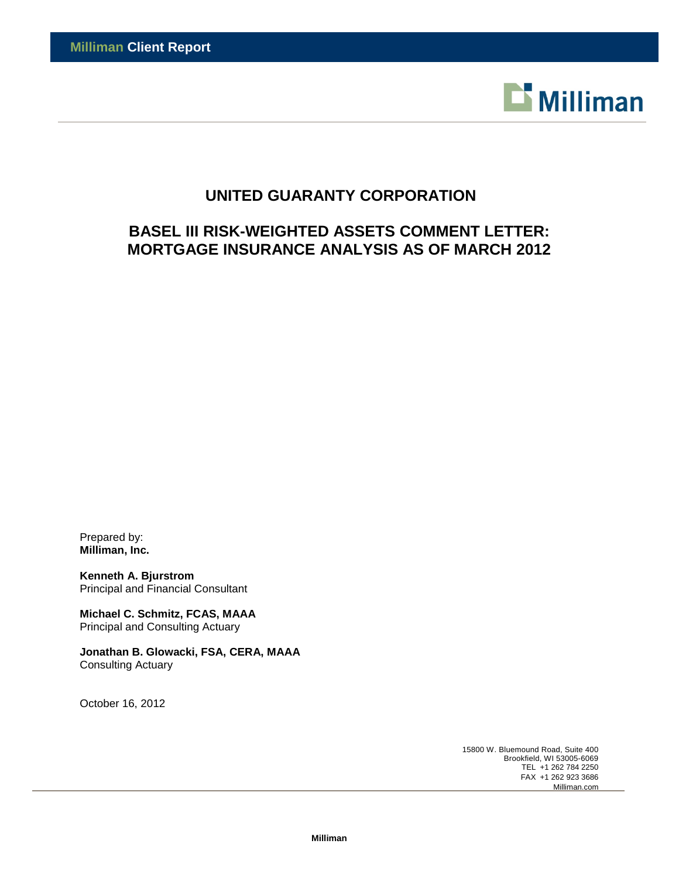

# **UNITED GUARANTY CORPORATION**

# **BASEL III RISK-WEIGHTED ASSETS COMMENT LETTER: MORTGAGE INSURANCE ANALYSIS AS OF MARCH 2012**

Prepared by: **Milliman, Inc.**

**Kenneth A. Bjurstrom** Principal and Financial Consultant

**Michael C. Schmitz, FCAS, MAAA** Principal and Consulting Actuary

**Jonathan B. Glowacki, FSA, CERA, MAAA** Consulting Actuary

October 16, 2012

15800 W. Bluemound Road, Suite 400 Brookfield, WI 53005-6069 TEL +1 262 784 2250 FAX +1 262 923 3686 Milliman.com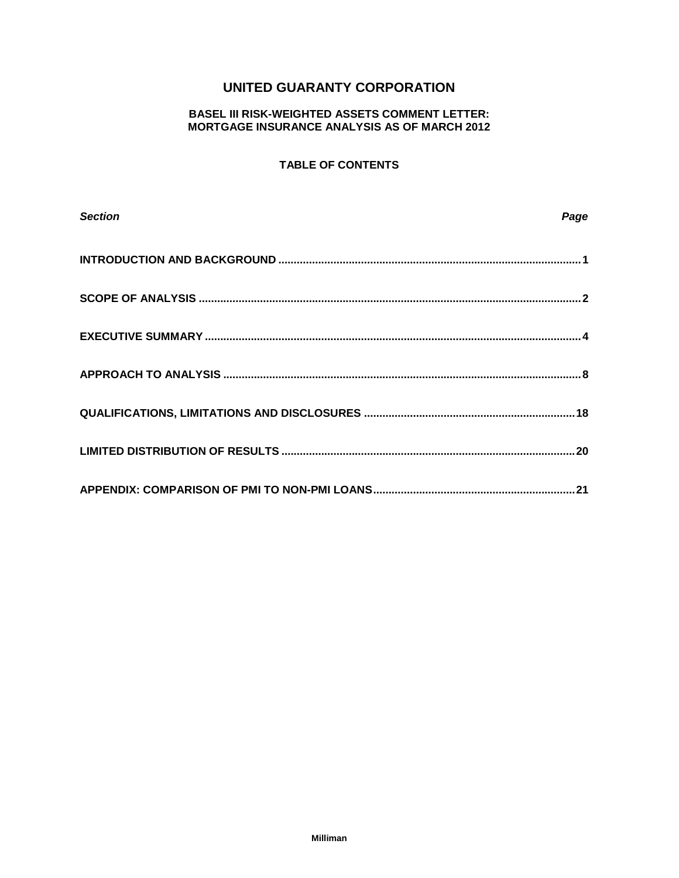## **UNITED GUARANTY CORPORATION**

## **BASEL III RISK-WEIGHTED ASSETS COMMENT LETTER: MORTGAGE INSURANCE ANALYSIS AS OF MARCH 2012**

## **TABLE OF CONTENTS**

| <b>Section</b> | Page |
|----------------|------|
|                |      |
|                |      |
|                |      |
|                |      |
|                |      |
|                |      |
|                |      |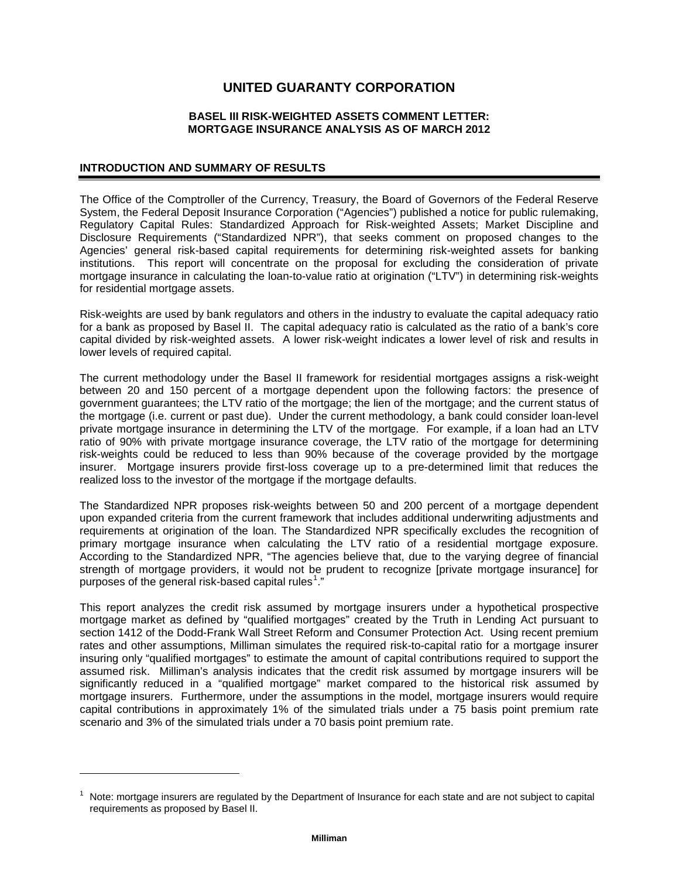## **UNITED GUARANTY CORPORATION**

## **BASEL III RISK-WEIGHTED ASSETS COMMENT LETTER: MORTGAGE INSURANCE ANALYSIS AS OF MARCH 2012**

## **INTRODUCTION AND SUMMARY OF RESULTS**

j

The Office of the Comptroller of the Currency, Treasury, the Board of Governors of the Federal Reserve System, the Federal Deposit Insurance Corporation ("Agencies") published a notice for public rulemaking, Regulatory Capital Rules: Standardized Approach for Risk-weighted Assets; Market Discipline and Disclosure Requirements ("Standardized NPR"), that seeks comment on proposed changes to the Agencies' general risk-based capital requirements for determining risk-weighted assets for banking institutions. This report will concentrate on the proposal for excluding the consideration of private mortgage insurance in calculating the loan-to-value ratio at origination ("LTV") in determining risk-weights for residential mortgage assets.

Risk-weights are used by bank regulators and others in the industry to evaluate the capital adequacy ratio for a bank as proposed by Basel II. The capital adequacy ratio is calculated as the ratio of a bank's core capital divided by risk-weighted assets. A lower risk-weight indicates a lower level of risk and results in lower levels of required capital.

The current methodology under the Basel II framework for residential mortgages assigns a risk-weight between 20 and 150 percent of a mortgage dependent upon the following factors: the presence of government guarantees; the LTV ratio of the mortgage; the lien of the mortgage; and the current status of the mortgage (i.e. current or past due). Under the current methodology, a bank could consider loan-level private mortgage insurance in determining the LTV of the mortgage. For example, if a loan had an LTV ratio of 90% with private mortgage insurance coverage, the LTV ratio of the mortgage for determining risk-weights could be reduced to less than 90% because of the coverage provided by the mortgage insurer. Mortgage insurers provide first-loss coverage up to a pre-determined limit that reduces the realized loss to the investor of the mortgage if the mortgage defaults.

The Standardized NPR proposes risk-weights between 50 and 200 percent of a mortgage dependent upon expanded criteria from the current framework that includes additional underwriting adjustments and requirements at origination of the loan. The Standardized NPR specifically excludes the recognition of primary mortgage insurance when calculating the LTV ratio of a residential mortgage exposure. According to the Standardized NPR, "The agencies believe that, due to the varying degree of financial strength of mortgage providers, it would not be prudent to recognize [private mortgage insurance] for purposes of the general risk-based capital rules<sup>[1](#page-2-0)</sup>."

This report analyzes the credit risk assumed by mortgage insurers under a hypothetical prospective mortgage market as defined by "qualified mortgages" created by the Truth in Lending Act pursuant to section 1412 of the Dodd-Frank Wall Street Reform and Consumer Protection Act. Using recent premium rates and other assumptions, Milliman simulates the required risk-to-capital ratio for a mortgage insurer insuring only "qualified mortgages" to estimate the amount of capital contributions required to support the assumed risk. Milliman's analysis indicates that the credit risk assumed by mortgage insurers will be significantly reduced in a "qualified mortgage" market compared to the historical risk assumed by mortgage insurers. Furthermore, under the assumptions in the model, mortgage insurers would require capital contributions in approximately 1% of the simulated trials under a 75 basis point premium rate scenario and 3% of the simulated trials under a 70 basis point premium rate.

<span id="page-2-0"></span>Note: mortgage insurers are regulated by the Department of Insurance for each state and are not subject to capital requirements as proposed by Basel II.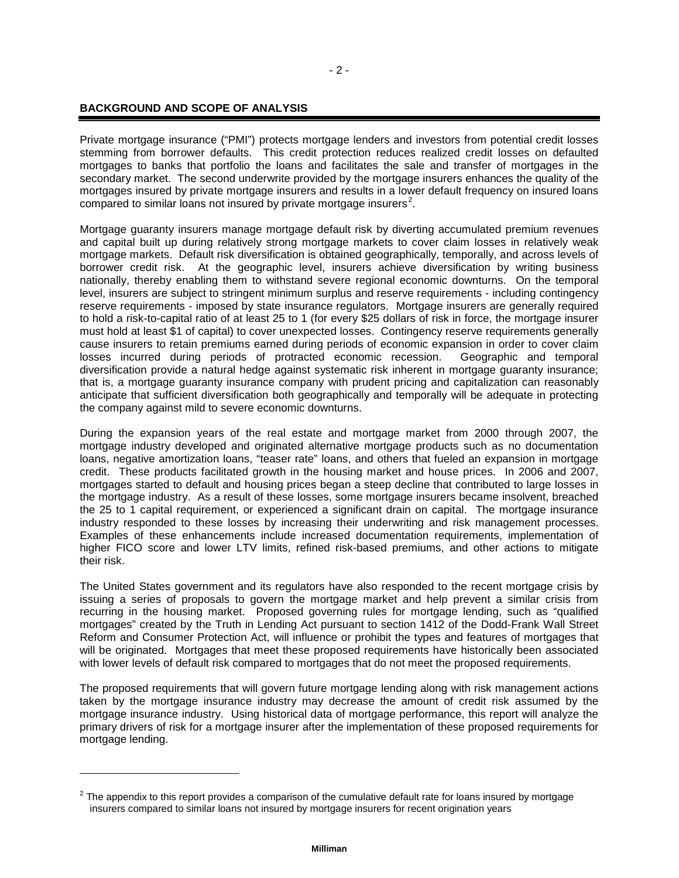## **BACKGROUND AND SCOPE OF ANALYSIS**

j

Private mortgage insurance ("PMI") protects mortgage lenders and investors from potential credit losses stemming from borrower defaults. This credit protection reduces realized credit losses on defaulted mortgages to banks that portfolio the loans and facilitates the sale and transfer of mortgages in the secondary market. The second underwrite provided by the mortgage insurers enhances the quality of the mortgages insured by private mortgage insurers and results in a lower default frequency on insured loans compared to similar loans not insured by private mortgage insurers<sup>[2](#page-3-0)</sup>.

Mortgage guaranty insurers manage mortgage default risk by diverting accumulated premium revenues and capital built up during relatively strong mortgage markets to cover claim losses in relatively weak mortgage markets. Default risk diversification is obtained geographically, temporally, and across levels of borrower credit risk. At the geographic level, insurers achieve diversification by writing business nationally, thereby enabling them to withstand severe regional economic downturns. On the temporal level, insurers are subject to stringent minimum surplus and reserve requirements - including contingency reserve requirements - imposed by state insurance regulators. Mortgage insurers are generally required to hold a risk-to-capital ratio of at least 25 to 1 (for every \$25 dollars of risk in force, the mortgage insurer must hold at least \$1 of capital) to cover unexpected losses. Contingency reserve requirements generally cause insurers to retain premiums earned during periods of economic expansion in order to cover claim losses incurred during periods of protracted economic recession. Geographic and temporal diversification provide a natural hedge against systematic risk inherent in mortgage guaranty insurance; that is, a mortgage guaranty insurance company with prudent pricing and capitalization can reasonably anticipate that sufficient diversification both geographically and temporally will be adequate in protecting the company against mild to severe economic downturns.

During the expansion years of the real estate and mortgage market from 2000 through 2007, the mortgage industry developed and originated alternative mortgage products such as no documentation loans, negative amortization loans, "teaser rate" loans, and others that fueled an expansion in mortgage credit. These products facilitated growth in the housing market and house prices. In 2006 and 2007, mortgages started to default and housing prices began a steep decline that contributed to large losses in the mortgage industry. As a result of these losses, some mortgage insurers became insolvent, breached the 25 to 1 capital requirement, or experienced a significant drain on capital. The mortgage insurance industry responded to these losses by increasing their underwriting and risk management processes. Examples of these enhancements include increased documentation requirements, implementation of higher FICO score and lower LTV limits, refined risk-based premiums, and other actions to mitigate their risk.

The United States government and its regulators have also responded to the recent mortgage crisis by issuing a series of proposals to govern the mortgage market and help prevent a similar crisis from recurring in the housing market. Proposed governing rules for mortgage lending, such as "qualified mortgages" created by the Truth in Lending Act pursuant to section 1412 of the Dodd-Frank Wall Street Reform and Consumer Protection Act, will influence or prohibit the types and features of mortgages that will be originated. Mortgages that meet these proposed requirements have historically been associated with lower levels of default risk compared to mortgages that do not meet the proposed requirements.

The proposed requirements that will govern future mortgage lending along with risk management actions taken by the mortgage insurance industry may decrease the amount of credit risk assumed by the mortgage insurance industry. Using historical data of mortgage performance, this report will analyze the primary drivers of risk for a mortgage insurer after the implementation of these proposed requirements for mortgage lending.

<span id="page-3-0"></span> $<sup>2</sup>$  The appendix to this report provides a comparison of the cumulative default rate for loans insured by mortgage</sup> insurers compared to similar loans not insured by mortgage insurers for recent origination years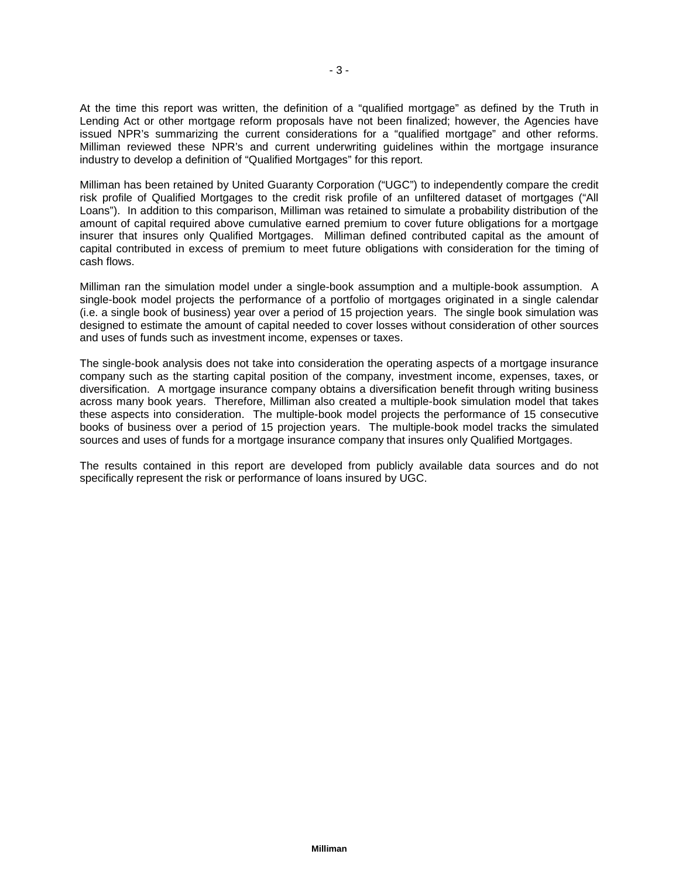At the time this report was written, the definition of a "qualified mortgage" as defined by the Truth in Lending Act or other mortgage reform proposals have not been finalized; however, the Agencies have issued NPR's summarizing the current considerations for a "qualified mortgage" and other reforms. Milliman reviewed these NPR's and current underwriting guidelines within the mortgage insurance industry to develop a definition of "Qualified Mortgages" for this report.

Milliman has been retained by United Guaranty Corporation ("UGC") to independently compare the credit risk profile of Qualified Mortgages to the credit risk profile of an unfiltered dataset of mortgages ("All Loans"). In addition to this comparison, Milliman was retained to simulate a probability distribution of the amount of capital required above cumulative earned premium to cover future obligations for a mortgage insurer that insures only Qualified Mortgages. Milliman defined contributed capital as the amount of capital contributed in excess of premium to meet future obligations with consideration for the timing of cash flows.

Milliman ran the simulation model under a single-book assumption and a multiple-book assumption. A single-book model projects the performance of a portfolio of mortgages originated in a single calendar (i.e. a single book of business) year over a period of 15 projection years. The single book simulation was designed to estimate the amount of capital needed to cover losses without consideration of other sources and uses of funds such as investment income, expenses or taxes.

The single-book analysis does not take into consideration the operating aspects of a mortgage insurance company such as the starting capital position of the company, investment income, expenses, taxes, or diversification. A mortgage insurance company obtains a diversification benefit through writing business across many book years. Therefore, Milliman also created a multiple-book simulation model that takes these aspects into consideration. The multiple-book model projects the performance of 15 consecutive books of business over a period of 15 projection years. The multiple-book model tracks the simulated sources and uses of funds for a mortgage insurance company that insures only Qualified Mortgages.

The results contained in this report are developed from publicly available data sources and do not specifically represent the risk or performance of loans insured by UGC.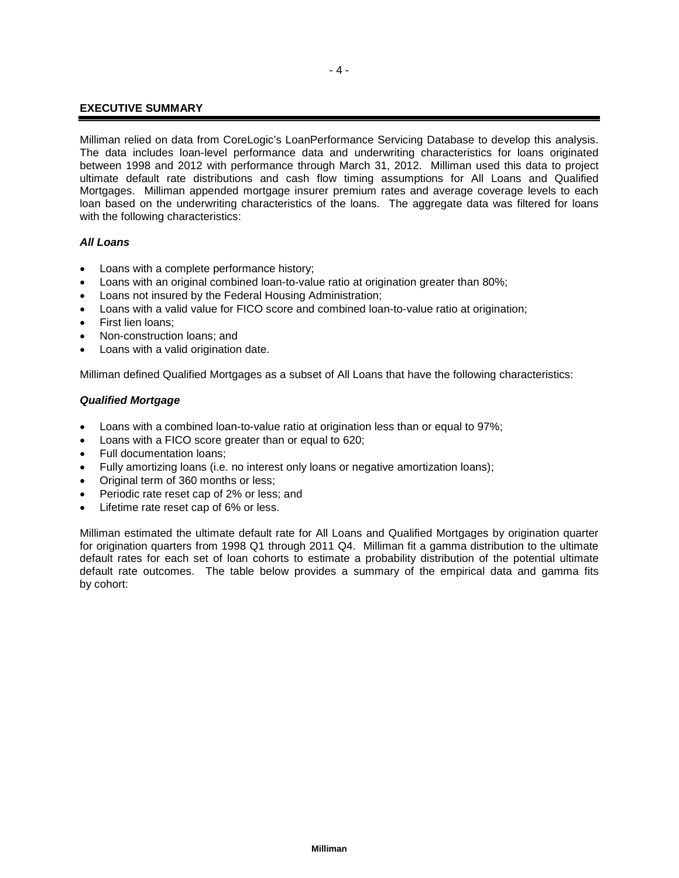## **EXECUTIVE SUMMARY**

Milliman relied on data from CoreLogic's LoanPerformance Servicing Database to develop this analysis. The data includes loan-level performance data and underwriting characteristics for loans originated between 1998 and 2012 with performance through March 31, 2012. Milliman used this data to project ultimate default rate distributions and cash flow timing assumptions for All Loans and Qualified Mortgages. Milliman appended mortgage insurer premium rates and average coverage levels to each loan based on the underwriting characteristics of the loans. The aggregate data was filtered for loans with the following characteristics:

## *All Loans*

- Loans with a complete performance history;
- Loans with an original combined loan-to-value ratio at origination greater than 80%;
- Loans not insured by the Federal Housing Administration;
- Loans with a valid value for FICO score and combined loan-to-value ratio at origination;
- First lien loans;
- Non-construction loans; and
- Loans with a valid origination date.

Milliman defined Qualified Mortgages as a subset of All Loans that have the following characteristics:

## *Qualified Mortgage*

- Loans with a combined loan-to-value ratio at origination less than or equal to 97%;
- Loans with a FICO score greater than or equal to 620;
- Full documentation loans;
- Fully amortizing loans (i.e. no interest only loans or negative amortization loans);
- Original term of 360 months or less;
- Periodic rate reset cap of 2% or less; and
- Lifetime rate reset cap of 6% or less.

Milliman estimated the ultimate default rate for All Loans and Qualified Mortgages by origination quarter for origination quarters from 1998 Q1 through 2011 Q4. Milliman fit a gamma distribution to the ultimate default rates for each set of loan cohorts to estimate a probability distribution of the potential ultimate default rate outcomes. The table below provides a summary of the empirical data and gamma fits by cohort: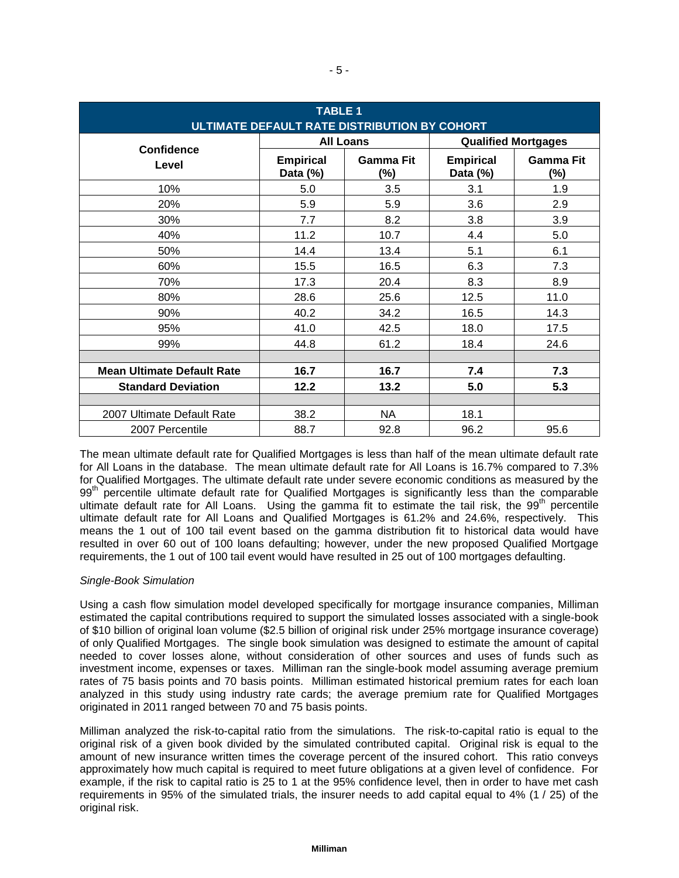| <b>TABLE 1</b><br>ULTIMATE DEFAULT RATE DISTRIBUTION BY COHORT |                              |                         |                              |                            |  |  |  |
|----------------------------------------------------------------|------------------------------|-------------------------|------------------------------|----------------------------|--|--|--|
| Confidence                                                     |                              | <b>All Loans</b>        |                              | <b>Qualified Mortgages</b> |  |  |  |
| Level                                                          | <b>Empirical</b><br>Data (%) | <b>Gamma Fit</b><br>(%) | <b>Empirical</b><br>Data (%) | <b>Gamma Fit</b><br>(%)    |  |  |  |
| 10%                                                            | 5.0                          | 3.5                     | 3.1                          | 1.9                        |  |  |  |
| 20%                                                            | 5.9                          | 5.9                     | 3.6                          | 2.9                        |  |  |  |
| 30%                                                            | 7.7                          | 8.2                     | 3.8                          | 3.9                        |  |  |  |
| 40%                                                            | 11.2                         | 10.7                    | 4.4                          | 5.0                        |  |  |  |
| 50%                                                            | 14.4                         | 13.4                    | 5.1                          | 6.1                        |  |  |  |
| 60%                                                            | 15.5                         | 16.5                    | 6.3                          | 7.3                        |  |  |  |
| 70%                                                            | 17.3                         | 20.4                    | 8.3                          | 8.9                        |  |  |  |
| 80%                                                            | 28.6                         | 25.6                    | 12.5                         | 11.0                       |  |  |  |
| 90%                                                            | 40.2                         | 34.2                    | 16.5                         | 14.3                       |  |  |  |
| 95%                                                            | 41.0                         | 42.5                    | 18.0                         | 17.5                       |  |  |  |
| 99%                                                            | 44.8                         | 61.2                    | 18.4                         | 24.6                       |  |  |  |
|                                                                |                              |                         |                              |                            |  |  |  |
| <b>Mean Ultimate Default Rate</b>                              | 16.7                         | 16.7                    | 7.4                          | 7.3                        |  |  |  |
| <b>Standard Deviation</b>                                      | 12.2                         | 13.2                    | 5.0                          | 5.3                        |  |  |  |
|                                                                |                              |                         |                              |                            |  |  |  |
| 2007 Ultimate Default Rate                                     | 38.2                         | NA                      | 18.1                         |                            |  |  |  |
| 2007 Percentile                                                | 88.7                         | 92.8                    | 96.2                         | 95.6                       |  |  |  |

The mean ultimate default rate for Qualified Mortgages is less than half of the mean ultimate default rate for All Loans in the database. The mean ultimate default rate for All Loans is 16.7% compared to 7.3% for Qualified Mortgages. The ultimate default rate under severe economic conditions as measured by the 99<sup>th</sup> percentile ultimate default rate for Qualified Mortgages is significantly less than the comparable ultimate default rate for All Loans. Using the gamma fit to estimate the tail risk, the  $99<sup>th</sup>$  percentile ultimate default rate for All Loans and Qualified Mortgages is 61.2% and 24.6%, respectively. This means the 1 out of 100 tail event based on the gamma distribution fit to historical data would have resulted in over 60 out of 100 loans defaulting; however, under the new proposed Qualified Mortgage requirements, the 1 out of 100 tail event would have resulted in 25 out of 100 mortgages defaulting.

## *Single-Book Simulation*

Using a cash flow simulation model developed specifically for mortgage insurance companies, Milliman estimated the capital contributions required to support the simulated losses associated with a single-book of \$10 billion of original loan volume (\$2.5 billion of original risk under 25% mortgage insurance coverage) of only Qualified Mortgages. The single book simulation was designed to estimate the amount of capital needed to cover losses alone, without consideration of other sources and uses of funds such as investment income, expenses or taxes. Milliman ran the single-book model assuming average premium rates of 75 basis points and 70 basis points. Milliman estimated historical premium rates for each loan analyzed in this study using industry rate cards; the average premium rate for Qualified Mortgages originated in 2011 ranged between 70 and 75 basis points.

Milliman analyzed the risk-to-capital ratio from the simulations. The risk-to-capital ratio is equal to the original risk of a given book divided by the simulated contributed capital. Original risk is equal to the amount of new insurance written times the coverage percent of the insured cohort. This ratio conveys approximately how much capital is required to meet future obligations at a given level of confidence. For example, if the risk to capital ratio is 25 to 1 at the 95% confidence level, then in order to have met cash requirements in 95% of the simulated trials, the insurer needs to add capital equal to 4% (1 / 25) of the original risk.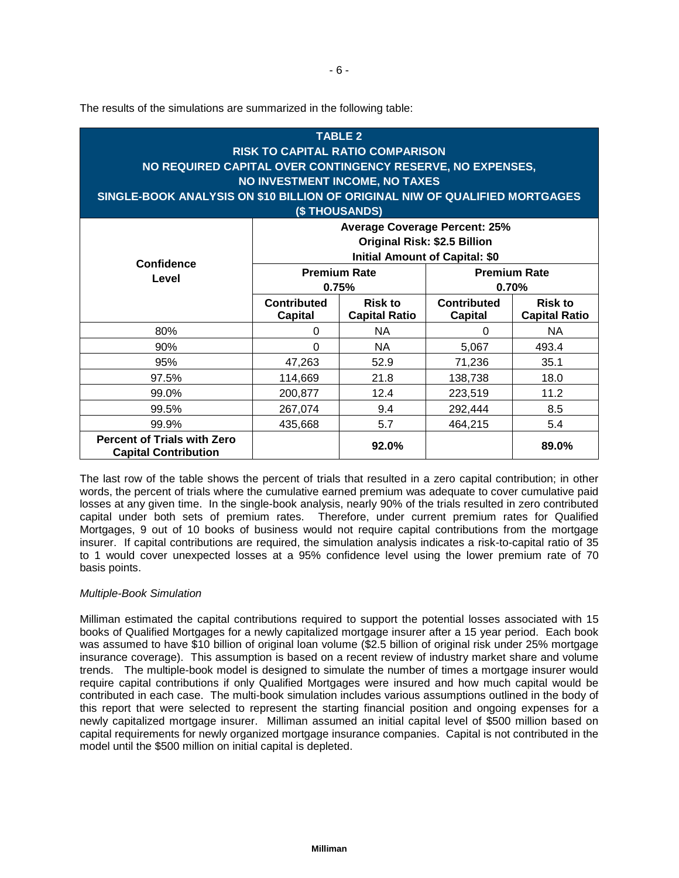The results of the simulations are summarized in the following table:

| <b>TABLE 2</b><br><b>RISK TO CAPITAL RATIO COMPARISON</b><br>NO REQUIRED CAPITAL OVER CONTINGENCY RESERVE, NO EXPENSES,<br>NO INVESTMENT INCOME, NO TAXES<br>SINGLE-BOOK ANALYSIS ON \$10 BILLION OF ORIGINAL NIW OF QUALIFIED MORTGAGES<br><b>(\$THOUSANDS)</b> |                                                                                                                      |                                        |                                      |                                        |  |  |  |
|------------------------------------------------------------------------------------------------------------------------------------------------------------------------------------------------------------------------------------------------------------------|----------------------------------------------------------------------------------------------------------------------|----------------------------------------|--------------------------------------|----------------------------------------|--|--|--|
|                                                                                                                                                                                                                                                                  | <b>Average Coverage Percent: 25%</b><br><b>Original Risk: \$2.5 Billion</b><br><b>Initial Amount of Capital: \$0</b> |                                        |                                      |                                        |  |  |  |
| Confidence<br>Level                                                                                                                                                                                                                                              |                                                                                                                      | <b>Premium Rate</b><br>0.75%           | <b>Premium Rate</b><br>0.70%         |                                        |  |  |  |
|                                                                                                                                                                                                                                                                  | <b>Contributed</b><br><b>Capital</b>                                                                                 | <b>Risk to</b><br><b>Capital Ratio</b> | <b>Contributed</b><br><b>Capital</b> | <b>Risk to</b><br><b>Capital Ratio</b> |  |  |  |
| 80%                                                                                                                                                                                                                                                              | 0                                                                                                                    | NA                                     | 0                                    | NA                                     |  |  |  |
| 90%                                                                                                                                                                                                                                                              | 0                                                                                                                    | <b>NA</b>                              | 5,067                                | 493.4                                  |  |  |  |
| 95%                                                                                                                                                                                                                                                              | 47,263                                                                                                               | 52.9                                   | 71,236                               | 35.1                                   |  |  |  |
| 97.5%                                                                                                                                                                                                                                                            | 114,669                                                                                                              | 21.8                                   | 138,738                              | 18.0                                   |  |  |  |
| 99.0%                                                                                                                                                                                                                                                            | 200,877                                                                                                              | 12.4                                   | 223,519                              | 11.2                                   |  |  |  |
| 99.5%                                                                                                                                                                                                                                                            | 267,074                                                                                                              | 9.4                                    | 292,444                              | 8.5                                    |  |  |  |
| 99.9%                                                                                                                                                                                                                                                            | 435,668                                                                                                              | 5.7                                    | 464,215                              | 5.4                                    |  |  |  |
| <b>Percent of Trials with Zero</b><br><b>Capital Contribution</b>                                                                                                                                                                                                | 92.0%<br>89.0%                                                                                                       |                                        |                                      |                                        |  |  |  |

The last row of the table shows the percent of trials that resulted in a zero capital contribution; in other words, the percent of trials where the cumulative earned premium was adequate to cover cumulative paid losses at any given time. In the single-book analysis, nearly 90% of the trials resulted in zero contributed capital under both sets of premium rates. Therefore, under current premium rates for Qualified Mortgages, 9 out of 10 books of business would not require capital contributions from the mortgage insurer. If capital contributions are required, the simulation analysis indicates a risk-to-capital ratio of 35 to 1 would cover unexpected losses at a 95% confidence level using the lower premium rate of 70 basis points.

## *Multiple-Book Simulation*

Milliman estimated the capital contributions required to support the potential losses associated with 15 books of Qualified Mortgages for a newly capitalized mortgage insurer after a 15 year period. Each book was assumed to have \$10 billion of original loan volume (\$2.5 billion of original risk under 25% mortgage insurance coverage). This assumption is based on a recent review of industry market share and volume trends. The multiple-book model is designed to simulate the number of times a mortgage insurer would require capital contributions if only Qualified Mortgages were insured and how much capital would be contributed in each case. The multi-book simulation includes various assumptions outlined in the body of this report that were selected to represent the starting financial position and ongoing expenses for a newly capitalized mortgage insurer. Milliman assumed an initial capital level of \$500 million based on capital requirements for newly organized mortgage insurance companies. Capital is not contributed in the model until the \$500 million on initial capital is depleted.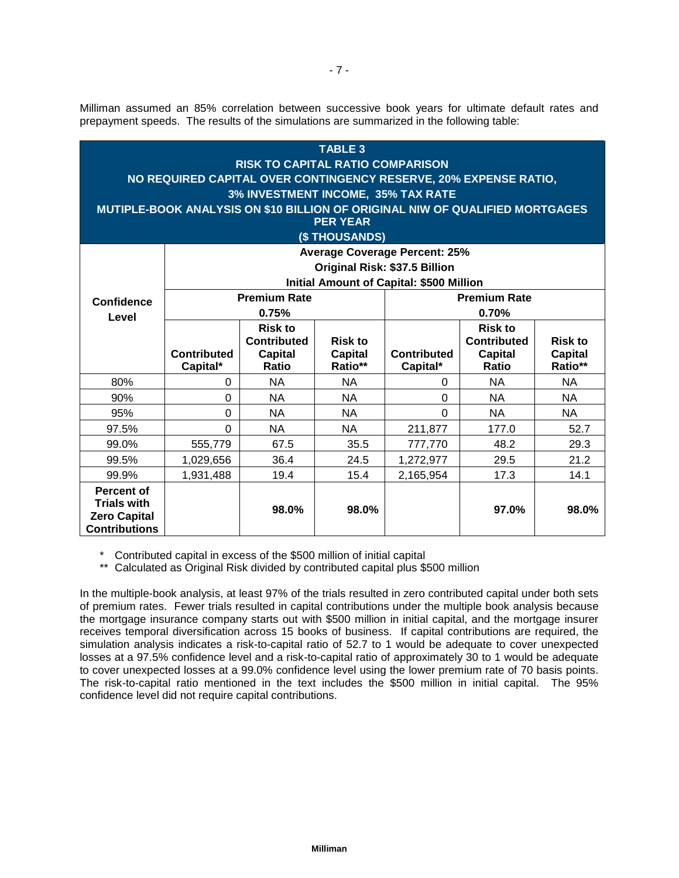Milliman assumed an 85% correlation between successive book years for ultimate default rates and prepayment speeds. The results of the simulations are summarized in the following table:

| <b>TABLE 3</b><br><b>RISK TO CAPITAL RATIO COMPARISON</b><br>NO REQUIRED CAPITAL OVER CONTINGENCY RESERVE, 20% EXPENSE RATIO,<br>3% INVESTMENT INCOME, 35% TAX RATE<br>MUTIPLE-BOOK ANALYSIS ON \$10 BILLION OF ORIGINAL NIW OF QUALIFIED MORTGAGES<br><b>PER YEAR</b><br>(\$THOUSANDS) |                                  |                                                                 |                                             |                                                                                                                          |                                                                        |                                             |  |  |
|-----------------------------------------------------------------------------------------------------------------------------------------------------------------------------------------------------------------------------------------------------------------------------------------|----------------------------------|-----------------------------------------------------------------|---------------------------------------------|--------------------------------------------------------------------------------------------------------------------------|------------------------------------------------------------------------|---------------------------------------------|--|--|
|                                                                                                                                                                                                                                                                                         |                                  |                                                                 |                                             | <b>Average Coverage Percent: 25%</b><br>Original Risk: \$37.5 Billion<br><b>Initial Amount of Capital: \$500 Million</b> |                                                                        |                                             |  |  |
| <b>Confidence</b>                                                                                                                                                                                                                                                                       |                                  | <b>Premium Rate</b><br>0.75%                                    |                                             | <b>Premium Rate</b><br>0.70%                                                                                             |                                                                        |                                             |  |  |
| Level                                                                                                                                                                                                                                                                                   | Contributed<br>Capital*          | <b>Risk to</b><br><b>Contributed</b><br><b>Capital</b><br>Ratio | <b>Risk to</b><br><b>Capital</b><br>Ratio** | Contributed<br>Capital*                                                                                                  | <b>Risk to</b><br><b>Contributed</b><br><b>Capital</b><br><b>Ratio</b> | <b>Risk to</b><br><b>Capital</b><br>Ratio** |  |  |
| 80%                                                                                                                                                                                                                                                                                     | 0                                | <b>NA</b>                                                       | <b>NA</b>                                   | 0                                                                                                                        | <b>NA</b>                                                              | <b>NA</b>                                   |  |  |
| 90%                                                                                                                                                                                                                                                                                     | $\Omega$                         | <b>NA</b>                                                       | <b>NA</b>                                   | $\Omega$                                                                                                                 | <b>NA</b>                                                              | <b>NA</b>                                   |  |  |
| 95%                                                                                                                                                                                                                                                                                     | 0                                | <b>NA</b>                                                       | <b>NA</b>                                   | $\Omega$                                                                                                                 | <b>NA</b>                                                              | NA                                          |  |  |
| 97.5%                                                                                                                                                                                                                                                                                   | $\Omega$                         | <b>NA</b>                                                       | <b>NA</b>                                   | 211,877                                                                                                                  | 177.0                                                                  | 52.7                                        |  |  |
| 99.0%                                                                                                                                                                                                                                                                                   | 555,779                          | 67.5                                                            | 35.5                                        | 777,770                                                                                                                  | 48.2                                                                   | 29.3                                        |  |  |
| 99.5%                                                                                                                                                                                                                                                                                   | 1,029,656                        | 36.4                                                            | 24.5                                        | 1,272,977                                                                                                                | 29.5                                                                   | 21.2                                        |  |  |
| 99.9%                                                                                                                                                                                                                                                                                   | 1,931,488                        | 19.4                                                            | 15.4                                        | 2,165,954                                                                                                                | 17.3                                                                   | 14.1                                        |  |  |
| <b>Percent of</b><br><b>Trials with</b><br><b>Zero Capital</b><br><b>Contributions</b>                                                                                                                                                                                                  | 98.0%<br>98.0%<br>97.0%<br>98.0% |                                                                 |                                             |                                                                                                                          |                                                                        |                                             |  |  |

\* Contributed capital in excess of the \$500 million of initial capital

\*\* Calculated as Original Risk divided by contributed capital plus \$500 million

In the multiple-book analysis, at least 97% of the trials resulted in zero contributed capital under both sets of premium rates. Fewer trials resulted in capital contributions under the multiple book analysis because the mortgage insurance company starts out with \$500 million in initial capital, and the mortgage insurer receives temporal diversification across 15 books of business. If capital contributions are required, the simulation analysis indicates a risk-to-capital ratio of 52.7 to 1 would be adequate to cover unexpected losses at a 97.5% confidence level and a risk-to-capital ratio of approximately 30 to 1 would be adequate to cover unexpected losses at a 99.0% confidence level using the lower premium rate of 70 basis points. The risk-to-capital ratio mentioned in the text includes the \$500 million in initial capital. The 95% confidence level did not require capital contributions.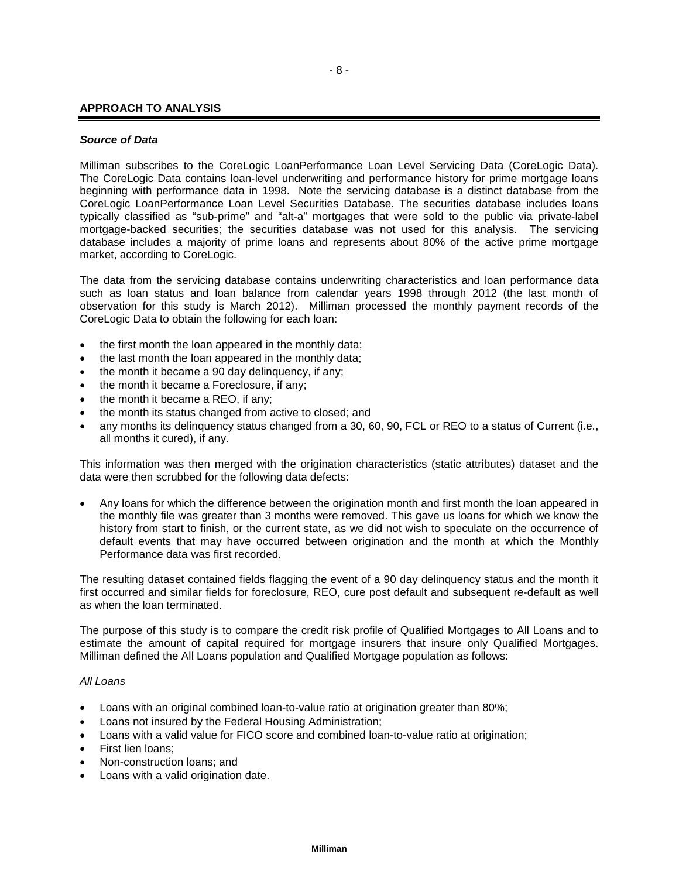#### **APPROACH TO ANALYSIS**

#### *Source of Data*

Milliman subscribes to the CoreLogic LoanPerformance Loan Level Servicing Data (CoreLogic Data). The CoreLogic Data contains loan-level underwriting and performance history for prime mortgage loans beginning with performance data in 1998. Note the servicing database is a distinct database from the CoreLogic LoanPerformance Loan Level Securities Database. The securities database includes loans typically classified as "sub-prime" and "alt-a" mortgages that were sold to the public via private-label mortgage-backed securities; the securities database was not used for this analysis. The servicing database includes a majority of prime loans and represents about 80% of the active prime mortgage market, according to CoreLogic.

The data from the servicing database contains underwriting characteristics and loan performance data such as loan status and loan balance from calendar years 1998 through 2012 (the last month of observation for this study is March 2012). Milliman processed the monthly payment records of the CoreLogic Data to obtain the following for each loan:

- the first month the loan appeared in the monthly data;
- the last month the loan appeared in the monthly data;
- the month it became a 90 day delinguency, if any;
- the month it became a Foreclosure, if any;
- the month it became a REO, if any;
- the month its status changed from active to closed; and
- any months its delinquency status changed from a 30, 60, 90, FCL or REO to a status of Current (i.e., all months it cured), if any.

This information was then merged with the origination characteristics (static attributes) dataset and the data were then scrubbed for the following data defects:

• Any loans for which the difference between the origination month and first month the loan appeared in the monthly file was greater than 3 months were removed. This gave us loans for which we know the history from start to finish, or the current state, as we did not wish to speculate on the occurrence of default events that may have occurred between origination and the month at which the Monthly Performance data was first recorded.

The resulting dataset contained fields flagging the event of a 90 day delinquency status and the month it first occurred and similar fields for foreclosure, REO, cure post default and subsequent re-default as well as when the loan terminated.

The purpose of this study is to compare the credit risk profile of Qualified Mortgages to All Loans and to estimate the amount of capital required for mortgage insurers that insure only Qualified Mortgages. Milliman defined the All Loans population and Qualified Mortgage population as follows:

#### *All Loans*

- Loans with an original combined loan-to-value ratio at origination greater than 80%;
- Loans not insured by the Federal Housing Administration;
- Loans with a valid value for FICO score and combined loan-to-value ratio at origination;
- First lien loans;
- Non-construction loans; and
- Loans with a valid origination date.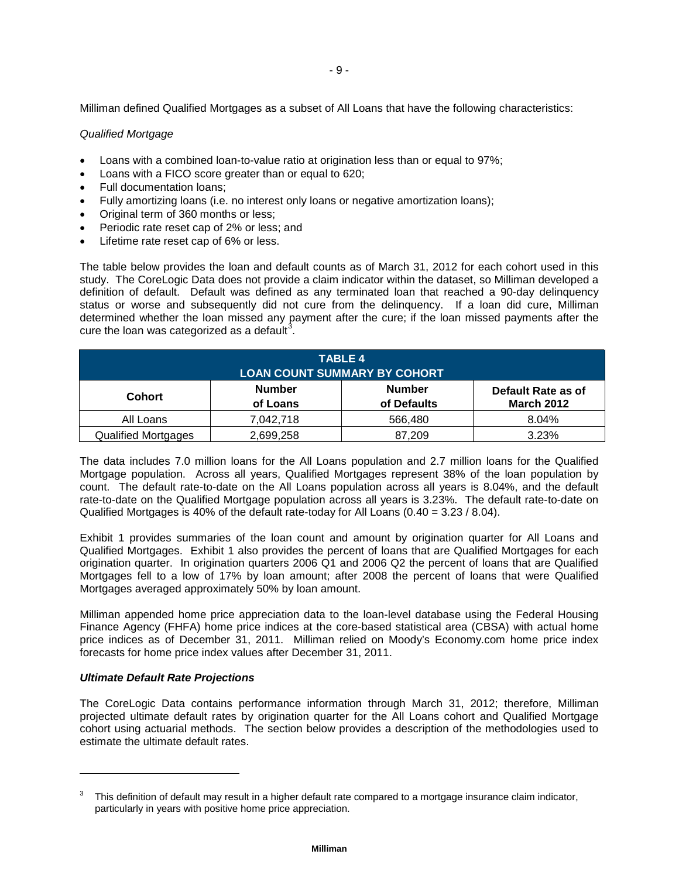Milliman defined Qualified Mortgages as a subset of All Loans that have the following characteristics:

## *Qualified Mortgage*

- Loans with a combined loan-to-value ratio at origination less than or equal to 97%;
- Loans with a FICO score greater than or equal to 620;
- Full documentation loans;
- Fully amortizing loans (i.e. no interest only loans or negative amortization loans);
- Original term of 360 months or less;
- Periodic rate reset cap of 2% or less; and
- Lifetime rate reset cap of 6% or less.

The table below provides the loan and default counts as of March 31, 2012 for each cohort used in this study. The CoreLogic Data does not provide a claim indicator within the dataset, so Milliman developed a definition of default. Default was defined as any terminated loan that reached a 90-day delinquency status or worse and subsequently did not cure from the delinquency. If a loan did cure, Milliman determined whether the loan missed any payment after the cure; if the loan missed payments after the cure the loan was categorized as a default<sup>[3](#page-10-0)</sup>.

| <b>TABLE 4</b>             |                                     |               |                    |  |  |  |  |  |
|----------------------------|-------------------------------------|---------------|--------------------|--|--|--|--|--|
|                            | <b>LOAN COUNT SUMMARY BY COHORT</b> |               |                    |  |  |  |  |  |
| <b>Cohort</b>              | <b>Number</b>                       | <b>Number</b> | Default Rate as of |  |  |  |  |  |
|                            | of Loans                            | of Defaults   | <b>March 2012</b>  |  |  |  |  |  |
| All Loans                  | 7,042,718                           | 566,480       | 8.04%              |  |  |  |  |  |
| <b>Qualified Mortgages</b> | 2,699,258                           | 87,209        | 3.23%              |  |  |  |  |  |

The data includes 7.0 million loans for the All Loans population and 2.7 million loans for the Qualified Mortgage population. Across all years, Qualified Mortgages represent 38% of the loan population by count. The default rate-to-date on the All Loans population across all years is 8.04%, and the default rate-to-date on the Qualified Mortgage population across all years is 3.23%. The default rate-to-date on Qualified Mortgages is 40% of the default rate-today for All Loans (0.40 = 3.23 / 8.04).

Exhibit 1 provides summaries of the loan count and amount by origination quarter for All Loans and Qualified Mortgages. Exhibit 1 also provides the percent of loans that are Qualified Mortgages for each origination quarter. In origination quarters 2006 Q1 and 2006 Q2 the percent of loans that are Qualified Mortgages fell to a low of 17% by loan amount; after 2008 the percent of loans that were Qualified Mortgages averaged approximately 50% by loan amount.

Milliman appended home price appreciation data to the loan-level database using the Federal Housing Finance Agency (FHFA) home price indices at the core-based statistical area (CBSA) with actual home price indices as of December 31, 2011. Milliman relied on Moody's Economy.com home price index forecasts for home price index values after December 31, 2011.

## *Ultimate Default Rate Projections*

j

The CoreLogic Data contains performance information through March 31, 2012; therefore, Milliman projected ultimate default rates by origination quarter for the All Loans cohort and Qualified Mortgage cohort using actuarial methods. The section below provides a description of the methodologies used to estimate the ultimate default rates.

<span id="page-10-0"></span><sup>3</sup> This definition of default may result in a higher default rate compared to a mortgage insurance claim indicator, particularly in years with positive home price appreciation.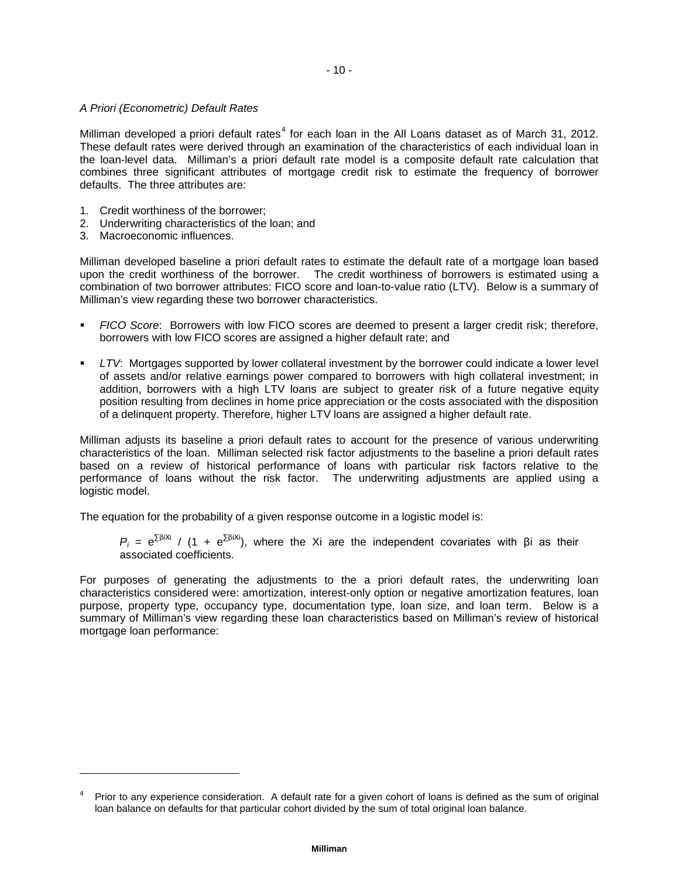## *A Priori (Econometric) Default Rates*

Milliman developed a priori default rates<sup>[4](#page-11-0)</sup> for each loan in the All Loans dataset as of March 31, 2012. These default rates were derived through an examination of the characteristics of each individual loan in the loan-level data. Milliman's a priori default rate model is a composite default rate calculation that combines three significant attributes of mortgage credit risk to estimate the frequency of borrower defaults. The three attributes are:

- 1. Credit worthiness of the borrower;
- 2. Underwriting characteristics of the loan; and
- 3. Macroeconomic influences.

j

Milliman developed baseline a priori default rates to estimate the default rate of a mortgage loan based upon the credit worthiness of the borrower. The credit worthiness of borrowers is estimated using a combination of two borrower attributes: FICO score and loan-to-value ratio (LTV). Below is a summary of Milliman's view regarding these two borrower characteristics.

- *FICO Score*: Borrowers with low FICO scores are deemed to present a larger credit risk; therefore, borrowers with low FICO scores are assigned a higher default rate; and
- *LTV*: Mortgages supported by lower collateral investment by the borrower could indicate a lower level of assets and/or relative earnings power compared to borrowers with high collateral investment; in addition, borrowers with a high LTV loans are subject to greater risk of a future negative equity position resulting from declines in home price appreciation or the costs associated with the disposition of a delinquent property. Therefore, higher LTV loans are assigned a higher default rate.

Milliman adjusts its baseline a priori default rates to account for the presence of various underwriting characteristics of the loan. Milliman selected risk factor adjustments to the baseline a priori default rates based on a review of historical performance of loans with particular risk factors relative to the performance of loans without the risk factor. The underwriting adjustments are applied using a logistic model.

The equation for the probability of a given response outcome in a logistic model is:

*P<sub>i</sub>* =  $e^{\sum \beta i X i}$  / (1 +  $e^{\sum \beta i X i}$ ), where the Xi are the independent covariates with βi as their associated coefficients.

For purposes of generating the adjustments to the a priori default rates, the underwriting loan characteristics considered were: amortization, interest-only option or negative amortization features, loan purpose, property type, occupancy type, documentation type, loan size, and loan term. Below is a summary of Milliman's view regarding these loan characteristics based on Milliman's review of historical mortgage loan performance:

<span id="page-11-0"></span>Prior to any experience consideration. A default rate for a given cohort of loans is defined as the sum of original loan balance on defaults for that particular cohort divided by the sum of total original loan balance.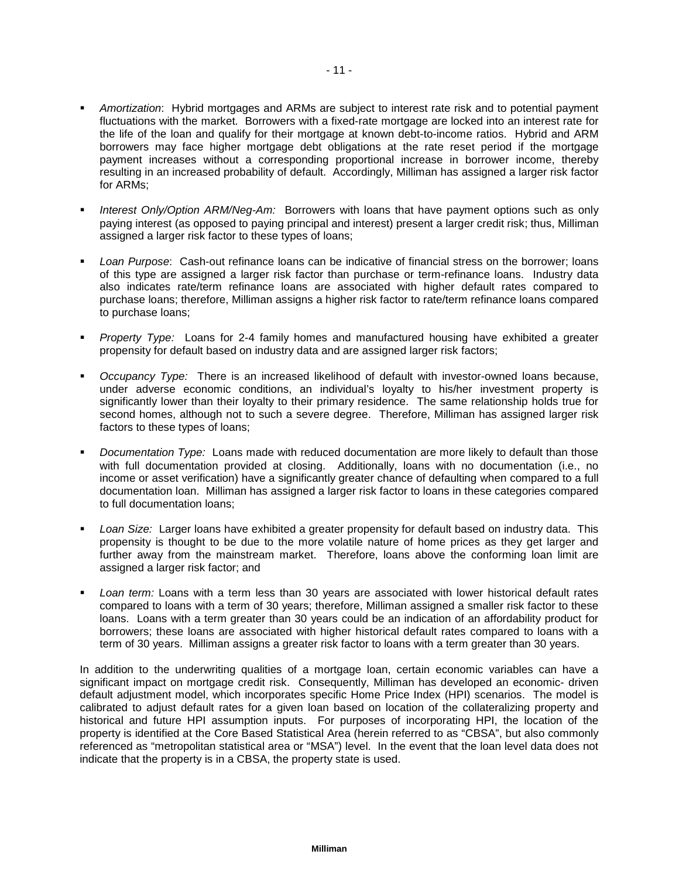- *Amortization*: Hybrid mortgages and ARMs are subject to interest rate risk and to potential payment fluctuations with the market. Borrowers with a fixed-rate mortgage are locked into an interest rate for the life of the loan and qualify for their mortgage at known debt-to-income ratios. Hybrid and ARM borrowers may face higher mortgage debt obligations at the rate reset period if the mortgage payment increases without a corresponding proportional increase in borrower income, thereby resulting in an increased probability of default. Accordingly, Milliman has assigned a larger risk factor for ARMs;
- *Interest Only/Option ARM/Neg-Am:* Borrowers with loans that have payment options such as only paying interest (as opposed to paying principal and interest) present a larger credit risk; thus, Milliman assigned a larger risk factor to these types of loans;
- *Loan Purpose*: Cash-out refinance loans can be indicative of financial stress on the borrower; loans of this type are assigned a larger risk factor than purchase or term-refinance loans. Industry data also indicates rate/term refinance loans are associated with higher default rates compared to purchase loans; therefore, Milliman assigns a higher risk factor to rate/term refinance loans compared to purchase loans;
- *Property Type:* Loans for 2-4 family homes and manufactured housing have exhibited a greater propensity for default based on industry data and are assigned larger risk factors;
- *Occupancy Type:* There is an increased likelihood of default with investor-owned loans because, under adverse economic conditions, an individual's loyalty to his/her investment property is significantly lower than their loyalty to their primary residence. The same relationship holds true for second homes, although not to such a severe degree. Therefore, Milliman has assigned larger risk factors to these types of loans;
- *Documentation Type:* Loans made with reduced documentation are more likely to default than those with full documentation provided at closing. Additionally, loans with no documentation (i.e., no income or asset verification) have a significantly greater chance of defaulting when compared to a full documentation loan. Milliman has assigned a larger risk factor to loans in these categories compared to full documentation loans;
- *Loan Size:* Larger loans have exhibited a greater propensity for default based on industry data. This propensity is thought to be due to the more volatile nature of home prices as they get larger and further away from the mainstream market. Therefore, loans above the conforming loan limit are assigned a larger risk factor; and
- *Loan term:* Loans with a term less than 30 years are associated with lower historical default rates compared to loans with a term of 30 years; therefore, Milliman assigned a smaller risk factor to these loans. Loans with a term greater than 30 years could be an indication of an affordability product for borrowers; these loans are associated with higher historical default rates compared to loans with a term of 30 years. Milliman assigns a greater risk factor to loans with a term greater than 30 years.

In addition to the underwriting qualities of a mortgage loan, certain economic variables can have a significant impact on mortgage credit risk. Consequently, Milliman has developed an economic- driven default adjustment model, which incorporates specific Home Price Index (HPI) scenarios. The model is calibrated to adjust default rates for a given loan based on location of the collateralizing property and historical and future HPI assumption inputs. For purposes of incorporating HPI, the location of the property is identified at the Core Based Statistical Area (herein referred to as "CBSA", but also commonly referenced as "metropolitan statistical area or "MSA") level. In the event that the loan level data does not indicate that the property is in a CBSA, the property state is used.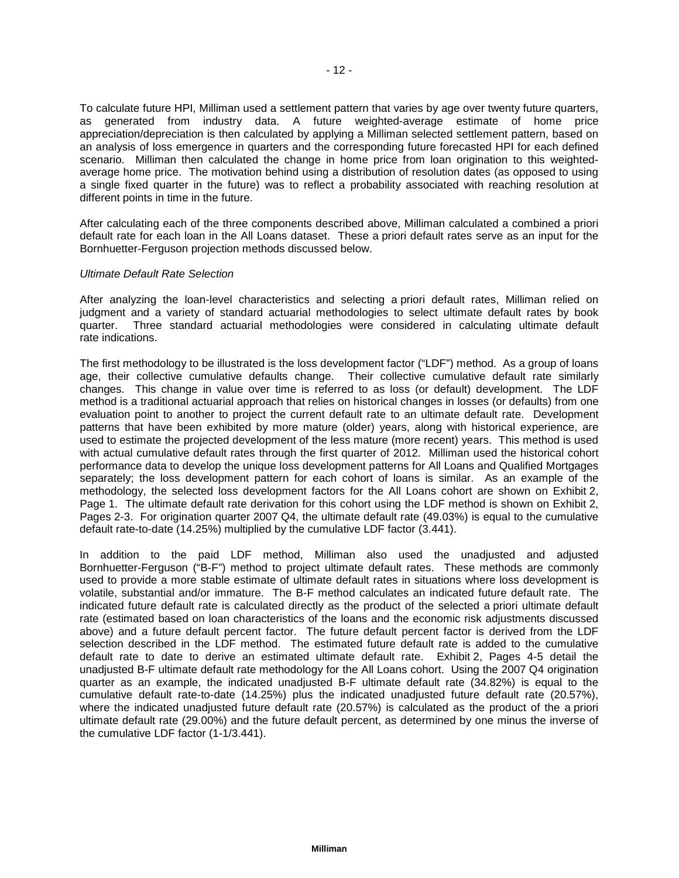To calculate future HPI, Milliman used a settlement pattern that varies by age over twenty future quarters, as generated from industry data. A future weighted-average estimate of home price appreciation/depreciation is then calculated by applying a Milliman selected settlement pattern, based on an analysis of loss emergence in quarters and the corresponding future forecasted HPI for each defined scenario. Milliman then calculated the change in home price from loan origination to this weightedaverage home price. The motivation behind using a distribution of resolution dates (as opposed to using a single fixed quarter in the future) was to reflect a probability associated with reaching resolution at different points in time in the future.

After calculating each of the three components described above, Milliman calculated a combined a priori default rate for each loan in the All Loans dataset. These a priori default rates serve as an input for the Bornhuetter-Ferguson projection methods discussed below.

## *Ultimate Default Rate Selection*

After analyzing the loan-level characteristics and selecting a priori default rates, Milliman relied on judgment and a variety of standard actuarial methodologies to select ultimate default rates by book quarter. Three standard actuarial methodologies were considered in calculating ultimate default rate indications.

The first methodology to be illustrated is the loss development factor ("LDF") method. As a group of loans age, their collective cumulative defaults change. Their collective cumulative default rate similarly changes. This change in value over time is referred to as loss (or default) development. The LDF method is a traditional actuarial approach that relies on historical changes in losses (or defaults) from one evaluation point to another to project the current default rate to an ultimate default rate. Development patterns that have been exhibited by more mature (older) years, along with historical experience, are used to estimate the projected development of the less mature (more recent) years. This method is used with actual cumulative default rates through the first quarter of 2012. Milliman used the historical cohort performance data to develop the unique loss development patterns for All Loans and Qualified Mortgages separately; the loss development pattern for each cohort of loans is similar. As an example of the methodology, the selected loss development factors for the All Loans cohort are shown on Exhibit 2, Page 1. The ultimate default rate derivation for this cohort using the LDF method is shown on Exhibit 2, Pages 2-3. For origination quarter 2007 Q4, the ultimate default rate (49.03%) is equal to the cumulative default rate-to-date (14.25%) multiplied by the cumulative LDF factor (3.441).

In addition to the paid LDF method, Milliman also used the unadjusted and adjusted Bornhuetter-Ferguson ("B-F") method to project ultimate default rates. These methods are commonly used to provide a more stable estimate of ultimate default rates in situations where loss development is volatile, substantial and/or immature. The B-F method calculates an indicated future default rate. The indicated future default rate is calculated directly as the product of the selected a priori ultimate default rate (estimated based on loan characteristics of the loans and the economic risk adjustments discussed above) and a future default percent factor. The future default percent factor is derived from the LDF selection described in the LDF method. The estimated future default rate is added to the cumulative default rate to date to derive an estimated ultimate default rate. Exhibit 2, Pages 4-5 detail the unadjusted B-F ultimate default rate methodology for the All Loans cohort. Using the 2007 Q4 origination quarter as an example, the indicated unadjusted B-F ultimate default rate (34.82%) is equal to the cumulative default rate-to-date (14.25%) plus the indicated unadjusted future default rate (20.57%), where the indicated unadjusted future default rate (20.57%) is calculated as the product of the a priori ultimate default rate (29.00%) and the future default percent, as determined by one minus the inverse of the cumulative LDF factor (1-1/3.441).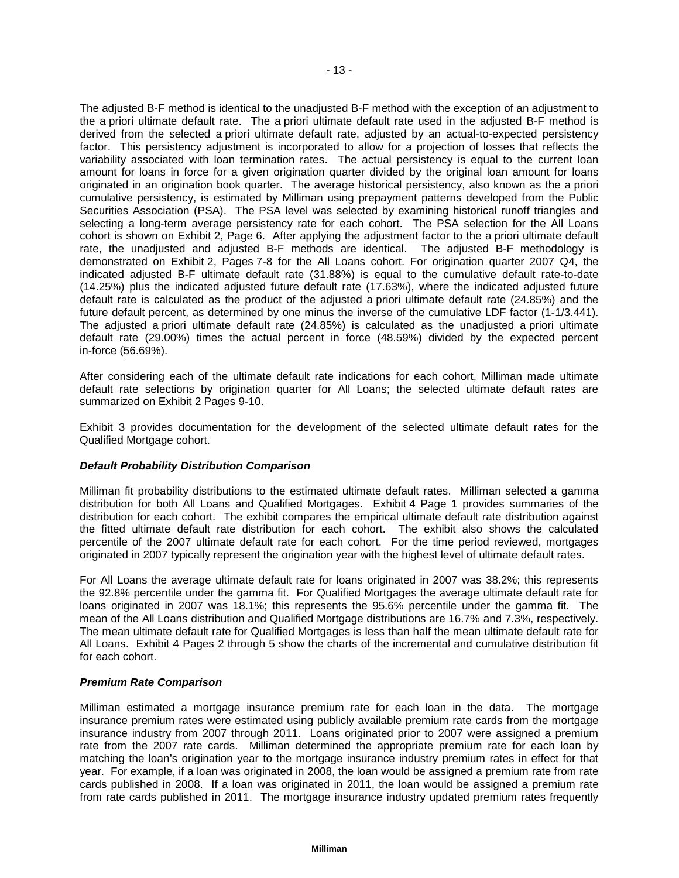The adjusted B-F method is identical to the unadjusted B-F method with the exception of an adjustment to the a priori ultimate default rate. The a priori ultimate default rate used in the adjusted B-F method is derived from the selected a priori ultimate default rate, adjusted by an actual-to-expected persistency factor. This persistency adjustment is incorporated to allow for a projection of losses that reflects the variability associated with loan termination rates. The actual persistency is equal to the current loan amount for loans in force for a given origination quarter divided by the original loan amount for loans originated in an origination book quarter. The average historical persistency, also known as the a priori cumulative persistency, is estimated by Milliman using prepayment patterns developed from the Public Securities Association (PSA). The PSA level was selected by examining historical runoff triangles and selecting a long-term average persistency rate for each cohort. The PSA selection for the All Loans cohort is shown on Exhibit 2, Page 6. After applying the adjustment factor to the a priori ultimate default rate, the unadjusted and adjusted B-F methods are identical. The adjusted B-F methodology is demonstrated on Exhibit 2, Pages 7-8 for the All Loans cohort. For origination quarter 2007 Q4, the indicated adjusted B-F ultimate default rate (31.88%) is equal to the cumulative default rate-to-date (14.25%) plus the indicated adjusted future default rate (17.63%), where the indicated adjusted future default rate is calculated as the product of the adjusted a priori ultimate default rate (24.85%) and the future default percent, as determined by one minus the inverse of the cumulative LDF factor (1-1/3.441). The adjusted a priori ultimate default rate (24.85%) is calculated as the unadjusted a priori ultimate default rate (29.00%) times the actual percent in force (48.59%) divided by the expected percent in-force (56.69%).

After considering each of the ultimate default rate indications for each cohort, Milliman made ultimate default rate selections by origination quarter for All Loans; the selected ultimate default rates are summarized on Exhibit 2 Pages 9-10.

Exhibit 3 provides documentation for the development of the selected ultimate default rates for the Qualified Mortgage cohort.

## *Default Probability Distribution Comparison*

Milliman fit probability distributions to the estimated ultimate default rates. Milliman selected a gamma distribution for both All Loans and Qualified Mortgages. Exhibit 4 Page 1 provides summaries of the distribution for each cohort. The exhibit compares the empirical ultimate default rate distribution against the fitted ultimate default rate distribution for each cohort. The exhibit also shows the calculated percentile of the 2007 ultimate default rate for each cohort. For the time period reviewed, mortgages originated in 2007 typically represent the origination year with the highest level of ultimate default rates.

For All Loans the average ultimate default rate for loans originated in 2007 was 38.2%; this represents the 92.8% percentile under the gamma fit. For Qualified Mortgages the average ultimate default rate for loans originated in 2007 was 18.1%; this represents the 95.6% percentile under the gamma fit. The mean of the All Loans distribution and Qualified Mortgage distributions are 16.7% and 7.3%, respectively. The mean ultimate default rate for Qualified Mortgages is less than half the mean ultimate default rate for All Loans. Exhibit 4 Pages 2 through 5 show the charts of the incremental and cumulative distribution fit for each cohort.

#### *Premium Rate Comparison*

Milliman estimated a mortgage insurance premium rate for each loan in the data. The mortgage insurance premium rates were estimated using publicly available premium rate cards from the mortgage insurance industry from 2007 through 2011. Loans originated prior to 2007 were assigned a premium rate from the 2007 rate cards. Milliman determined the appropriate premium rate for each loan by matching the loan's origination year to the mortgage insurance industry premium rates in effect for that year. For example, if a loan was originated in 2008, the loan would be assigned a premium rate from rate cards published in 2008. If a loan was originated in 2011, the loan would be assigned a premium rate from rate cards published in 2011. The mortgage insurance industry updated premium rates frequently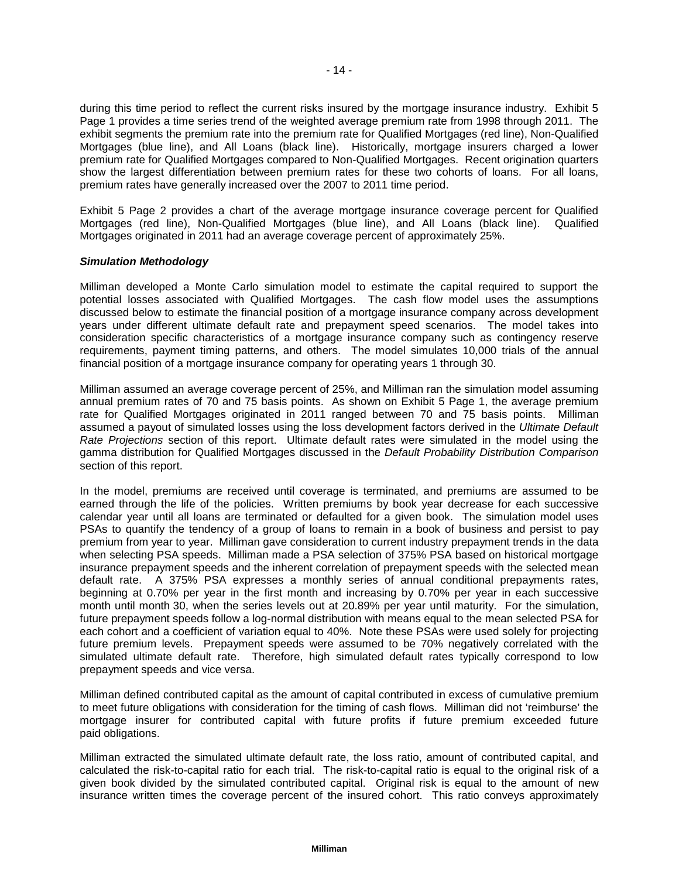during this time period to reflect the current risks insured by the mortgage insurance industry. Exhibit 5 Page 1 provides a time series trend of the weighted average premium rate from 1998 through 2011. The exhibit segments the premium rate into the premium rate for Qualified Mortgages (red line), Non-Qualified Mortgages (blue line), and All Loans (black line). Historically, mortgage insurers charged a lower premium rate for Qualified Mortgages compared to Non-Qualified Mortgages. Recent origination quarters show the largest differentiation between premium rates for these two cohorts of loans. For all loans, premium rates have generally increased over the 2007 to 2011 time period.

Exhibit 5 Page 2 provides a chart of the average mortgage insurance coverage percent for Qualified Mortgages (red line), Non-Qualified Mortgages (blue line), and All Loans (black line). Qualified Mortgages originated in 2011 had an average coverage percent of approximately 25%.

## *Simulation Methodology*

Milliman developed a Monte Carlo simulation model to estimate the capital required to support the potential losses associated with Qualified Mortgages. The cash flow model uses the assumptions discussed below to estimate the financial position of a mortgage insurance company across development years under different ultimate default rate and prepayment speed scenarios. The model takes into consideration specific characteristics of a mortgage insurance company such as contingency reserve requirements, payment timing patterns, and others. The model simulates 10,000 trials of the annual financial position of a mortgage insurance company for operating years 1 through 30.

Milliman assumed an average coverage percent of 25%, and Milliman ran the simulation model assuming annual premium rates of 70 and 75 basis points. As shown on Exhibit 5 Page 1, the average premium rate for Qualified Mortgages originated in 2011 ranged between 70 and 75 basis points. Milliman assumed a payout of simulated losses using the loss development factors derived in the *Ultimate Default Rate Projections* section of this report. Ultimate default rates were simulated in the model using the gamma distribution for Qualified Mortgages discussed in the *Default Probability Distribution Comparison* section of this report.

In the model, premiums are received until coverage is terminated, and premiums are assumed to be earned through the life of the policies. Written premiums by book year decrease for each successive calendar year until all loans are terminated or defaulted for a given book. The simulation model uses PSAs to quantify the tendency of a group of loans to remain in a book of business and persist to pay premium from year to year. Milliman gave consideration to current industry prepayment trends in the data when selecting PSA speeds. Milliman made a PSA selection of 375% PSA based on historical mortgage insurance prepayment speeds and the inherent correlation of prepayment speeds with the selected mean default rate. A 375% PSA expresses a monthly series of annual conditional prepayments rates, beginning at 0.70% per year in the first month and increasing by 0.70% per year in each successive month until month 30, when the series levels out at 20.89% per year until maturity. For the simulation, future prepayment speeds follow a log-normal distribution with means equal to the mean selected PSA for each cohort and a coefficient of variation equal to 40%. Note these PSAs were used solely for projecting future premium levels. Prepayment speeds were assumed to be 70% negatively correlated with the simulated ultimate default rate. Therefore, high simulated default rates typically correspond to low prepayment speeds and vice versa.

Milliman defined contributed capital as the amount of capital contributed in excess of cumulative premium to meet future obligations with consideration for the timing of cash flows. Milliman did not 'reimburse' the mortgage insurer for contributed capital with future profits if future premium exceeded future paid obligations.

Milliman extracted the simulated ultimate default rate, the loss ratio, amount of contributed capital, and calculated the risk-to-capital ratio for each trial. The risk-to-capital ratio is equal to the original risk of a given book divided by the simulated contributed capital. Original risk is equal to the amount of new insurance written times the coverage percent of the insured cohort. This ratio conveys approximately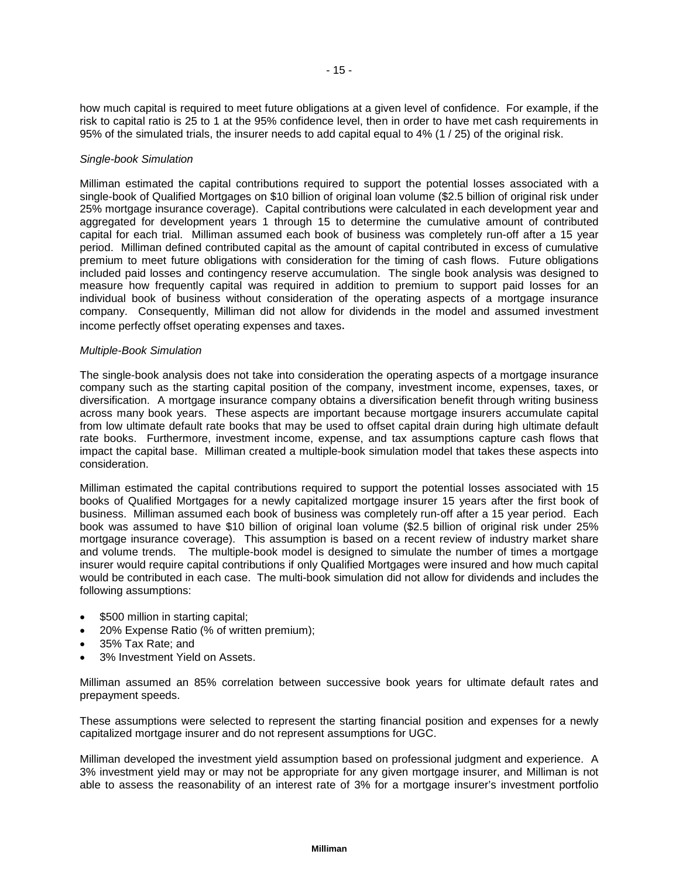how much capital is required to meet future obligations at a given level of confidence. For example, if the risk to capital ratio is 25 to 1 at the 95% confidence level, then in order to have met cash requirements in 95% of the simulated trials, the insurer needs to add capital equal to 4% (1 / 25) of the original risk.

## *Single-book Simulation*

Milliman estimated the capital contributions required to support the potential losses associated with a single-book of Qualified Mortgages on \$10 billion of original loan volume (\$2.5 billion of original risk under 25% mortgage insurance coverage). Capital contributions were calculated in each development year and aggregated for development years 1 through 15 to determine the cumulative amount of contributed capital for each trial. Milliman assumed each book of business was completely run-off after a 15 year period. Milliman defined contributed capital as the amount of capital contributed in excess of cumulative premium to meet future obligations with consideration for the timing of cash flows. Future obligations included paid losses and contingency reserve accumulation. The single book analysis was designed to measure how frequently capital was required in addition to premium to support paid losses for an individual book of business without consideration of the operating aspects of a mortgage insurance company. Consequently, Milliman did not allow for dividends in the model and assumed investment income perfectly offset operating expenses and taxes.

## *Multiple-Book Simulation*

The single-book analysis does not take into consideration the operating aspects of a mortgage insurance company such as the starting capital position of the company, investment income, expenses, taxes, or diversification. A mortgage insurance company obtains a diversification benefit through writing business across many book years. These aspects are important because mortgage insurers accumulate capital from low ultimate default rate books that may be used to offset capital drain during high ultimate default rate books. Furthermore, investment income, expense, and tax assumptions capture cash flows that impact the capital base. Milliman created a multiple-book simulation model that takes these aspects into consideration.

Milliman estimated the capital contributions required to support the potential losses associated with 15 books of Qualified Mortgages for a newly capitalized mortgage insurer 15 years after the first book of business. Milliman assumed each book of business was completely run-off after a 15 year period. Each book was assumed to have \$10 billion of original loan volume (\$2.5 billion of original risk under 25% mortgage insurance coverage). This assumption is based on a recent review of industry market share and volume trends. The multiple-book model is designed to simulate the number of times a mortgage insurer would require capital contributions if only Qualified Mortgages were insured and how much capital would be contributed in each case. The multi-book simulation did not allow for dividends and includes the following assumptions:

- \$500 million in starting capital;
- 20% Expense Ratio (% of written premium);
- 35% Tax Rate; and
- 3% Investment Yield on Assets.

Milliman assumed an 85% correlation between successive book years for ultimate default rates and prepayment speeds.

These assumptions were selected to represent the starting financial position and expenses for a newly capitalized mortgage insurer and do not represent assumptions for UGC.

Milliman developed the investment yield assumption based on professional judgment and experience. A 3% investment yield may or may not be appropriate for any given mortgage insurer, and Milliman is not able to assess the reasonability of an interest rate of 3% for a mortgage insurer's investment portfolio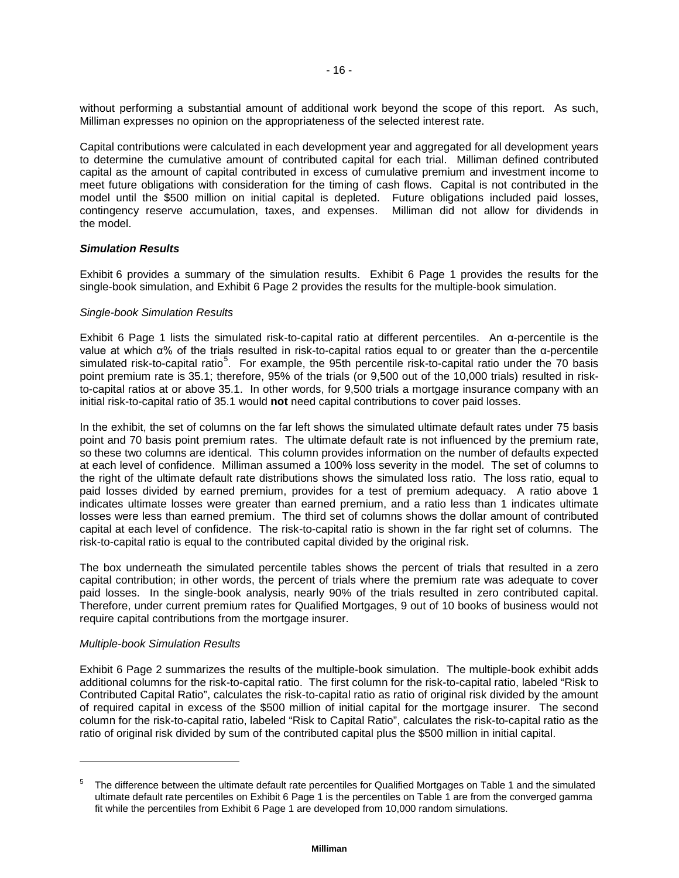without performing a substantial amount of additional work beyond the scope of this report. As such, Milliman expresses no opinion on the appropriateness of the selected interest rate.

Capital contributions were calculated in each development year and aggregated for all development years to determine the cumulative amount of contributed capital for each trial. Milliman defined contributed capital as the amount of capital contributed in excess of cumulative premium and investment income to meet future obligations with consideration for the timing of cash flows. Capital is not contributed in the model until the \$500 million on initial capital is depleted. Future obligations included paid losses, contingency reserve accumulation, taxes, and expenses. Milliman did not allow for dividends in the model.

## *Simulation Results*

Exhibit 6 provides a summary of the simulation results. Exhibit 6 Page 1 provides the results for the single-book simulation, and Exhibit 6 Page 2 provides the results for the multiple-book simulation.

## *Single-book Simulation Results*

Exhibit 6 Page 1 lists the simulated risk-to-capital ratio at different percentiles. An α-percentile is the value at which α% of the trials resulted in risk-to-capital ratios equal to or greater than the α-percentile simulated risk-to-capital ratio<sup>[5](#page-17-0)</sup>. For example, the 95th percentile risk-to-capital ratio under the 70 basis point premium rate is 35.1; therefore, 95% of the trials (or 9,500 out of the 10,000 trials) resulted in riskto-capital ratios at or above 35.1. In other words, for 9,500 trials a mortgage insurance company with an initial risk-to-capital ratio of 35.1 would **not** need capital contributions to cover paid losses.

In the exhibit, the set of columns on the far left shows the simulated ultimate default rates under 75 basis point and 70 basis point premium rates. The ultimate default rate is not influenced by the premium rate, so these two columns are identical. This column provides information on the number of defaults expected at each level of confidence. Milliman assumed a 100% loss severity in the model. The set of columns to the right of the ultimate default rate distributions shows the simulated loss ratio. The loss ratio, equal to paid losses divided by earned premium, provides for a test of premium adequacy. A ratio above 1 indicates ultimate losses were greater than earned premium, and a ratio less than 1 indicates ultimate losses were less than earned premium. The third set of columns shows the dollar amount of contributed capital at each level of confidence. The risk-to-capital ratio is shown in the far right set of columns. The risk-to-capital ratio is equal to the contributed capital divided by the original risk.

The box underneath the simulated percentile tables shows the percent of trials that resulted in a zero capital contribution; in other words, the percent of trials where the premium rate was adequate to cover paid losses. In the single-book analysis, nearly 90% of the trials resulted in zero contributed capital. Therefore, under current premium rates for Qualified Mortgages, 9 out of 10 books of business would not require capital contributions from the mortgage insurer.

#### *Multiple-book Simulation Results*

-

Exhibit 6 Page 2 summarizes the results of the multiple-book simulation. The multiple-book exhibit adds additional columns for the risk-to-capital ratio. The first column for the risk-to-capital ratio, labeled "Risk to Contributed Capital Ratio", calculates the risk-to-capital ratio as ratio of original risk divided by the amount of required capital in excess of the \$500 million of initial capital for the mortgage insurer. The second column for the risk-to-capital ratio, labeled "Risk to Capital Ratio", calculates the risk-to-capital ratio as the ratio of original risk divided by sum of the contributed capital plus the \$500 million in initial capital.

<span id="page-17-0"></span><sup>5</sup> The difference between the ultimate default rate percentiles for Qualified Mortgages on Table 1 and the simulated ultimate default rate percentiles on Exhibit 6 Page 1 is the percentiles on Table 1 are from the converged gamma fit while the percentiles from Exhibit 6 Page 1 are developed from 10,000 random simulations.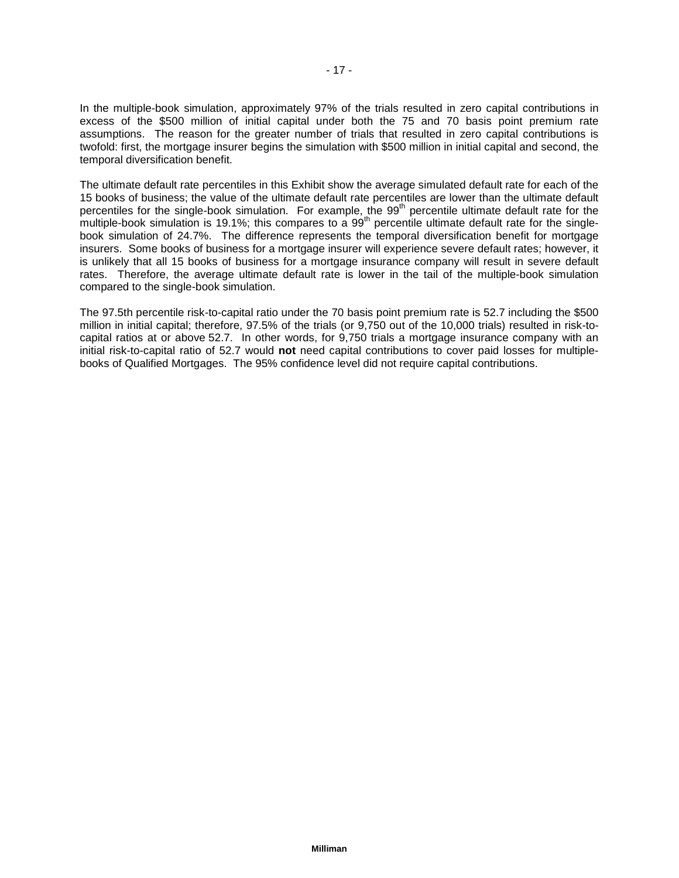In the multiple-book simulation, approximately 97% of the trials resulted in zero capital contributions in excess of the \$500 million of initial capital under both the 75 and 70 basis point premium rate assumptions. The reason for the greater number of trials that resulted in zero capital contributions is twofold: first, the mortgage insurer begins the simulation with \$500 million in initial capital and second, the temporal diversification benefit.

The ultimate default rate percentiles in this Exhibit show the average simulated default rate for each of the 15 books of business; the value of the ultimate default rate percentiles are lower than the ultimate default percentiles for the single-book simulation. For example, the 99<sup>th</sup> percentile ultimate default rate for the multiple-book simulation is 19.1%; this compares to a 99<sup>th</sup> percentile ultimate default rate for the singlebook simulation of 24.7%. The difference represents the temporal diversification benefit for mortgage insurers. Some books of business for a mortgage insurer will experience severe default rates; however, it is unlikely that all 15 books of business for a mortgage insurance company will result in severe default rates. Therefore, the average ultimate default rate is lower in the tail of the multiple-book simulation compared to the single-book simulation.

The 97.5th percentile risk-to-capital ratio under the 70 basis point premium rate is 52.7 including the \$500 million in initial capital; therefore, 97.5% of the trials (or 9,750 out of the 10,000 trials) resulted in risk-tocapital ratios at or above 52.7. In other words, for 9,750 trials a mortgage insurance company with an initial risk-to-capital ratio of 52.7 would **not** need capital contributions to cover paid losses for multiplebooks of Qualified Mortgages. The 95% confidence level did not require capital contributions.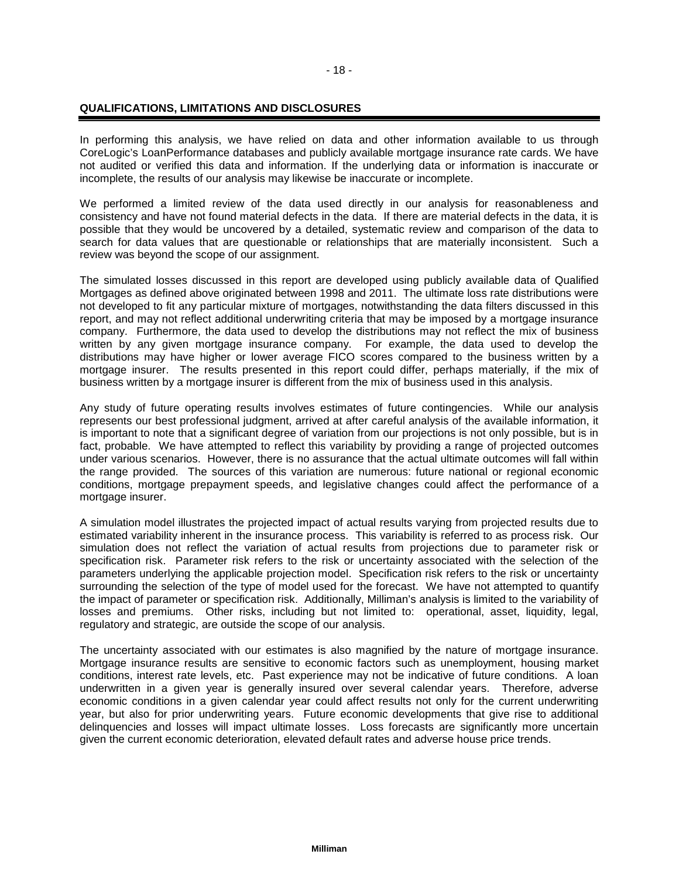## **QUALIFICATIONS, LIMITATIONS AND DISCLOSURES**

In performing this analysis, we have relied on data and other information available to us through CoreLogic's LoanPerformance databases and publicly available mortgage insurance rate cards. We have not audited or verified this data and information. If the underlying data or information is inaccurate or incomplete, the results of our analysis may likewise be inaccurate or incomplete.

We performed a limited review of the data used directly in our analysis for reasonableness and consistency and have not found material defects in the data. If there are material defects in the data, it is possible that they would be uncovered by a detailed, systematic review and comparison of the data to search for data values that are questionable or relationships that are materially inconsistent. Such a review was beyond the scope of our assignment.

The simulated losses discussed in this report are developed using publicly available data of Qualified Mortgages as defined above originated between 1998 and 2011. The ultimate loss rate distributions were not developed to fit any particular mixture of mortgages, notwithstanding the data filters discussed in this report, and may not reflect additional underwriting criteria that may be imposed by a mortgage insurance company. Furthermore, the data used to develop the distributions may not reflect the mix of business written by any given mortgage insurance company. For example, the data used to develop the distributions may have higher or lower average FICO scores compared to the business written by a mortgage insurer. The results presented in this report could differ, perhaps materially, if the mix of business written by a mortgage insurer is different from the mix of business used in this analysis.

Any study of future operating results involves estimates of future contingencies. While our analysis represents our best professional judgment, arrived at after careful analysis of the available information, it is important to note that a significant degree of variation from our projections is not only possible, but is in fact, probable. We have attempted to reflect this variability by providing a range of projected outcomes under various scenarios. However, there is no assurance that the actual ultimate outcomes will fall within the range provided. The sources of this variation are numerous: future national or regional economic conditions, mortgage prepayment speeds, and legislative changes could affect the performance of a mortgage insurer.

A simulation model illustrates the projected impact of actual results varying from projected results due to estimated variability inherent in the insurance process. This variability is referred to as process risk. Our simulation does not reflect the variation of actual results from projections due to parameter risk or specification risk. Parameter risk refers to the risk or uncertainty associated with the selection of the parameters underlying the applicable projection model. Specification risk refers to the risk or uncertainty surrounding the selection of the type of model used for the forecast. We have not attempted to quantify the impact of parameter or specification risk. Additionally, Milliman's analysis is limited to the variability of losses and premiums. Other risks, including but not limited to: operational, asset, liquidity, legal, regulatory and strategic, are outside the scope of our analysis.

The uncertainty associated with our estimates is also magnified by the nature of mortgage insurance. Mortgage insurance results are sensitive to economic factors such as unemployment, housing market conditions, interest rate levels, etc. Past experience may not be indicative of future conditions. A loan underwritten in a given year is generally insured over several calendar years. Therefore, adverse economic conditions in a given calendar year could affect results not only for the current underwriting year, but also for prior underwriting years. Future economic developments that give rise to additional delinquencies and losses will impact ultimate losses. Loss forecasts are significantly more uncertain given the current economic deterioration, elevated default rates and adverse house price trends.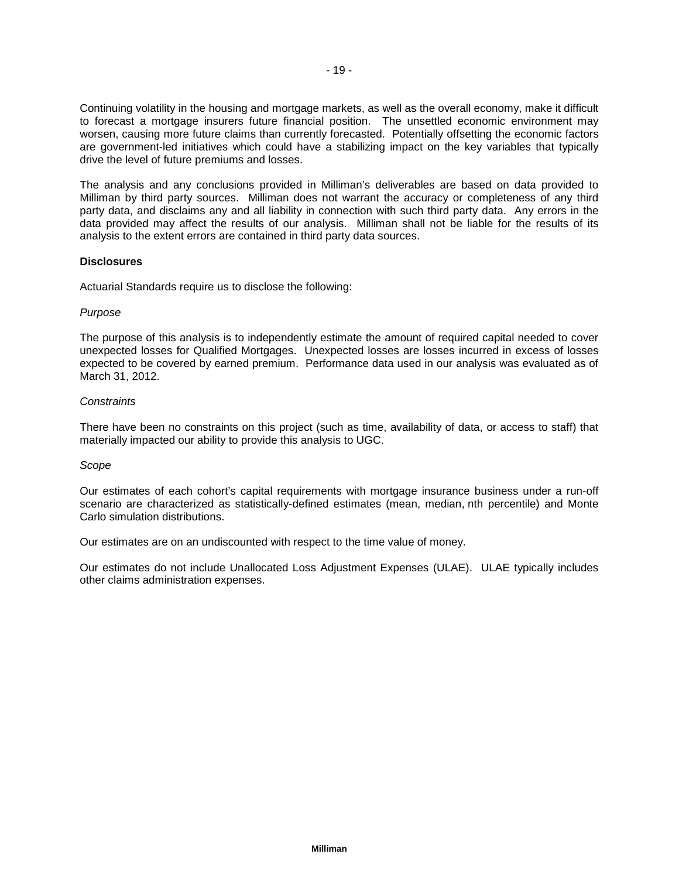Continuing volatility in the housing and mortgage markets, as well as the overall economy, make it difficult to forecast a mortgage insurers future financial position. The unsettled economic environment may worsen, causing more future claims than currently forecasted. Potentially offsetting the economic factors are government-led initiatives which could have a stabilizing impact on the key variables that typically drive the level of future premiums and losses.

The analysis and any conclusions provided in Milliman's deliverables are based on data provided to Milliman by third party sources. Milliman does not warrant the accuracy or completeness of any third party data, and disclaims any and all liability in connection with such third party data. Any errors in the data provided may affect the results of our analysis. Milliman shall not be liable for the results of its analysis to the extent errors are contained in third party data sources.

## **Disclosures**

Actuarial Standards require us to disclose the following:

## *Purpose*

The purpose of this analysis is to independently estimate the amount of required capital needed to cover unexpected losses for Qualified Mortgages. Unexpected losses are losses incurred in excess of losses expected to be covered by earned premium. Performance data used in our analysis was evaluated as of March 31, 2012.

## *Constraints*

There have been no constraints on this project (such as time, availability of data, or access to staff) that materially impacted our ability to provide this analysis to UGC.

#### *Scope*

Our estimates of each cohort's capital requirements with mortgage insurance business under a run-off scenario are characterized as statistically-defined estimates (mean, median, nth percentile) and Monte Carlo simulation distributions.

Our estimates are on an undiscounted with respect to the time value of money.

Our estimates do not include Unallocated Loss Adjustment Expenses (ULAE). ULAE typically includes other claims administration expenses.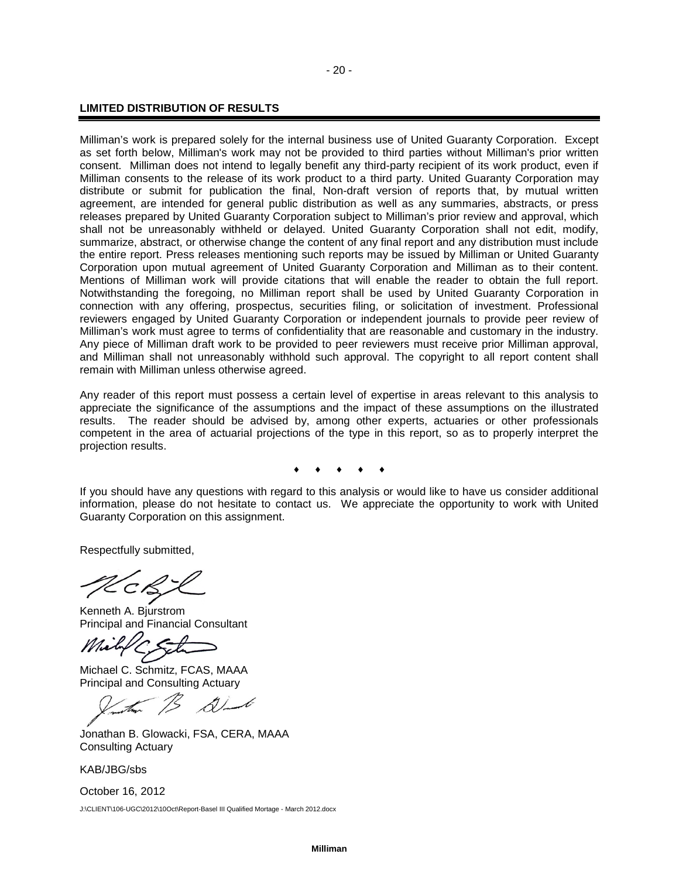## **LIMITED DISTRIBUTION OF RESULTS**

Milliman's work is prepared solely for the internal business use of United Guaranty Corporation. Except as set forth below, Milliman's work may not be provided to third parties without Milliman's prior written consent. Milliman does not intend to legally benefit any third-party recipient of its work product, even if Milliman consents to the release of its work product to a third party. United Guaranty Corporation may distribute or submit for publication the final, Non-draft version of reports that, by mutual written agreement, are intended for general public distribution as well as any summaries, abstracts, or press releases prepared by United Guaranty Corporation subject to Milliman's prior review and approval, which shall not be unreasonably withheld or delayed. United Guaranty Corporation shall not edit, modify, summarize, abstract, or otherwise change the content of any final report and any distribution must include the entire report. Press releases mentioning such reports may be issued by Milliman or United Guaranty Corporation upon mutual agreement of United Guaranty Corporation and Milliman as to their content. Mentions of Milliman work will provide citations that will enable the reader to obtain the full report. Notwithstanding the foregoing, no Milliman report shall be used by United Guaranty Corporation in connection with any offering, prospectus, securities filing, or solicitation of investment. Professional reviewers engaged by United Guaranty Corporation or independent journals to provide peer review of Milliman's work must agree to terms of confidentiality that are reasonable and customary in the industry. Any piece of Milliman draft work to be provided to peer reviewers must receive prior Milliman approval, and Milliman shall not unreasonably withhold such approval. The copyright to all report content shall remain with Milliman unless otherwise agreed.

Any reader of this report must possess a certain level of expertise in areas relevant to this analysis to appreciate the significance of the assumptions and the impact of these assumptions on the illustrated results. The reader should be advised by, among other experts, actuaries or other professionals competent in the area of actuarial projections of the type in this report, so as to properly interpret the projection results.

♦ ♦ ♦ ♦ ♦

If you should have any questions with regard to this analysis or would like to have us consider additional information, please do not hesitate to contact us. We appreciate the opportunity to work with United Guaranty Corporation on this assignment.

Respectfully submitted,

Kenneth A. Bjurstrom Principal and Financial Consultant

Michael C. Schmitz, FCAS, MAAA Principal and Consulting Actuary

Jonathan B. Glowacki, FSA, CERA, MAAA Consulting Actuary

KAB/JBG/sbs

October 16, 2012 J:\CLIENT\106-UGC\2012\10Oct\Report-Basel III Qualified Mortage - March 2012.docx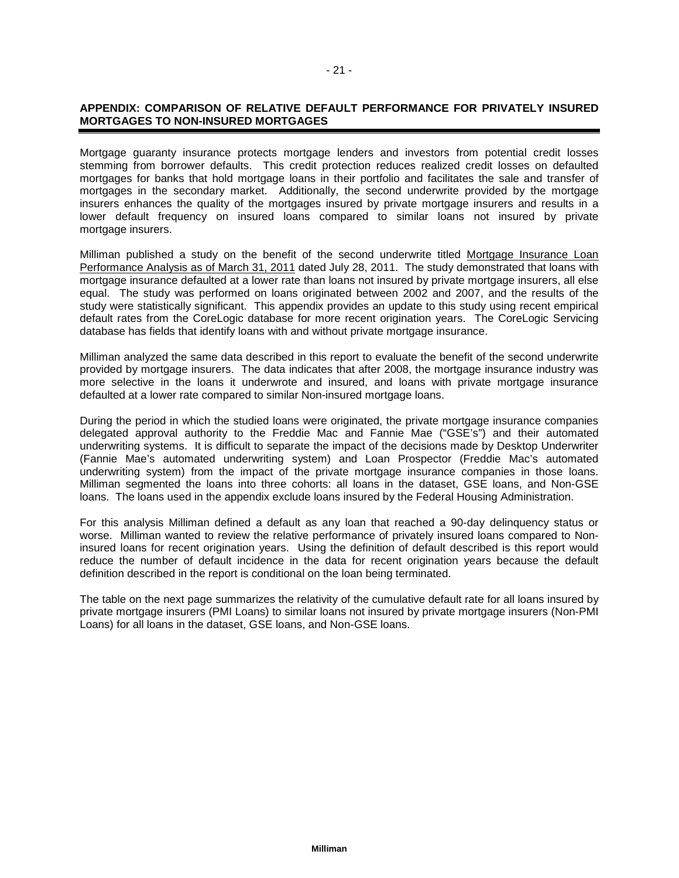## **APPENDIX: COMPARISON OF RELATIVE DEFAULT PERFORMANCE FOR PRIVATELY INSURED MORTGAGES TO NON-INSURED MORTGAGES**

Mortgage guaranty insurance protects mortgage lenders and investors from potential credit losses stemming from borrower defaults. This credit protection reduces realized credit losses on defaulted mortgages for banks that hold mortgage loans in their portfolio and facilitates the sale and transfer of mortgages in the secondary market. Additionally, the second underwrite provided by the mortgage insurers enhances the quality of the mortgages insured by private mortgage insurers and results in a lower default frequency on insured loans compared to similar loans not insured by private mortgage insurers.

Milliman published a study on the benefit of the second underwrite titled Mortgage Insurance Loan Performance Analysis as of March 31, 2011 dated July 28, 2011. The study demonstrated that loans with mortgage insurance defaulted at a lower rate than loans not insured by private mortgage insurers, all else equal. The study was performed on loans originated between 2002 and 2007, and the results of the study were statistically significant. This appendix provides an update to this study using recent empirical default rates from the CoreLogic database for more recent origination years. The CoreLogic Servicing database has fields that identify loans with and without private mortgage insurance.

Milliman analyzed the same data described in this report to evaluate the benefit of the second underwrite provided by mortgage insurers. The data indicates that after 2008, the mortgage insurance industry was more selective in the loans it underwrote and insured, and loans with private mortgage insurance defaulted at a lower rate compared to similar Non-insured mortgage loans.

During the period in which the studied loans were originated, the private mortgage insurance companies delegated approval authority to the Freddie Mac and Fannie Mae ("GSE's") and their automated underwriting systems. It is difficult to separate the impact of the decisions made by Desktop Underwriter (Fannie Mae's automated underwriting system) and Loan Prospector (Freddie Mac's automated underwriting system) from the impact of the private mortgage insurance companies in those loans. Milliman segmented the loans into three cohorts: all loans in the dataset, GSE loans, and Non-GSE loans. The loans used in the appendix exclude loans insured by the Federal Housing Administration.

For this analysis Milliman defined a default as any loan that reached a 90-day delinquency status or worse. Milliman wanted to review the relative performance of privately insured loans compared to Noninsured loans for recent origination years. Using the definition of default described is this report would reduce the number of default incidence in the data for recent origination years because the default definition described in the report is conditional on the loan being terminated.

The table on the next page summarizes the relativity of the cumulative default rate for all loans insured by private mortgage insurers (PMI Loans) to similar loans not insured by private mortgage insurers (Non-PMI Loans) for all loans in the dataset, GSE loans, and Non-GSE loans.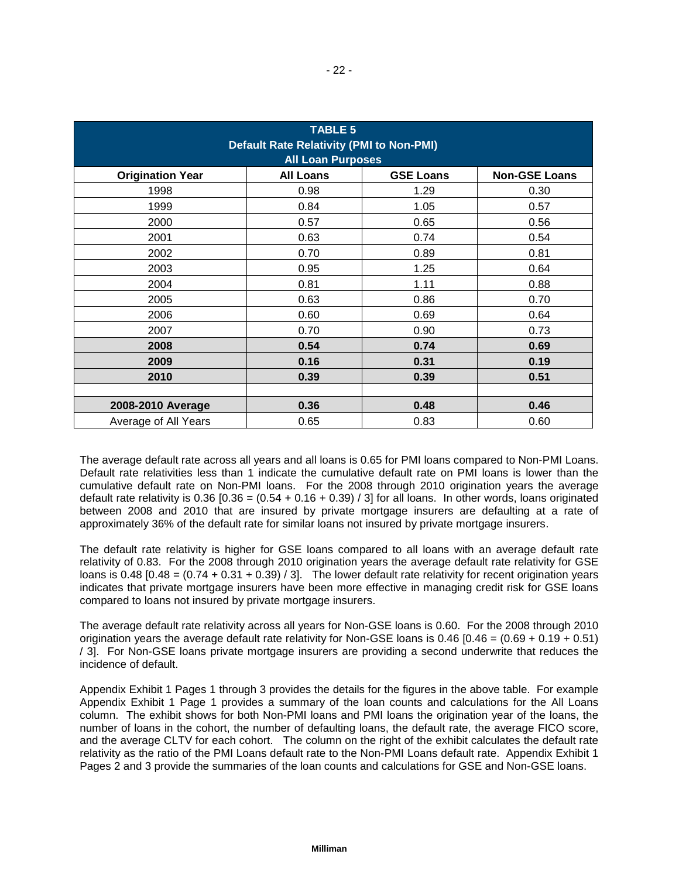| <b>TABLE 5</b><br><b>Default Rate Relativity (PMI to Non-PMI)</b><br><b>All Loan Purposes</b> |                  |                  |                      |  |  |  |  |
|-----------------------------------------------------------------------------------------------|------------------|------------------|----------------------|--|--|--|--|
| <b>Origination Year</b>                                                                       | <b>All Loans</b> | <b>GSE Loans</b> | <b>Non-GSE Loans</b> |  |  |  |  |
| 1998                                                                                          | 0.98             | 1.29             | 0.30                 |  |  |  |  |
| 1999                                                                                          | 0.84             | 1.05             | 0.57                 |  |  |  |  |
| 2000                                                                                          | 0.57             | 0.65             | 0.56                 |  |  |  |  |
| 2001                                                                                          | 0.63             | 0.74             | 0.54                 |  |  |  |  |
| 2002                                                                                          | 0.70             | 0.89             | 0.81                 |  |  |  |  |
| 2003                                                                                          | 0.95             | 1.25             | 0.64                 |  |  |  |  |
| 2004                                                                                          | 0.81             | 1.11             | 0.88                 |  |  |  |  |
| 2005                                                                                          | 0.63             | 0.86             | 0.70                 |  |  |  |  |
| 2006                                                                                          | 0.60             | 0.69             | 0.64                 |  |  |  |  |
| 2007                                                                                          | 0.70             | 0.90             | 0.73                 |  |  |  |  |
| 2008                                                                                          | 0.54             | 0.74             | 0.69                 |  |  |  |  |
| 2009                                                                                          | 0.16             | 0.31             | 0.19                 |  |  |  |  |
| 2010                                                                                          | 0.39             | 0.39             | 0.51                 |  |  |  |  |
|                                                                                               |                  |                  |                      |  |  |  |  |
| 2008-2010 Average                                                                             | 0.36             | 0.48             | 0.46                 |  |  |  |  |
| Average of All Years                                                                          | 0.65             | 0.83             | 0.60                 |  |  |  |  |

The average default rate across all years and all loans is 0.65 for PMI loans compared to Non-PMI Loans. Default rate relativities less than 1 indicate the cumulative default rate on PMI loans is lower than the cumulative default rate on Non-PMI loans. For the 2008 through 2010 origination years the average default rate relativity is  $0.36$  [0.36 =  $(0.54 + 0.16 + 0.39)$  / 3] for all loans. In other words, loans originated between 2008 and 2010 that are insured by private mortgage insurers are defaulting at a rate of approximately 36% of the default rate for similar loans not insured by private mortgage insurers.

The default rate relativity is higher for GSE loans compared to all loans with an average default rate relativity of 0.83. For the 2008 through 2010 origination years the average default rate relativity for GSE loans is  $0.48$  [0.48 = (0.74 + 0.31 + 0.39) / 3]. The lower default rate relativity for recent origination years indicates that private mortgage insurers have been more effective in managing credit risk for GSE loans compared to loans not insured by private mortgage insurers.

The average default rate relativity across all years for Non-GSE loans is 0.60. For the 2008 through 2010 origination years the average default rate relativity for Non-GSE loans is  $0.46$  [0.46 =  $(0.69 + 0.19 + 0.51)$ ] / 3]. For Non-GSE loans private mortgage insurers are providing a second underwrite that reduces the incidence of default.

Appendix Exhibit 1 Pages 1 through 3 provides the details for the figures in the above table. For example Appendix Exhibit 1 Page 1 provides a summary of the loan counts and calculations for the All Loans column. The exhibit shows for both Non-PMI loans and PMI loans the origination year of the loans, the number of loans in the cohort, the number of defaulting loans, the default rate, the average FICO score, and the average CLTV for each cohort. The column on the right of the exhibit calculates the default rate relativity as the ratio of the PMI Loans default rate to the Non-PMI Loans default rate. Appendix Exhibit 1 Pages 2 and 3 provide the summaries of the loan counts and calculations for GSE and Non-GSE loans.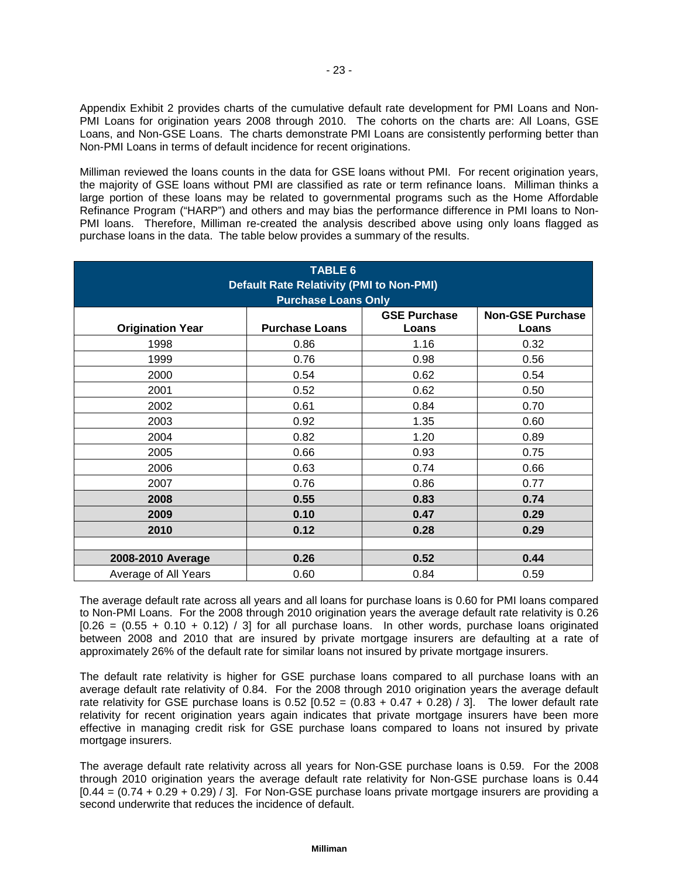Appendix Exhibit 2 provides charts of the cumulative default rate development for PMI Loans and Non-PMI Loans for origination years 2008 through 2010. The cohorts on the charts are: All Loans, GSE Loans, and Non-GSE Loans. The charts demonstrate PMI Loans are consistently performing better than Non-PMI Loans in terms of default incidence for recent originations.

Milliman reviewed the loans counts in the data for GSE loans without PMI. For recent origination years, the majority of GSE loans without PMI are classified as rate or term refinance loans. Milliman thinks a large portion of these loans may be related to governmental programs such as the Home Affordable Refinance Program ("HARP") and others and may bias the performance difference in PMI loans to Non-PMI loans. Therefore, Milliman re-created the analysis described above using only loans flagged as purchase loans in the data. The table below provides a summary of the results.

| <b>TABLE 6</b><br><b>Default Rate Relativity (PMI to Non-PMI)</b><br><b>Purchase Loans Only</b> |                       |                              |                                  |  |  |  |  |  |
|-------------------------------------------------------------------------------------------------|-----------------------|------------------------------|----------------------------------|--|--|--|--|--|
| <b>Origination Year</b>                                                                         | <b>Purchase Loans</b> | <b>GSE Purchase</b><br>Loans | <b>Non-GSE Purchase</b><br>Loans |  |  |  |  |  |
| 1998                                                                                            | 0.86                  | 1.16                         | 0.32                             |  |  |  |  |  |
| 1999                                                                                            | 0.76                  | 0.98                         | 0.56                             |  |  |  |  |  |
| 2000                                                                                            | 0.54                  | 0.62                         | 0.54                             |  |  |  |  |  |
| 2001                                                                                            | 0.52                  | 0.62                         | 0.50                             |  |  |  |  |  |
| 2002                                                                                            | 0.61                  | 0.84                         | 0.70                             |  |  |  |  |  |
| 2003                                                                                            | 0.92                  | 1.35                         | 0.60                             |  |  |  |  |  |
| 2004                                                                                            | 0.82                  | 1.20                         | 0.89                             |  |  |  |  |  |
| 2005                                                                                            | 0.66                  | 0.93                         | 0.75                             |  |  |  |  |  |
| 2006                                                                                            | 0.63                  | 0.74                         | 0.66                             |  |  |  |  |  |
| 2007                                                                                            | 0.76                  | 0.86                         | 0.77                             |  |  |  |  |  |
| 2008                                                                                            | 0.55                  | 0.83                         | 0.74                             |  |  |  |  |  |
| 2009                                                                                            | 0.10                  | 0.47                         | 0.29                             |  |  |  |  |  |
| 2010                                                                                            | 0.12                  | 0.28                         | 0.29                             |  |  |  |  |  |
|                                                                                                 |                       |                              |                                  |  |  |  |  |  |
| 2008-2010 Average                                                                               | 0.26                  | 0.52                         | 0.44                             |  |  |  |  |  |
| Average of All Years                                                                            | 0.60                  | 0.84                         | 0.59                             |  |  |  |  |  |

The average default rate across all years and all loans for purchase loans is 0.60 for PMI loans compared to Non-PMI Loans. For the 2008 through 2010 origination years the average default rate relativity is 0.26  $[0.26 = (0.55 + 0.10 + 0.12)$  / 3] for all purchase loans. In other words, purchase loans originated between 2008 and 2010 that are insured by private mortgage insurers are defaulting at a rate of approximately 26% of the default rate for similar loans not insured by private mortgage insurers.

The default rate relativity is higher for GSE purchase loans compared to all purchase loans with an average default rate relativity of 0.84. For the 2008 through 2010 origination years the average default rate relativity for GSE purchase loans is  $0.52$  [0.52 =  $(0.83 + 0.47 + 0.28)$  / 3]. The lower default rate relativity for recent origination years again indicates that private mortgage insurers have been more effective in managing credit risk for GSE purchase loans compared to loans not insured by private mortgage insurers.

The average default rate relativity across all years for Non-GSE purchase loans is 0.59. For the 2008 through 2010 origination years the average default rate relativity for Non-GSE purchase loans is 0.44  $[0.44 = (0.74 + 0.29 + 0.29)$  / 3]. For Non-GSE purchase loans private mortgage insurers are providing a second underwrite that reduces the incidence of default.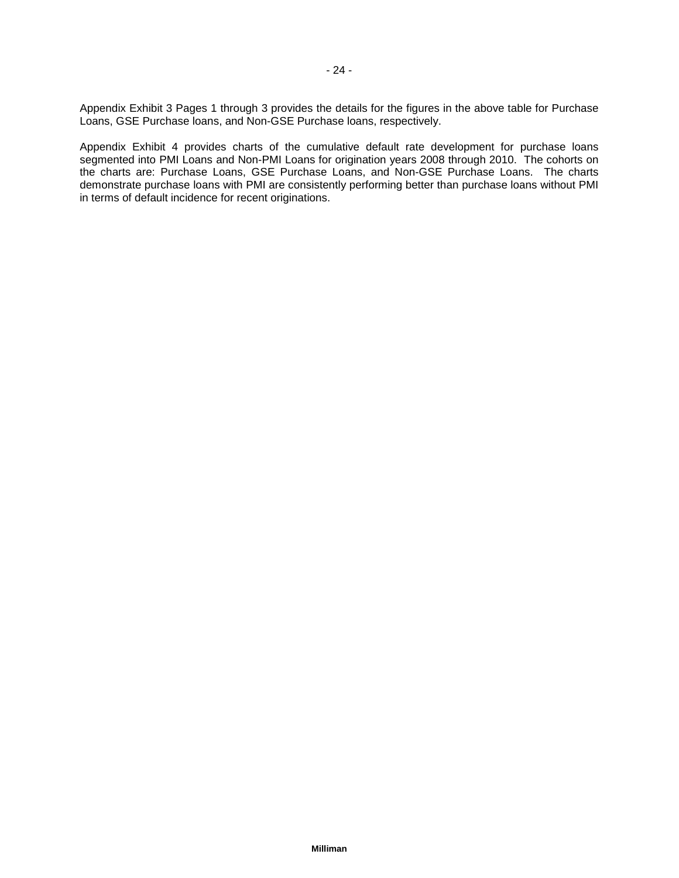Appendix Exhibit 3 Pages 1 through 3 provides the details for the figures in the above table for Purchase Loans, GSE Purchase loans, and Non-GSE Purchase loans, respectively.

Appendix Exhibit 4 provides charts of the cumulative default rate development for purchase loans segmented into PMI Loans and Non-PMI Loans for origination years 2008 through 2010. The cohorts on the charts are: Purchase Loans, GSE Purchase Loans, and Non-GSE Purchase Loans. The charts demonstrate purchase loans with PMI are consistently performing better than purchase loans without PMI in terms of default incidence for recent originations.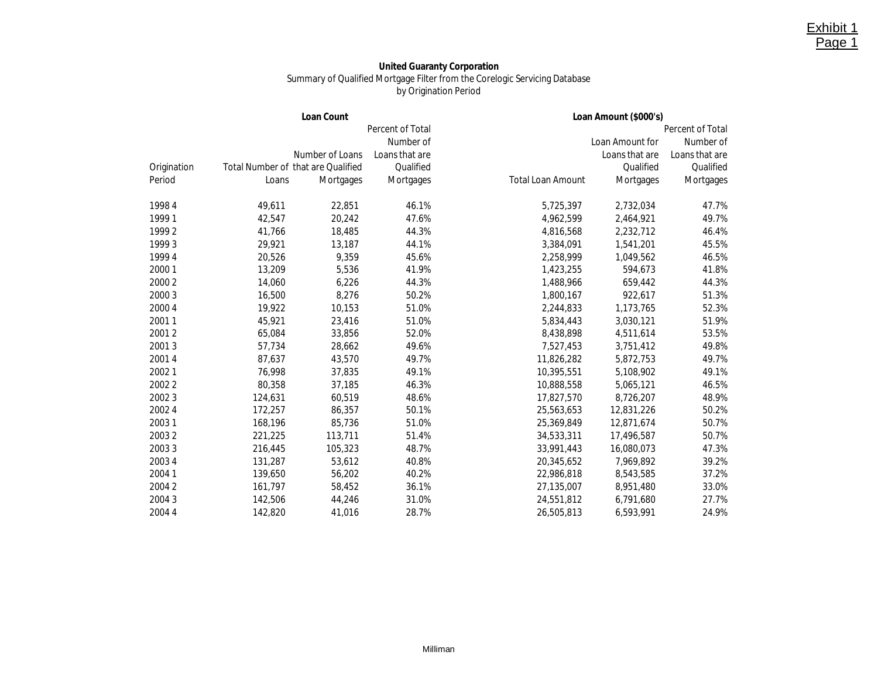#### **United Guaranty Corporation** Summary of Qualified Mortgage Filter from the Corelogic Servicing Database by Origination Period

Exhibit 1 Page 1

|             |         | Loan Count                                |                         |                          | Loan Amount (\$000's) |                  |
|-------------|---------|-------------------------------------------|-------------------------|--------------------------|-----------------------|------------------|
|             |         |                                           | <b>Percent of Total</b> |                          |                       | Percent of Total |
|             |         |                                           | Number of               |                          | Loan Amount for       | Number of        |
|             |         | Number of Loans                           | Loans that are          |                          | Loans that are        | Loans that are   |
| Origination |         | <b>Total Number of that are Qualified</b> | Qualified               |                          | Qualified             | Qualified        |
| Period      | Loans   | <b>Mortgages</b>                          | Mortgages               | <b>Total Loan Amount</b> | Mortgages             | Mortgages        |
| 1998 4      | 49,611  | 22,851                                    | 46.1%                   | 5,725,397                | 2,732,034             | 47.7%            |
| 19991       | 42,547  | 20,242                                    | 47.6%                   | 4,962,599                | 2,464,921             | 49.7%            |
| 19992       | 41,766  | 18,485                                    | 44.3%                   | 4,816,568                | 2,232,712             | 46.4%            |
| 19993       | 29,921  | 13,187                                    | 44.1%                   | 3,384,091                | 1,541,201             | 45.5%            |
| 19994       | 20,526  | 9,359                                     | 45.6%                   | 2,258,999                | 1,049,562             | 46.5%            |
| 20001       | 13,209  | 5,536                                     | 41.9%                   | 1,423,255                | 594,673               | 41.8%            |
| 2000 2      | 14,060  | 6,226                                     | 44.3%                   | 1,488,966                | 659,442               | 44.3%            |
| 2000 3      | 16,500  | 8,276                                     | 50.2%                   | 1,800,167                | 922,617               | 51.3%            |
| 2000 4      | 19,922  | 10,153                                    | 51.0%                   | 2,244,833                | 1,173,765             | 52.3%            |
| 20011       | 45,921  | 23,416                                    | 51.0%                   | 5,834,443                | 3,030,121             | 51.9%            |
| 20012       | 65,084  | 33,856                                    | 52.0%                   | 8,438,898                | 4,511,614             | 53.5%            |
| 20013       | 57,734  | 28,662                                    | 49.6%                   | 7,527,453                | 3,751,412             | 49.8%            |
| 20014       | 87,637  | 43,570                                    | 49.7%                   | 11,826,282               | 5,872,753             | 49.7%            |
| 20021       | 76,998  | 37,835                                    | 49.1%                   | 10,395,551               | 5,108,902             | 49.1%            |
| 20022       | 80,358  | 37,185                                    | 46.3%                   | 10,888,558               | 5,065,121             | 46.5%            |
| 20023       | 124,631 | 60,519                                    | 48.6%                   | 17,827,570               | 8,726,207             | 48.9%            |
| 2002 4      | 172,257 | 86,357                                    | 50.1%                   | 25,563,653               | 12,831,226            | 50.2%            |
| 20031       | 168,196 | 85,736                                    | 51.0%                   | 25,369,849               | 12,871,674            | 50.7%            |
| 20032       | 221,225 | 113,711                                   | 51.4%                   | 34,533,311               | 17,496,587            | 50.7%            |
| 20033       | 216,445 | 105,323                                   | 48.7%                   | 33,991,443               | 16,080,073            | 47.3%            |
| 2003 4      | 131,287 | 53,612                                    | 40.8%                   | 20,345,652               | 7,969,892             | 39.2%            |
| 20041       | 139,650 | 56,202                                    | 40.2%                   | 22,986,818               | 8,543,585             | 37.2%            |
| 20042       | 161,797 | 58,452                                    | 36.1%                   | 27,135,007               | 8,951,480             | 33.0%            |
| 20043       | 142,506 | 44,246                                    | 31.0%                   | 24,551,812               | 6,791,680             | 27.7%            |
| 2004 4      | 142,820 | 41,016                                    | 28.7%                   | 26,505,813               | 6,593,991             | 24.9%            |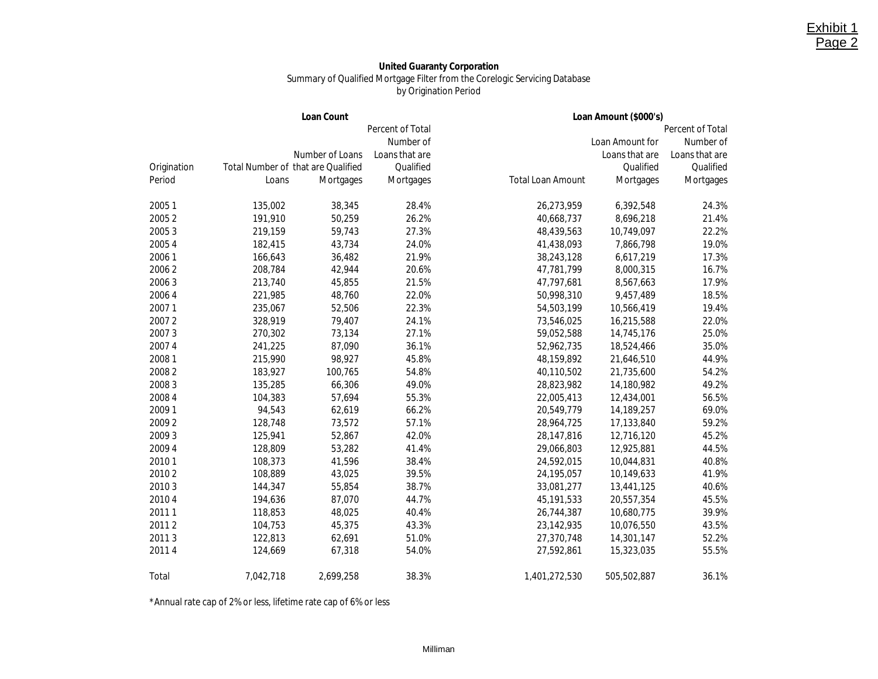#### **United Guaranty Corporation** Summary of Qualified Mortgage Filter from the Corelogic Servicing Database by Origination Period

Exhibit 1 Page 2

|             |           | Loan Count                         |                  | Loan Amount (\$000's)    |                  |                |  |
|-------------|-----------|------------------------------------|------------------|--------------------------|------------------|----------------|--|
|             |           |                                    | Percent of Total |                          | Percent of Total |                |  |
|             |           |                                    | Number of        |                          | Loan Amount for  | Number of      |  |
|             |           | Number of Loans                    | Loans that are   |                          | Loans that are   | Loans that are |  |
| Origination |           | Total Number of that are Qualified | Qualified        |                          | Qualified        | Qualified      |  |
| Period      | Loans     | Mortgages                          | Mortgages        | <b>Total Loan Amount</b> | Mortgages        | Mortgages      |  |
| 20051       | 135,002   | 38,345                             | 28.4%            | 26,273,959               | 6,392,548        | 24.3%          |  |
| 20052       | 191,910   | 50,259                             | 26.2%            | 40,668,737               | 8,696,218        | 21.4%          |  |
| 20053       | 219,159   | 59,743                             | 27.3%            | 48,439,563               | 10,749,097       | 22.2%          |  |
| 2005 4      | 182,415   | 43,734                             | 24.0%            | 41,438,093               | 7,866,798        | 19.0%          |  |
| 20061       | 166,643   | 36,482                             | 21.9%            | 38,243,128               | 6,617,219        | 17.3%          |  |
| 20062       | 208,784   | 42,944                             | 20.6%            | 47,781,799               | 8,000,315        | 16.7%          |  |
| 20063       | 213,740   | 45,855                             | 21.5%            | 47,797,681               | 8,567,663        | 17.9%          |  |
| 2006 4      | 221,985   | 48,760                             | 22.0%            | 50,998,310               | 9,457,489        | 18.5%          |  |
| 20071       | 235,067   | 52,506                             | 22.3%            | 54,503,199               | 10,566,419       | 19.4%          |  |
| 20072       | 328,919   | 79,407                             | 24.1%            | 73,546,025               | 16,215,588       | 22.0%          |  |
| 20073       | 270,302   | 73,134                             | 27.1%            | 59,052,588               | 14,745,176       | 25.0%          |  |
| 20074       | 241,225   | 87,090                             | 36.1%            | 52,962,735               | 18,524,466       | 35.0%          |  |
| 20081       | 215,990   | 98,927                             | 45.8%            | 48,159,892               | 21,646,510       | 44.9%          |  |
| 20082       | 183,927   | 100,765                            | 54.8%            | 40,110,502               | 21,735,600       | 54.2%          |  |
| 20083       | 135,285   | 66,306                             | 49.0%            | 28,823,982               | 14,180,982       | 49.2%          |  |
| 2008 4      | 104,383   | 57,694                             | 55.3%            | 22,005,413               | 12,434,001       | 56.5%          |  |
| 2009 1      | 94,543    | 62,619                             | 66.2%            | 20,549,779               | 14,189,257       | 69.0%          |  |
| 20092       | 128,748   | 73,572                             | 57.1%            | 28,964,725               | 17,133,840       | 59.2%          |  |
| 20093       | 125,941   | 52,867                             | 42.0%            | 28,147,816               | 12,716,120       | 45.2%          |  |
| 2009 4      | 128,809   | 53,282                             | 41.4%            | 29,066,803               | 12,925,881       | 44.5%          |  |
| 20101       | 108,373   | 41,596                             | 38.4%            | 24,592,015               | 10,044,831       | 40.8%          |  |
| 20102       | 108,889   | 43,025                             | 39.5%            | 24,195,057               | 10,149,633       | 41.9%          |  |
| 20103       | 144,347   | 55,854                             | 38.7%            | 33,081,277               | 13,441,125       | 40.6%          |  |
| 20104       | 194,636   | 87,070                             | 44.7%            | 45, 191, 533             | 20,557,354       | 45.5%          |  |
| 20111       | 118,853   | 48,025                             | 40.4%            | 26,744,387               | 10,680,775       | 39.9%          |  |
| 20112       | 104,753   | 45,375                             | 43.3%            | 23,142,935               | 10,076,550       | 43.5%          |  |
| 20113       | 122,813   | 62,691                             | 51.0%            | 27,370,748               | 14,301,147       | 52.2%          |  |
| 20114       | 124,669   | 67,318                             | 54.0%            | 27,592,861               | 15,323,035       | 55.5%          |  |
| Total       | 7,042,718 | 2,699,258                          | 38.3%            | 1,401,272,530            | 505,502,887      | 36.1%          |  |

\*Annual rate cap of 2% or less, lifetime rate cap of 6% or less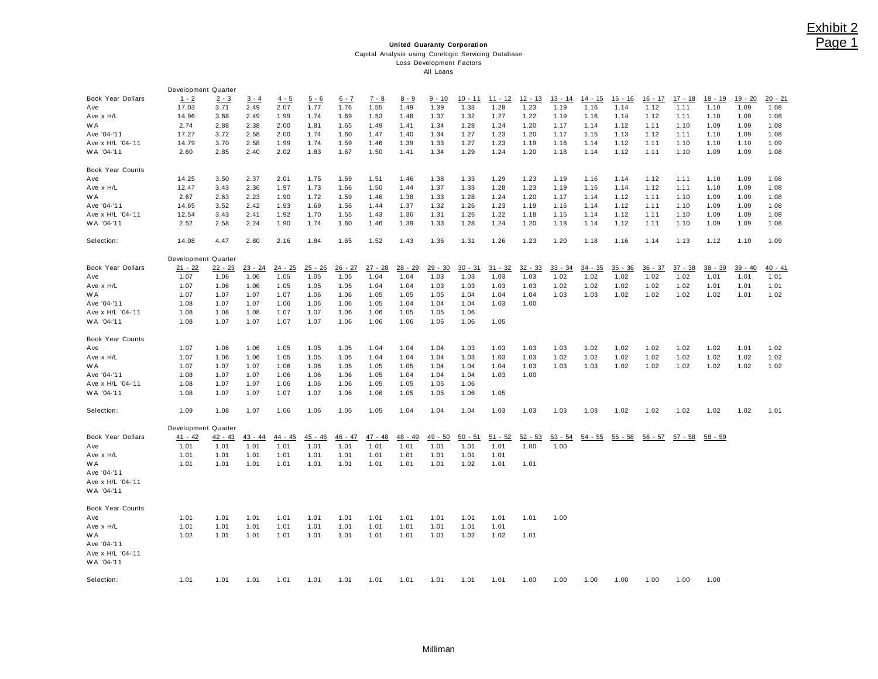## Exhibit 2 Page 1

#### **United Guaranty Corporation** Capital Analysis using Corelogic Servicing Database Loss Development Factors All Loans

|                   | Development Quarter |           |           |           |           |           |           |           |           |           |           |           |           |           |           |           |           |           |           |           |
|-------------------|---------------------|-----------|-----------|-----------|-----------|-----------|-----------|-----------|-----------|-----------|-----------|-----------|-----------|-----------|-----------|-----------|-----------|-----------|-----------|-----------|
| Book Year Dollars | $1 - 2$             | $2 - 3$   | $3 - 4$   | $4 - 5$   | $5 - 6$   | $6 - 7$   | $7 - 8$   | $8 - 9$   | $9 - 10$  | $10 - 11$ | $11 - 12$ | $12 - 13$ | $13 - 14$ | $14 - 15$ | $15 - 16$ | $16 - 17$ | $17 - 18$ | 18 - 19   | $19 - 20$ | $20 - 21$ |
| Ave               | 17.03               | 3.71      | 2.49      | 2.07      | 1.77      | 1.76      | 1.55      | 1.49      | 1.39      | 1.33      | 1.28      | 1.23      | 1.19      | 1.16      | 1.14      | 1.12      | 1.11      | 1.10      | 1.09      | 1.08      |
| Ave x H/L         | 14.96               | 3.68      | 2.49      | 1.99      | 1.74      | 1.69      | 1.53      | 1.46      | 1.37      | 1.32      | 1.27      | 1.22      | 1.19      | 1.16      | 1.14      | 1.12      | 1.11      | 1.10      | 1.09      | 1.08      |
| W A               | 2.74                | 2.88      | 2.38      | 2.00      | 1.81      | 1.65      | 1.49      | 1.41      | 1.34      | 1.28      | 1.24      | 1.20      | 1.17      | 1.14      | 1.12      | 1.11      | 1.10      | 1.09      | 1.09      | 1.08      |
| Ave '04-'11       | 17.27               | 3.72      | 2.58      | 2.00      | 1.74      | 1.60      | 1.47      | 1.40      | 1.34      | 1.27      | 1.23      | 1.20      | 1.17      | 1.15      | 1.13      | 1.12      | 1.11      | 1.10      | 1.09      | 1.08      |
| Ave x H/L '04-'11 | 14.79               | 3.70      | 2.58      | 1.99      | 1.74      | 1.59      | 1.46      | 1.39      | 1.33      | 1.27      | 1.23      | 1.19      | 1.16      | 1.14      | 1.12      | 1.11      | 1.10      | 1.10      | 1.10      | 1.09      |
| WA '04-'11        | 2.60                | 2.85      | 2.40      | 2.02      | 1.83      | 1.67      | 1.50      | 1.41      | 1.34      | 1.29      | 1.24      | 1.20      | 1.18      | 1.14      | 1.12      | 1.11      | 1.10      | 1.09      | 1.09      | 1.08      |
| Book Year Counts  |                     |           |           |           |           |           |           |           |           |           |           |           |           |           |           |           |           |           |           |           |
| Ave               | 14.25               | 3.50      | 2.37      | 2.01      | 1.75      | 1.69      | 1.51      | 1.46      | 1.38      | 1.33      | 1.29      | 1.23      | 1.19      | 1.16      | 1.14      | 1.12      | 1.11      | 1.10      | 1.09      | 1.08      |
| Ave x H/L         | 12.47               | 3.43      | 2.36      | 1.97      | 1.73      | 1.66      | 1.50      | 1.44      | 1.37      | 1.33      | 1.28      | 1.23      | 1.19      | 1.16      | 1.14      | 1.12      | 1.11      | 1.10      | 1.09      | 1.08      |
| W A               | 2.67                | 2.63      | 2.23      | 1.90      | 1.72      | 1.59      | 1.46      | 1.38      | 1.33      | 1.28      | 1.24      | 1.20      | 1.17      | 1.14      | 1.12      | 1.11      | 1.10      | 1.09      | 1.09      | 1.08      |
| Ave '04-'11       | 14.65               | 3.52      | 2.42      | 1.93      | 1.69      | 1.56      | 1.44      | 1.37      | 1.32      | 1.26      | 1.23      | 1.19      | 1.16      | 1.14      | 1.12      | 1.11      | 1.10      | 1.09      | 1.09      | 1.08      |
| Ave x H/L '04-'11 | 12.54               | 3.43      | 2.41      | 1.92      | 1.70      | 1.55      | 1.43      | 1.36      | 1.31      | 1.26      | 1.22      | 1.18      | 1.15      | 1.14      | 1.12      | 1.11      | 1.10      | 1.09      | 1.09      | 1.08      |
| WA '04-'11        | 2.52                | 2.58      | 2.24      | 1.90      | 1.74      | 1.60      | 1.46      | 1.39      | 1.33      | 1.28      | 1.24      | 1.20      | 1.18      | 1.14      | 1.12      | 1.11      | 1.10      | 1.09      | 1.09      | 1.08      |
| Selection:        | 14.08               | 4.47      | 2.80      | 2.16      | 1.84      | 1.65      | 1.52      | 1.43      | 1.36      | 1.31      | 1.26      | 1.23      | 1.20      | 1.18      | 1.16      | 1.14      | 1.13      | 1.12      | 1.10      | 1.09      |
|                   | Development Quarter |           |           |           |           |           |           |           |           |           |           |           |           |           |           |           |           |           |           |           |
| Book Year Dollars | $21 - 22$           | $22 - 23$ | $23 - 24$ | $24 - 25$ | $25 - 26$ | $26 - 27$ | $27 - 28$ | $28 - 29$ | $29 - 30$ | $30 - 31$ | $31 - 32$ | $32 - 33$ | $33 - 34$ | $34 - 35$ | $35 - 36$ | $36 - 37$ | $37 - 38$ | $38 - 39$ | $39 - 40$ | $40 - 41$ |
| Ave               | 1.07                | 1.06      | 1.06      | 1.05      | 1.05      | 1.05      | 1.04      | 1.04      | 1.03      | 1.03      | 1.03      | 1.03      | 1.02      | 1.02      | 1.02      | 1.02      | 1.02      | 1.01      | 1.01      | 1.01      |
| Ave x H/L         | 1.07                | 1.06      | 1.06      | 1.05      | 1.05      | 1.05      | 1.04      | 1.04      | 1.03      | 1.03      | 1.03      | 1.03      | 1.02      | 1.02      | 1.02      | 1.02      | 1.02      | 1.01      | 1.01      | 1.01      |
| W A               | 1.07                | 1.07      | 1.07      | 1.07      | 1.06      | 1.06      | 1.05      | 1.05      | 1.05      | 1.04      | 1.04      | 1.04      | 1.03      | 1.03      | 1.02      | 1.02      | 1.02      | 1.02      | 1.01      | 1.02      |
| Ave '04-'11       | 1.08                | 1.07      | 1.07      | 1.06      | 1.06      | 1.06      | 1.05      | 1.04      | 1.04      | 1.04      | 1.03      | 1.00      |           |           |           |           |           |           |           |           |
| Ave x H/L '04-'11 | 1.08                | 1.08      | 1.08      | 1.07      | 1.07      | 1.06      | 1.06      | 1.05      | 1.05      | 1.06      |           |           |           |           |           |           |           |           |           |           |
| WA '04-'11        | 1.08                | 1.07      | 1.07      | 1.07      | 1.07      | 1.06      | 1.06      | 1.06      | 1.06      | 1.06      | 1.05      |           |           |           |           |           |           |           |           |           |
| Book Year Counts  |                     |           |           |           |           |           |           |           |           |           |           |           |           |           |           |           |           |           |           |           |
| Ave               | 1.07                | 1.06      | 1.06      | 1.05      | 1.05      | 1.05      | 1.04      | 1.04      | 1.04      | 1.03      | 1.03      | 1.03      | 1.03      | 1.02      | 1.02      | 1.02      | 1.02      | 1.02      | 1.01      | 1.02      |
| Ave x H/L         | 1.07                | 1.06      | 1.06      | 1.05      | 1.05      | 1.05      | 1.04      | 1.04      | 1.04      | 1.03      | 1.03      | 1.03      | 1.02      | 1.02      | 1.02      | 1.02      | 1.02      | 1.02      | 1.02      | 1.02      |
| W A               | 1.07                | 1.07      | 1.07      | 1.06      | 1.06      | 1.05      | 1.05      | 1.05      | 1.04      | 1.04      | 1.04      | 1.03      | 1.03      | 1.03      | 1.02      | 1.02      | 1.02      | 1.02      | 1.02      | 1.02      |
| Ave '04-'11       | 1.08                | 1.07      | 1.07      | 1.06      | 1.06      | 1.06      | 1.05      | 1.04      | 1.04      | 1.04      | 1.03      | 1.00      |           |           |           |           |           |           |           |           |
| Ave x H/L '04-'11 | 1.08                | 1.07      | 1.07      | 1.06      | 1.06      | 1.06      | 1.05      | 1.05      | 1.05      | 1.06      |           |           |           |           |           |           |           |           |           |           |
| WA '04-'11        | 1.08                | 1.07      | 1.07      | 1.07      | 1.07      | 1.06      | 1.06      | 1.05      | 1.05      | 1.06      | 1.05      |           |           |           |           |           |           |           |           |           |
| Selection:        | 1.09                | 1.08      | 1.07      | 1.06      | 1.06      | 1.05      | 1.05      | 1.04      | 1.04      | 1.04      | 1.03      | 1.03      | 1.03      | 1.03      | 1.02      | 1.02      | 1.02      | 1.02      | 1.02      | 1.01      |
|                   | Development Quarter |           |           |           |           |           |           |           |           |           |           |           |           |           |           |           |           |           |           |           |
| Book Year Dollars | $41 - 42$           | $42 - 43$ | $43 - 44$ | 44 - 45   | 45 - 46   | $46 - 47$ | $47 - 48$ | 48 - 49   | 49 - 50   | $50 - 51$ | $51 - 52$ | $52 - 53$ | $53 - 54$ | $54 - 55$ | $55 - 56$ | $56 - 57$ | $57 - 58$ | 58 - 59   |           |           |
| Ave               | 1.01                | 1.01      | 1.01      | 1.01      | 1.01      | 1.01      | 1.01      | 1.01      | 1.01      | 1.01      | 1.01      | 1.00      | 1.00      |           |           |           |           |           |           |           |
| Ave x H/L         | 1.01                | 1.01      | 1.01      | 1.01      | 1.01      | 1.01      | 1.01      | 1.01      | 1.01      | 1.01      | 1.01      |           |           |           |           |           |           |           |           |           |
| W A               | 1.01                | 1.01      | 1.01      | 1.01      | 1.01      | 1.01      | 1.01      | 1.01      | 1.01      | 1.02      | 1.01      | 1.01      |           |           |           |           |           |           |           |           |
| Ave '04-'11       |                     |           |           |           |           |           |           |           |           |           |           |           |           |           |           |           |           |           |           |           |
| Ave x H/L '04-'11 |                     |           |           |           |           |           |           |           |           |           |           |           |           |           |           |           |           |           |           |           |
| WA '04-'11        |                     |           |           |           |           |           |           |           |           |           |           |           |           |           |           |           |           |           |           |           |
| Book Year Counts  |                     |           |           |           |           |           |           |           |           |           |           |           |           |           |           |           |           |           |           |           |
| Ave               | 1.01                | 1.01      | 1.01      | 1.01      | 1.01      | 1.01      | 1.01      | 1.01      | 1.01      | 1.01      | 1.01      | 1.01      | 1.00      |           |           |           |           |           |           |           |
| Ave x H/L         | 1.01                | 1.01      | 1.01      | 1.01      | 1.01      | 1.01      | 1.01      | 1.01      | 1.01      | 1.01      | 1.01      |           |           |           |           |           |           |           |           |           |
| W A               | 1.02                | 1.01      | 1.01      | 1.01      | 1.01      | 1.01      | 1.01      | 1.01      | 1.01      | 1.02      | 1.02      | 1.01      |           |           |           |           |           |           |           |           |
| Ave '04-'11       |                     |           |           |           |           |           |           |           |           |           |           |           |           |           |           |           |           |           |           |           |
| Ave x H/L '04-'11 |                     |           |           |           |           |           |           |           |           |           |           |           |           |           |           |           |           |           |           |           |
| WA '04-'11        |                     |           |           |           |           |           |           |           |           |           |           |           |           |           |           |           |           |           |           |           |
| Selection:        | 1.01                | 1.01      | 1.01      | 1.01      | 1.01      | 1.01      | 1.01      | 1.01      | 1.01      | 1.01      | 1.01      | 1.00      | 1.00      | 1.00      | 1.00      | 1.00      | 1.00      | 1.00      |           |           |
|                   |                     |           |           |           |           |           |           |           |           |           |           |           |           |           |           |           |           |           |           |           |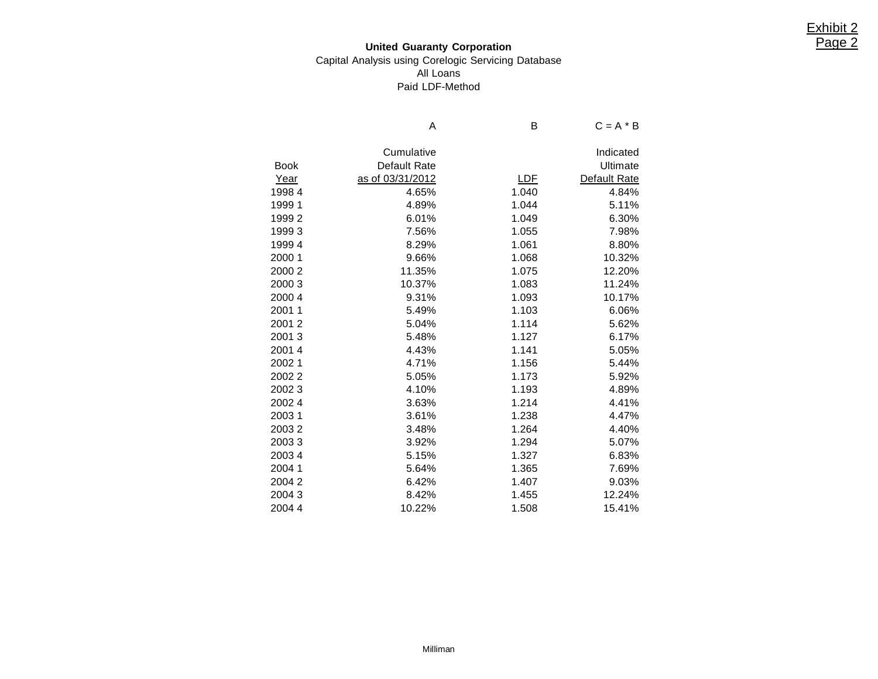## **United Guaranty Corporation** Capital Analysis using Corelogic Servicing Database All Loans Paid LDF-Method

|             | Α                | в          | $C = A * B$  |
|-------------|------------------|------------|--------------|
|             |                  |            |              |
|             | Cumulative       |            | Indicated    |
| <b>Book</b> | Default Rate     |            | Ultimate     |
| Year        | as of 03/31/2012 | <u>LDF</u> | Default Rate |
| 19984       | 4.65%            | 1.040      | 4.84%        |
| 19991       | 4.89%            | 1.044      | 5.11%        |
| 19992       | 6.01%            | 1.049      | 6.30%        |
| 19993       | 7.56%            | 1.055      | 7.98%        |
| 19994       | 8.29%            | 1.061      | 8.80%        |
| 2000 1      | 9.66%            | 1.068      | 10.32%       |
| 2000 2      | 11.35%           | 1.075      | 12.20%       |
| 2000 3      | 10.37%           | 1.083      | 11.24%       |
| 2000 4      | 9.31%            | 1.093      | 10.17%       |
| 20011       | 5.49%            | 1.103      | 6.06%        |
| 20012       | 5.04%            | 1.114      | 5.62%        |
| 20013       | 5.48%            | 1.127      | 6.17%        |
| 20014       | 4.43%            | 1.141      | 5.05%        |
| 20021       | 4.71%            | 1.156      | 5.44%        |
| 20022       | 5.05%            | 1.173      | 5.92%        |
| 20023       | 4.10%            | 1.193      | 4.89%        |
| 20024       | 3.63%            | 1.214      | 4.41%        |
| 20031       | 3.61%            | 1.238      | 4.47%        |
| 20032       | 3.48%            | 1.264      | 4.40%        |
| 20033       | 3.92%            | 1.294      | 5.07%        |
| 20034       | 5.15%            | 1.327      | 6.83%        |
| 2004 1      | 5.64%            | 1.365      | 7.69%        |
| 20042       | 6.42%            | 1.407      | 9.03%        |
| 20043       | 8.42%            | 1.455      | 12.24%       |
| 2004 4      | 10.22%           | 1.508      | 15.41%       |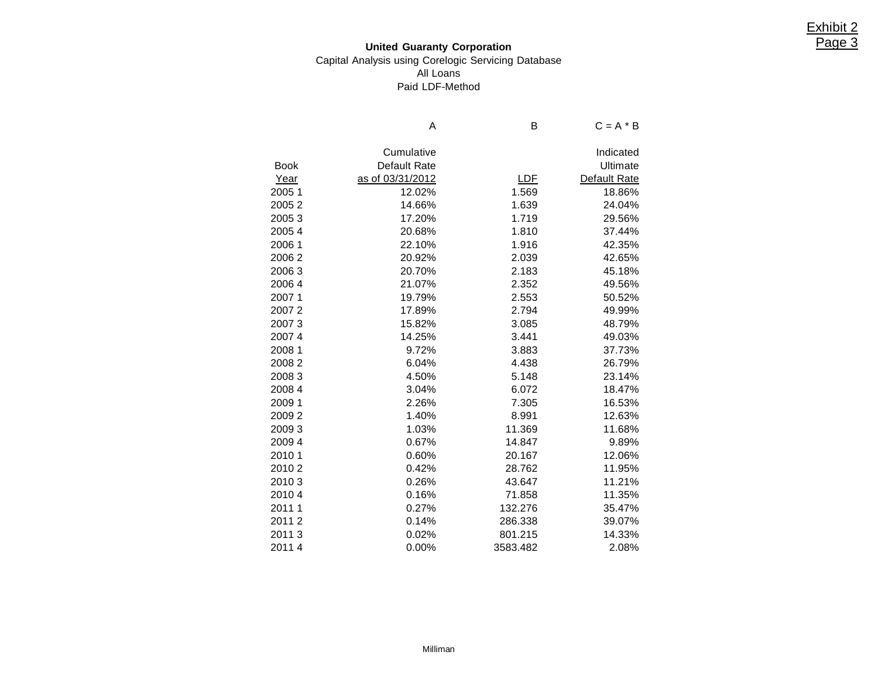## **United Guaranty Corporation** Capital Analysis using Corelogic Servicing Database All Loans Paid LDF-Method

|             | Α                | B          | $C = A * B$  |
|-------------|------------------|------------|--------------|
|             | Cumulative       |            | Indicated    |
| <b>Book</b> | Default Rate     |            | Ultimate     |
| Year        | as of 03/31/2012 | <u>LDF</u> | Default Rate |
| 2005 1      | 12.02%           | 1.569      | 18.86%       |
| 20052       | 14.66%           | 1.639      | 24.04%       |
| 20053       | 17.20%           | 1.719      | 29.56%       |
| 20054       | 20.68%           | 1.810      | 37.44%       |
| 2006 1      | 22.10%           | 1.916      | 42.35%       |
| 20062       | 20.92%           | 2.039      | 42.65%       |
| 20063       | 20.70%           | 2.183      | 45.18%       |
| 20064       | 21.07%           | 2.352      | 49.56%       |
| 20071       | 19.79%           | 2.553      | 50.52%       |
| 20072       | 17.89%           | 2.794      | 49.99%       |
| 20073       | 15.82%           | 3.085      | 48.79%       |
| 20074       | 14.25%           | 3.441      | 49.03%       |
| 2008 1      | 9.72%            | 3.883      | 37.73%       |
| 20082       | 6.04%            | 4.438      | 26.79%       |
| 20083       | 4.50%            | 5.148      | 23.14%       |
| 2008 4      | 3.04%            | 6.072      | 18.47%       |
| 2009 1      | 2.26%            | 7.305      | 16.53%       |
| 20092       | 1.40%            | 8.991      | 12.63%       |
| 20093       | 1.03%            | 11.369     | 11.68%       |
| 2009 4      | 0.67%            | 14.847     | 9.89%        |
| 2010 1      | 0.60%            | 20.167     | 12.06%       |
| 20102       | 0.42%            | 28.762     | 11.95%       |
| 20103       | 0.26%            | 43.647     | 11.21%       |
| 20104       | 0.16%            | 71.858     | 11.35%       |
| 2011 1      | 0.27%            | 132.276    | 35.47%       |
| 20112       | 0.14%            | 286.338    | 39.07%       |
| 20113       | 0.02%            | 801.215    | 14.33%       |
| 20114       | 0.00%            | 3583.482   | 2.08%        |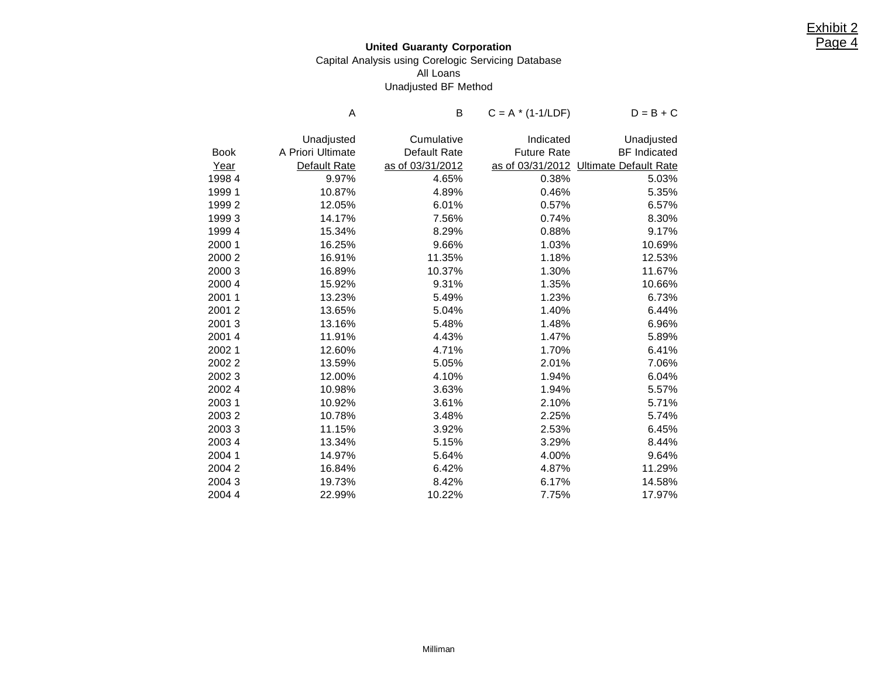## **United Guaranty Corporation** Capital Analysis using Corelogic Servicing Database All Loans Unadjusted BF Method

|             | Α                 | B                | $C = A * (1-1/LDF)$ | $D = B + C$                  |
|-------------|-------------------|------------------|---------------------|------------------------------|
|             | Unadjusted        | Cumulative       | Indicated           | Unadjusted                   |
| <b>Book</b> | A Priori Ultimate | Default Rate     | <b>Future Rate</b>  | <b>BF</b> Indicated          |
| Year        | Default Rate      | as of 03/31/2012 | as of 03/31/2012    | <b>Ultimate Default Rate</b> |
| 19984       | 9.97%             | 4.65%            | 0.38%               | 5.03%                        |
| 1999 1      | 10.87%            | 4.89%            | 0.46%               | 5.35%                        |
| 19992       | 12.05%            | 6.01%            | 0.57%               | 6.57%                        |
| 19993       | 14.17%            | 7.56%            | 0.74%               | 8.30%                        |
| 19994       | 15.34%            | 8.29%            | 0.88%               | 9.17%                        |
| 2000 1      | 16.25%            | 9.66%            | 1.03%               | 10.69%                       |
| 2000 2      | 16.91%            | 11.35%           | 1.18%               | 12.53%                       |
| 20003       | 16.89%            | 10.37%           | 1.30%               | 11.67%                       |
| 2000 4      | 15.92%            | 9.31%            | 1.35%               | 10.66%                       |
| 2001 1      | 13.23%            | 5.49%            | 1.23%               | 6.73%                        |
| 20012       | 13.65%            | 5.04%            | 1.40%               | 6.44%                        |
| 20013       | 13.16%            | 5.48%            | 1.48%               | 6.96%                        |
| 2001 4      | 11.91%            | 4.43%            | 1.47%               | 5.89%                        |
| 20021       | 12.60%            | 4.71%            | 1.70%               | 6.41%                        |
| 20022       | 13.59%            | 5.05%            | 2.01%               | 7.06%                        |
| 20023       | 12.00%            | 4.10%            | 1.94%               | 6.04%                        |
| 20024       | 10.98%            | 3.63%            | 1.94%               | 5.57%                        |
| 20031       | 10.92%            | 3.61%            | 2.10%               | 5.71%                        |
| 20032       | 10.78%            | 3.48%            | 2.25%               | 5.74%                        |
| 20033       | 11.15%            | 3.92%            | 2.53%               | 6.45%                        |
| 20034       | 13.34%            | 5.15%            | 3.29%               | 8.44%                        |
| 2004 1      | 14.97%            | 5.64%            | 4.00%               | 9.64%                        |
| 2004 2      | 16.84%            | 6.42%            | 4.87%               | 11.29%                       |
| 20043       | 19.73%            | 8.42%            | 6.17%               | 14.58%                       |
| 20044       | 22.99%            | 10.22%           | 7.75%               | 17.97%                       |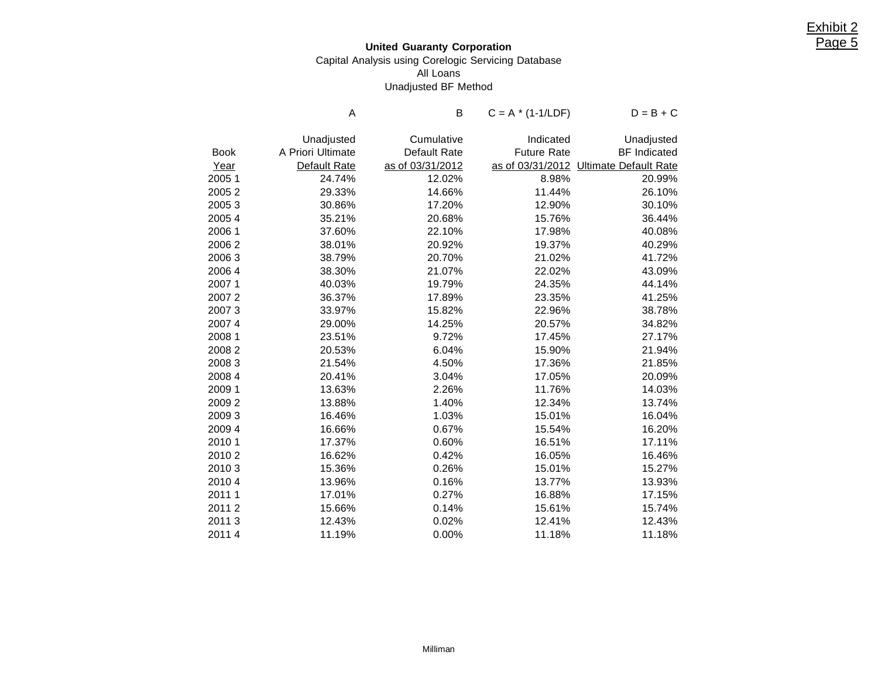## **United Guaranty Corporation** Capital Analysis using Corelogic Servicing Database All Loans Unadjusted BF Method

|             | Α                 | В                | $C = A * (1-1/LDF)$ | $D = B + C$                  |
|-------------|-------------------|------------------|---------------------|------------------------------|
|             | Unadjusted        | Cumulative       | Indicated           | Unadjusted                   |
| <b>Book</b> | A Priori Ultimate | Default Rate     | <b>Future Rate</b>  | <b>BF</b> Indicated          |
| Year        | Default Rate      | as of 03/31/2012 | as of 03/31/2012    | <b>Ultimate Default Rate</b> |
| 20051       | 24.74%            | 12.02%           | 8.98%               | 20.99%                       |
| 20052       | 29.33%            | 14.66%           | 11.44%              | 26.10%                       |
| 20053       | 30.86%            | 17.20%           | 12.90%              | 30.10%                       |
| 20054       | 35.21%            | 20.68%           | 15.76%              | 36.44%                       |
| 2006 1      | 37.60%            | 22.10%           | 17.98%              | 40.08%                       |
| 20062       | 38.01%            | 20.92%           | 19.37%              | 40.29%                       |
| 20063       | 38.79%            | 20.70%           | 21.02%              | 41.72%                       |
| 20064       | 38.30%            | 21.07%           | 22.02%              | 43.09%                       |
| 2007 1      | 40.03%            | 19.79%           | 24.35%              | 44.14%                       |
| 20072       | 36.37%            | 17.89%           | 23.35%              | 41.25%                       |
| 20073       | 33.97%            | 15.82%           | 22.96%              | 38.78%                       |
| 20074       | 29.00%            | 14.25%           | 20.57%              | 34.82%                       |
| 2008 1      | 23.51%            | 9.72%            | 17.45%              | 27.17%                       |
| 20082       | 20.53%            | 6.04%            | 15.90%              | 21.94%                       |
| 20083       | 21.54%            | 4.50%            | 17.36%              | 21.85%                       |
| 2008 4      | 20.41%            | 3.04%            | 17.05%              | 20.09%                       |
| 2009 1      | 13.63%            | 2.26%            | 11.76%              | 14.03%                       |
| 20092       | 13.88%            | 1.40%            | 12.34%              | 13.74%                       |
| 20093       | 16.46%            | 1.03%            | 15.01%              | 16.04%                       |
| 20094       | 16.66%            | 0.67%            | 15.54%              | 16.20%                       |
| 2010 1      | 17.37%            | 0.60%            | 16.51%              | 17.11%                       |
| 20102       | 16.62%            | 0.42%            | 16.05%              | 16.46%                       |
| 20103       | 15.36%            | 0.26%            | 15.01%              | 15.27%                       |
| 20104       | 13.96%            | 0.16%            | 13.77%              | 13.93%                       |
| 20111       | 17.01%            | 0.27%            | 16.88%              | 17.15%                       |
| 20112       | 15.66%            | 0.14%            | 15.61%              | 15.74%                       |
| 20113       | 12.43%            | 0.02%            | 12.41%              | 12.43%                       |
| 20114       | 11.19%            | 0.00%            | 11.18%              | 11.18%                       |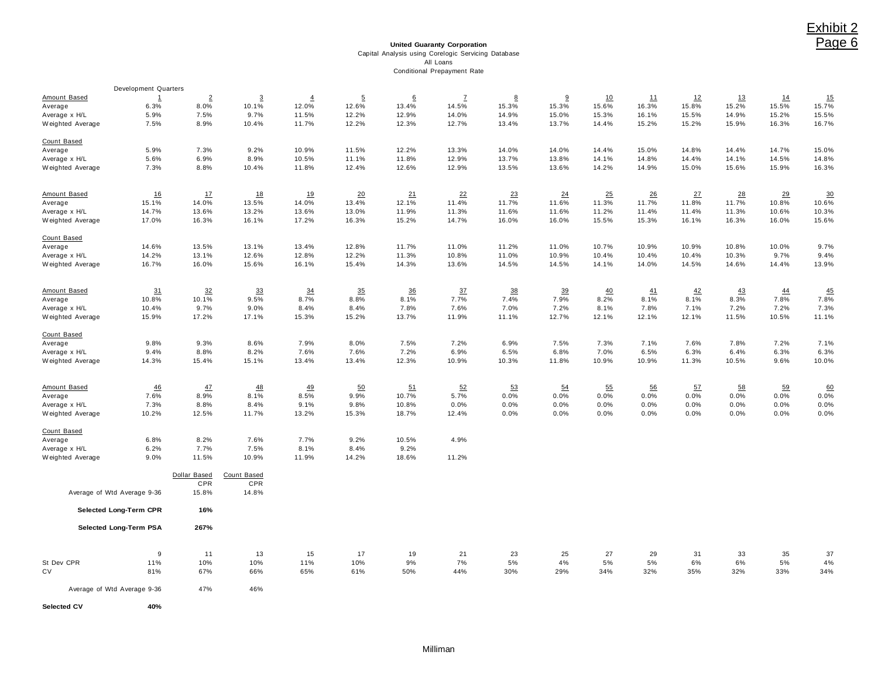**United Guaranty Corporation** Capital Analysis using Corelogic Servicing Database All Loans Conditional Prepayment Rate

|                  | Development Quarters        |                |                |                |                |       |              |       |       |       |       |       |           |       |       |
|------------------|-----------------------------|----------------|----------------|----------------|----------------|-------|--------------|-------|-------|-------|-------|-------|-----------|-------|-------|
| Amount Based     | $\mathbf{1}$                | $\overline{2}$ | $\overline{3}$ | $\overline{4}$ | $\overline{5}$ | 6     | $\mathbf{Z}$ | 8     | 9     | 10    | 11    | 12    | <u>13</u> | 14    | 15    |
| Average          | 6.3%                        | 8.0%           | 10.1%          | 12.0%          | 12.6%          | 13.4% | 14.5%        | 15.3% | 15.3% | 15.6% | 16.3% | 15.8% | 15.2%     | 15.5% | 15.7% |
| Average x H/L    | 5.9%                        | 7.5%           | 9.7%           | 11.5%          | 12.2%          | 12.9% | 14.0%        | 14.9% | 15.0% | 15.3% | 16.1% | 15.5% | 14.9%     | 15.2% | 15.5% |
| Weighted Average | 7.5%                        | 8.9%           | 10.4%          | 11.7%          | 12.2%          | 12.3% | 12.7%        | 13.4% | 13.7% | 14.4% | 15.2% | 15.2% | 15.9%     | 16.3% | 16.7% |
| Count Based      |                             |                |                |                |                |       |              |       |       |       |       |       |           |       |       |
| Average          | 5.9%                        | 7.3%           | 9.2%           | 10.9%          | 11.5%          | 12.2% | 13.3%        | 14.0% | 14.0% | 14.4% | 15.0% | 14.8% | 14.4%     | 14.7% | 15.0% |
| Average x H/L    | 5.6%                        | 6.9%           | 8.9%           | 10.5%          | 11.1%          | 11.8% | 12.9%        | 13.7% | 13.8% | 14.1% | 14.8% | 14.4% | 14.1%     | 14.5% | 14.8% |
| Weighted Average | 7.3%                        | 8.8%           | 10.4%          | 11.8%          | 12.4%          | 12.6% | 12.9%        | 13.5% | 13.6% | 14.2% | 14.9% | 15.0% | 15.6%     | 15.9% | 16.3% |
| Amount Based     | 16                          | 17             | 18             | 19             | 20             | 21    | 22           | 23    | 24    | 25    | 26    | 27    | 28        | 29    | 30    |
| Average          | 15.1%                       | 14.0%          | 13.5%          | 14.0%          | 13.4%          | 12.1% | 11.4%        | 11.7% | 11.6% | 11.3% | 11.7% | 11.8% | 11.7%     | 10.8% | 10.6% |
| Average x H/L    | 14.7%                       | 13.6%          | 13.2%          | 13.6%          | 13.0%          | 11.9% | 11.3%        | 11.6% | 11.6% | 11.2% | 11.4% | 11.4% | 11.3%     | 10.6% | 10.3% |
| Weighted Average | 17.0%                       | 16.3%          | 16.1%          | 17.2%          | 16.3%          | 15.2% | 14.7%        | 16.0% | 16.0% | 15.5% | 15.3% | 16.1% | 16.3%     | 16.0% | 15.6% |
| Count Based      |                             |                |                |                |                |       |              |       |       |       |       |       |           |       |       |
| Average          | 14.6%                       | 13.5%          | 13.1%          | 13.4%          | 12.8%          | 11.7% | 11.0%        | 11.2% | 11.0% | 10.7% | 10.9% | 10.9% | 10.8%     | 10.0% | 9.7%  |
| Average x H/L    | 14.2%                       | 13.1%          | 12.6%          | 12.8%          | 12.2%          | 11.3% | 10.8%        | 11.0% | 10.9% | 10.4% | 10.4% | 10.4% | 10.3%     | 9.7%  | 9.4%  |
| Weighted Average | 16.7%                       | 16.0%          | 15.6%          | 16.1%          | 15.4%          | 14.3% | 13.6%        | 14.5% | 14.5% | 14.1% | 14.0% | 14.5% | 14.6%     | 14.4% | 13.9% |
|                  |                             |                |                |                |                |       |              |       |       |       |       |       |           |       |       |
| Amount Based     | 31                          | 32             | 33             | 34             | 35             | 36    | 37           | 38    | 39    | 40    | 41    | 42    | 43        | 44    | 45    |
| Average          | 10.8%                       | 10.1%          | 9.5%           | 8.7%           | 8.8%           | 8.1%  | 7.7%         | 7.4%  | 7.9%  | 8.2%  | 8.1%  | 8.1%  | 8.3%      | 7.8%  | 7.8%  |
| Average x H/L    | 10.4%                       | 9.7%           | 9.0%           | 8.4%           | 8.4%           | 7.8%  | 7.6%         | 7.0%  | 7.2%  | 8.1%  | 7.8%  | 7.1%  | 7.2%      | 7.2%  | 7.3%  |
| Weighted Average | 15.9%                       | 17.2%          | 17.1%          | 15.3%          | 15.2%          | 13.7% | 11.9%        | 11.1% | 12.7% | 12.1% | 12.1% | 12.1% | 11.5%     | 10.5% | 11.1% |
| Count Based      |                             |                |                |                |                |       |              |       |       |       |       |       |           |       |       |
| Average          | 9.8%                        | 9.3%           | 8.6%           | 7.9%           | 8.0%           | 7.5%  | 7.2%         | 6.9%  | 7.5%  | 7.3%  | 7.1%  | 7.6%  | 7.8%      | 7.2%  | 7.1%  |
| Average x H/L    | 9.4%                        | 8.8%           | 8.2%           | 7.6%           | 7.6%           | 7.2%  | 6.9%         | 6.5%  | 6.8%  | 7.0%  | 6.5%  | 6.3%  | 6.4%      | 6.3%  | 6.3%  |
| Weighted Average | 14.3%                       | 15.4%          | 15.1%          | 13.4%          | 13.4%          | 12.3% | 10.9%        | 10.3% | 11.8% | 10.9% | 10.9% | 11.3% | 10.5%     | 9.6%  | 10.0% |
| Amount Based     | 46                          | 47             | 48             | 49             | 50             | 51    | 52           | 53    | 54    | 55    | 56    | 57    | 58        | 59    | 60    |
|                  | 7.6%                        | 8.9%           | 8.1%           | 8.5%           | 9.9%           | 10.7% | 5.7%         | 0.0%  | 0.0%  | 0.0%  | 0.0%  | 0.0%  | 0.0%      | 0.0%  | 0.0%  |
| Average          | 7.3%                        | 8.8%           | 8.4%           | 9.1%           | 9.8%           | 10.8% | 0.0%         | 0.0%  | 0.0%  | 0.0%  | 0.0%  | 0.0%  | 0.0%      | 0.0%  | 0.0%  |
| Average x H/L    |                             |                |                |                |                |       |              |       |       |       |       |       |           |       |       |
| Weighted Average | 10.2%                       | 12.5%          | 11.7%          | 13.2%          | 15.3%          | 18.7% | 12.4%        | 0.0%  | 0.0%  | 0.0%  | 0.0%  | 0.0%  | 0.0%      | 0.0%  | 0.0%  |
| Count Based      |                             |                |                |                |                |       |              |       |       |       |       |       |           |       |       |
| Average          | 6.8%                        | 8.2%           | 7.6%           | 7.7%           | 9.2%           | 10.5% | 4.9%         |       |       |       |       |       |           |       |       |
| Average x H/L    | 6.2%                        | 7.7%           | 7.5%           | 8.1%           | 8.4%           | 9.2%  |              |       |       |       |       |       |           |       |       |
| Weighted Average | 9.0%                        | 11.5%          | 10.9%          | 11.9%          | 14.2%          | 18.6% | 11.2%        |       |       |       |       |       |           |       |       |
|                  |                             | Dollar Based   | Count Based    |                |                |       |              |       |       |       |       |       |           |       |       |
|                  |                             | CPR            | CPR            |                |                |       |              |       |       |       |       |       |           |       |       |
|                  | Average of Wtd Average 9-36 | 15.8%          | 14.8%          |                |                |       |              |       |       |       |       |       |           |       |       |
|                  | Selected Long-Term CPR      | 16%            |                |                |                |       |              |       |       |       |       |       |           |       |       |
|                  | Selected Long-Term PSA      | 267%           |                |                |                |       |              |       |       |       |       |       |           |       |       |
|                  |                             |                |                |                |                |       |              |       |       |       |       |       |           |       |       |
|                  | 9                           | 11             | 13             | 15             | 17             | 19    | 21           | 23    | 25    | 27    | 29    | 31    | 33        | 35    | 37    |
| St Dev CPR       | 11%                         | 10%            | 10%            | 11%            | 10%            | 9%    | 7%           | 5%    | 4%    | 5%    | 5%    | 6%    | 6%        | 5%    | 4%    |
| CV               | 81%                         | 67%            | 66%            | 65%            | 61%            | 50%   | 44%          | 30%   | 29%   | 34%   | 32%   | 35%   | 32%       | 33%   | 34%   |
|                  | Average of Wtd Average 9-36 | 47%            | 46%            |                |                |       |              |       |       |       |       |       |           |       |       |
| Selected CV      | 40%                         |                |                |                |                |       |              |       |       |       |       |       |           |       |       |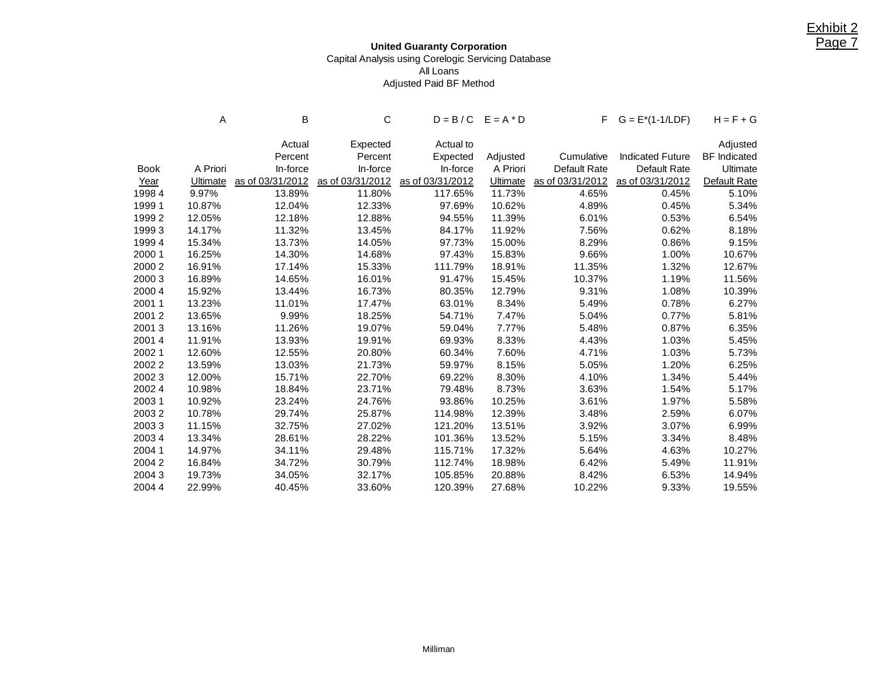## **United Guaranty Corporation** Capital Analysis using Corelogic Servicing Database All Loans Adjusted Paid BF Method

|             | Α        | В                | С                |                  | $D = B/C$ $E = A * D$ |                  | $F$ $G = E^*(1-1/LDF)$  | $H = F + G$         |
|-------------|----------|------------------|------------------|------------------|-----------------------|------------------|-------------------------|---------------------|
|             |          | Actual           | Expected         | Actual to        |                       |                  |                         | Adjusted            |
|             |          | Percent          | Percent          | Expected         | Adjusted              | Cumulative       | <b>Indicated Future</b> | <b>BF</b> Indicated |
| <b>Book</b> | A Priori | In-force         | In-force         | In-force         | A Priori              | Default Rate     | Default Rate            | Ultimate            |
| Year        | Ultimate | as of 03/31/2012 | as of 03/31/2012 | as of 03/31/2012 | <b>Ultimate</b>       | as of 03/31/2012 | as of 03/31/2012        | Default Rate        |
| 19984       | 9.97%    | 13.89%           | 11.80%           | 117.65%          | 11.73%                | 4.65%            | 0.45%                   | 5.10%               |
| 1999 1      | 10.87%   | 12.04%           | 12.33%           | 97.69%           | 10.62%                | 4.89%            | 0.45%                   | 5.34%               |
| 19992       | 12.05%   | 12.18%           | 12.88%           | 94.55%           | 11.39%                | 6.01%            | 0.53%                   | 6.54%               |
| 19993       | 14.17%   | 11.32%           | 13.45%           | 84.17%           | 11.92%                | 7.56%            | 0.62%                   | 8.18%               |
| 1999 4      | 15.34%   | 13.73%           | 14.05%           | 97.73%           | 15.00%                | 8.29%            | 0.86%                   | 9.15%               |
| 2000 1      | 16.25%   | 14.30%           | 14.68%           | 97.43%           | 15.83%                | 9.66%            | 1.00%                   | 10.67%              |
| 2000 2      | 16.91%   | 17.14%           | 15.33%           | 111.79%          | 18.91%                | 11.35%           | 1.32%                   | 12.67%              |
| 2000 3      | 16.89%   | 14.65%           | 16.01%           | 91.47%           | 15.45%                | 10.37%           | 1.19%                   | 11.56%              |
| 2000 4      | 15.92%   | 13.44%           | 16.73%           | 80.35%           | 12.79%                | 9.31%            | 1.08%                   | 10.39%              |
| 20011       | 13.23%   | 11.01%           | 17.47%           | 63.01%           | 8.34%                 | 5.49%            | 0.78%                   | 6.27%               |
| 20012       | 13.65%   | 9.99%            | 18.25%           | 54.71%           | 7.47%                 | 5.04%            | 0.77%                   | 5.81%               |
| 20013       | 13.16%   | 11.26%           | 19.07%           | 59.04%           | 7.77%                 | 5.48%            | 0.87%                   | 6.35%               |
| 20014       | 11.91%   | 13.93%           | 19.91%           | 69.93%           | 8.33%                 | 4.43%            | 1.03%                   | 5.45%               |
| 20021       | 12.60%   | 12.55%           | 20.80%           | 60.34%           | 7.60%                 | 4.71%            | 1.03%                   | 5.73%               |
| 20022       | 13.59%   | 13.03%           | 21.73%           | 59.97%           | 8.15%                 | 5.05%            | 1.20%                   | 6.25%               |
| 20023       | 12.00%   | 15.71%           | 22.70%           | 69.22%           | 8.30%                 | 4.10%            | 1.34%                   | 5.44%               |
| 2002 4      | 10.98%   | 18.84%           | 23.71%           | 79.48%           | 8.73%                 | 3.63%            | 1.54%                   | 5.17%               |
| 20031       | 10.92%   | 23.24%           | 24.76%           | 93.86%           | 10.25%                | 3.61%            | 1.97%                   | 5.58%               |
| 20032       | 10.78%   | 29.74%           | 25.87%           | 114.98%          | 12.39%                | 3.48%            | 2.59%                   | 6.07%               |
| 20033       | 11.15%   | 32.75%           | 27.02%           | 121.20%          | 13.51%                | 3.92%            | 3.07%                   | 6.99%               |
| 20034       | 13.34%   | 28.61%           | 28.22%           | 101.36%          | 13.52%                | 5.15%            | 3.34%                   | 8.48%               |
| 2004 1      | 14.97%   | 34.11%           | 29.48%           | 115.71%          | 17.32%                | 5.64%            | 4.63%                   | 10.27%              |
| 20042       | 16.84%   | 34.72%           | 30.79%           | 112.74%          | 18.98%                | 6.42%            | 5.49%                   | 11.91%              |
| 20043       | 19.73%   | 34.05%           | 32.17%           | 105.85%          | 20.88%                | 8.42%            | 6.53%                   | 14.94%              |
| 2004 4      | 22.99%   | 40.45%           | 33.60%           | 120.39%          | 27.68%                | 10.22%           | 9.33%                   | 19.55%              |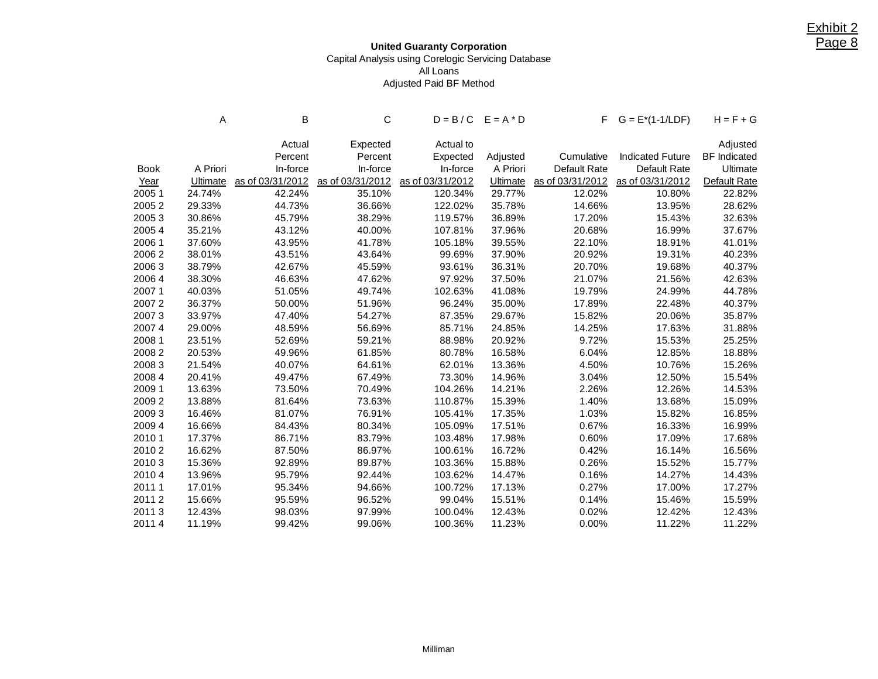## **United Guaranty Corporation** Capital Analysis using Corelogic Servicing Database All Loans Adjusted Paid BF Method

|             | A               | в                | С                |                  | $D = B/C$ $E = A * D$ |              | $F$ $G = E^*(1-1/LDF)$            | $H = F + G$         |
|-------------|-----------------|------------------|------------------|------------------|-----------------------|--------------|-----------------------------------|---------------------|
|             |                 | Actual           | Expected         | Actual to        |                       |              |                                   | Adjusted            |
|             |                 | Percent          | Percent          | Expected         | Adjusted              | Cumulative   | <b>Indicated Future</b>           | <b>BF</b> Indicated |
| <b>Book</b> | A Priori        | In-force         | In-force         | In-force         | A Priori              | Default Rate | Default Rate                      | Ultimate            |
| Year        | <b>Ultimate</b> | as of 03/31/2012 | as of 03/31/2012 | as of 03/31/2012 | <b>Ultimate</b>       |              | as of 03/31/2012 as of 03/31/2012 | Default Rate        |
| 2005 1      | 24.74%          | 42.24%           | 35.10%           | 120.34%          | 29.77%                | 12.02%       | 10.80%                            | 22.82%              |
| 20052       | 29.33%          | 44.73%           | 36.66%           | 122.02%          | 35.78%                | 14.66%       | 13.95%                            | 28.62%              |
| 20053       | 30.86%          | 45.79%           | 38.29%           | 119.57%          | 36.89%                | 17.20%       | 15.43%                            | 32.63%              |
| 20054       | 35.21%          | 43.12%           | 40.00%           | 107.81%          | 37.96%                | 20.68%       | 16.99%                            | 37.67%              |
| 2006 1      | 37.60%          | 43.95%           | 41.78%           | 105.18%          | 39.55%                | 22.10%       | 18.91%                            | 41.01%              |
| 20062       | 38.01%          | 43.51%           | 43.64%           | 99.69%           | 37.90%                | 20.92%       | 19.31%                            | 40.23%              |
| 20063       | 38.79%          | 42.67%           | 45.59%           | 93.61%           | 36.31%                | 20.70%       | 19.68%                            | 40.37%              |
| 2006 4      | 38.30%          | 46.63%           | 47.62%           | 97.92%           | 37.50%                | 21.07%       | 21.56%                            | 42.63%              |
| 20071       | 40.03%          | 51.05%           | 49.74%           | 102.63%          | 41.08%                | 19.79%       | 24.99%                            | 44.78%              |
| 20072       | 36.37%          | 50.00%           | 51.96%           | 96.24%           | 35.00%                | 17.89%       | 22.48%                            | 40.37%              |
| 20073       | 33.97%          | 47.40%           | 54.27%           | 87.35%           | 29.67%                | 15.82%       | 20.06%                            | 35.87%              |
| 20074       | 29.00%          | 48.59%           | 56.69%           | 85.71%           | 24.85%                | 14.25%       | 17.63%                            | 31.88%              |
| 2008 1      | 23.51%          | 52.69%           | 59.21%           | 88.98%           | 20.92%                | 9.72%        | 15.53%                            | 25.25%              |
| 20082       | 20.53%          | 49.96%           | 61.85%           | 80.78%           | 16.58%                | 6.04%        | 12.85%                            | 18.88%              |
| 20083       | 21.54%          | 40.07%           | 64.61%           | 62.01%           | 13.36%                | 4.50%        | 10.76%                            | 15.26%              |
| 2008 4      | 20.41%          | 49.47%           | 67.49%           | 73.30%           | 14.96%                | 3.04%        | 12.50%                            | 15.54%              |
| 2009 1      | 13.63%          | 73.50%           | 70.49%           | 104.26%          | 14.21%                | 2.26%        | 12.26%                            | 14.53%              |
| 20092       | 13.88%          | 81.64%           | 73.63%           | 110.87%          | 15.39%                | 1.40%        | 13.68%                            | 15.09%              |
| 20093       | 16.46%          | 81.07%           | 76.91%           | 105.41%          | 17.35%                | 1.03%        | 15.82%                            | 16.85%              |
| 2009 4      | 16.66%          | 84.43%           | 80.34%           | 105.09%          | 17.51%                | 0.67%        | 16.33%                            | 16.99%              |
| 2010 1      | 17.37%          | 86.71%           | 83.79%           | 103.48%          | 17.98%                | 0.60%        | 17.09%                            | 17.68%              |
| 20102       | 16.62%          | 87.50%           | 86.97%           | 100.61%          | 16.72%                | 0.42%        | 16.14%                            | 16.56%              |
| 20103       | 15.36%          | 92.89%           | 89.87%           | 103.36%          | 15.88%                | 0.26%        | 15.52%                            | 15.77%              |
| 2010 4      | 13.96%          | 95.79%           | 92.44%           | 103.62%          | 14.47%                | 0.16%        | 14.27%                            | 14.43%              |
| 2011 1      | 17.01%          | 95.34%           | 94.66%           | 100.72%          | 17.13%                | 0.27%        | 17.00%                            | 17.27%              |
| 20112       | 15.66%          | 95.59%           | 96.52%           | 99.04%           | 15.51%                | 0.14%        | 15.46%                            | 15.59%              |
| 20113       | 12.43%          | 98.03%           | 97.99%           | 100.04%          | 12.43%                | 0.02%        | 12.42%                            | 12.43%              |
| 20114       | 11.19%          | 99.42%           | 99.06%           | 100.36%          | 11.23%                | 0.00%        | 11.22%                            | 11.22%              |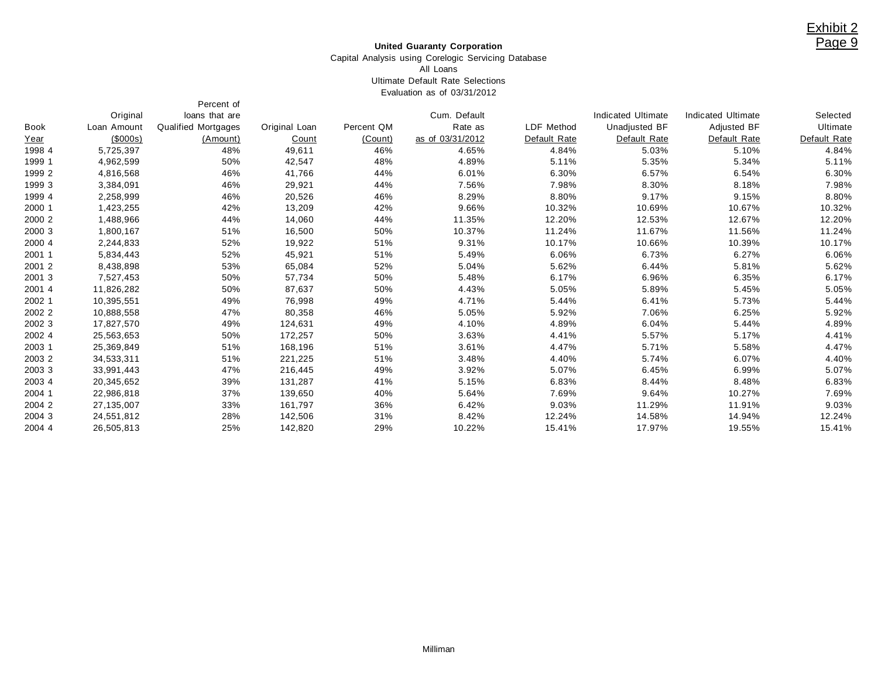#### **United Guaranty Corporation**

#### Capital Analysis using Corelogic Servicing Database All Loans Ultimate Default Rate Selections Evaluation as of 03/31/2012

Percent of

|        | Original    | loans that are      |               |            | Cum. Default     |              | Indicated Ultimate | <b>Indicated Ultimate</b> | Selected     |
|--------|-------------|---------------------|---------------|------------|------------------|--------------|--------------------|---------------------------|--------------|
| Book   | Loan Amount | Qualified Mortgages | Original Loan | Percent QM | Rate as          | LDF Method   | Unadjusted BF      | Adjusted BF               | Ultimate     |
| Year   | (\$000s)    | (Amount)            | Count         | (Count)    | as of 03/31/2012 | Default Rate | Default Rate       | Default Rate              | Default Rate |
| 1998 4 | 5,725,397   | 48%                 | 49,611        | 46%        | 4.65%            | 4.84%        | 5.03%              | 5.10%                     | 4.84%        |
| 1999 1 | 4,962,599   | 50%                 | 42,547        | 48%        | 4.89%            | 5.11%        | 5.35%              | 5.34%                     | 5.11%        |
| 1999 2 | 4,816,568   | 46%                 | 41,766        | 44%        | 6.01%            | 6.30%        | 6.57%              | 6.54%                     | 6.30%        |
| 1999 3 | 3,384,091   | 46%                 | 29,921        | 44%        | 7.56%            | 7.98%        | 8.30%              | 8.18%                     | 7.98%        |
| 1999 4 | 2,258,999   | 46%                 | 20,526        | 46%        | 8.29%            | 8.80%        | 9.17%              | 9.15%                     | 8.80%        |
| 2000 1 | 1,423,255   | 42%                 | 13,209        | 42%        | 9.66%            | 10.32%       | 10.69%             | 10.67%                    | 10.32%       |
| 2000 2 | 1,488,966   | 44%                 | 14,060        | 44%        | 11.35%           | 12.20%       | 12.53%             | 12.67%                    | 12.20%       |
| 2000 3 | 1,800,167   | 51%                 | 16,500        | 50%        | 10.37%           | 11.24%       | 11.67%             | 11.56%                    | 11.24%       |
| 2000 4 | 2,244,833   | 52%                 | 19,922        | 51%        | 9.31%            | 10.17%       | 10.66%             | 10.39%                    | 10.17%       |
| 2001 1 | 5,834,443   | 52%                 | 45,921        | 51%        | 5.49%            | 6.06%        | 6.73%              | 6.27%                     | 6.06%        |
| 2001 2 | 8,438,898   | 53%                 | 65,084        | 52%        | 5.04%            | 5.62%        | 6.44%              | 5.81%                     | 5.62%        |
| 2001 3 | 7,527,453   | 50%                 | 57,734        | 50%        | 5.48%            | 6.17%        | 6.96%              | 6.35%                     | 6.17%        |
| 2001 4 | 11,826,282  | 50%                 | 87,637        | 50%        | 4.43%            | 5.05%        | 5.89%              | 5.45%                     | 5.05%        |
| 2002 1 | 10,395,551  | 49%                 | 76,998        | 49%        | 4.71%            | 5.44%        | 6.41%              | 5.73%                     | 5.44%        |
| 2002 2 | 10,888,558  | 47%                 | 80,358        | 46%        | 5.05%            | 5.92%        | 7.06%              | 6.25%                     | 5.92%        |
| 2002 3 | 17,827,570  | 49%                 | 124,631       | 49%        | 4.10%            | 4.89%        | 6.04%              | 5.44%                     | 4.89%        |
| 2002 4 | 25,563,653  | 50%                 | 172,257       | 50%        | 3.63%            | 4.41%        | 5.57%              | 5.17%                     | 4.41%        |
| 2003 1 | 25,369,849  | 51%                 | 168,196       | 51%        | 3.61%            | 4.47%        | 5.71%              | 5.58%                     | 4.47%        |
| 2003 2 | 34,533,311  | 51%                 | 221,225       | 51%        | 3.48%            | 4.40%        | 5.74%              | 6.07%                     | 4.40%        |
| 2003 3 | 33,991,443  | 47%                 | 216,445       | 49%        | 3.92%            | 5.07%        | 6.45%              | 6.99%                     | 5.07%        |
| 2003 4 | 20,345,652  | 39%                 | 131,287       | 41%        | 5.15%            | 6.83%        | 8.44%              | 8.48%                     | 6.83%        |
| 2004 1 | 22,986,818  | 37%                 | 139,650       | 40%        | 5.64%            | 7.69%        | 9.64%              | 10.27%                    | 7.69%        |
| 2004 2 | 27,135,007  | 33%                 | 161,797       | 36%        | 6.42%            | 9.03%        | 11.29%             | 11.91%                    | 9.03%        |
| 2004 3 | 24,551,812  | 28%                 | 142,506       | 31%        | 8.42%            | 12.24%       | 14.58%             | 14.94%                    | 12.24%       |
| 2004 4 | 26.505.813  | 25%                 | 142.820       | 29%        | 10.22%           | 15.41%       | 17.97%             | 19.55%                    | 15.41%       |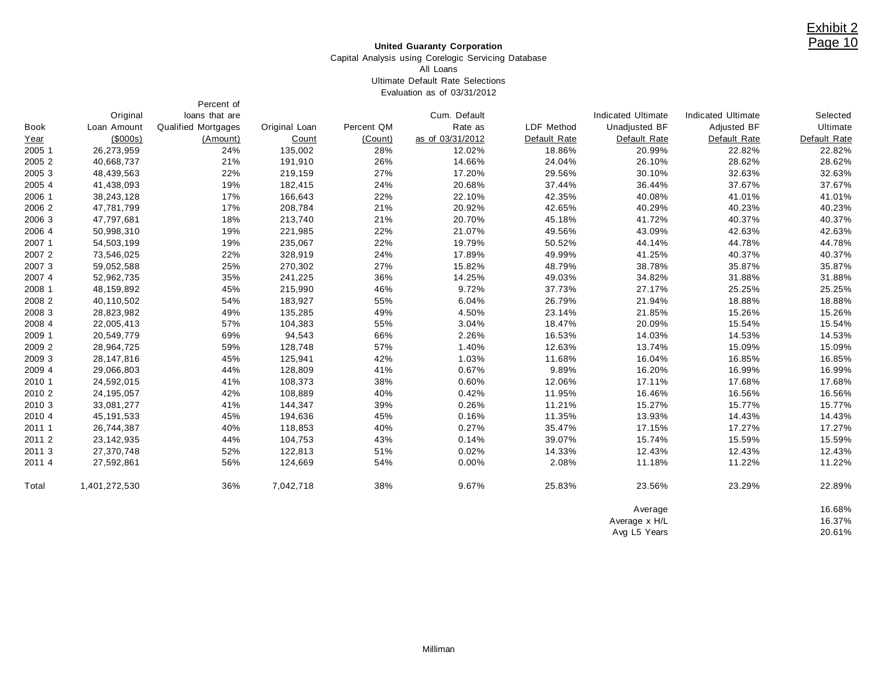#### **United Guaranty Corporation**

#### Capital Analysis using Corelogic Servicing Database All Loans Ultimate Default Rate Selections Evaluation as of 03/31/2012

Percent of

|             | Original       | loans that are      |               |            | Cum. Default     |              | Indicated Ultimate | <b>Indicated Ultimate</b> | Selected     |
|-------------|----------------|---------------------|---------------|------------|------------------|--------------|--------------------|---------------------------|--------------|
| <b>Book</b> | Loan Amount    | Qualified Mortgages | Original Loan | Percent QM | Rate as          | LDF Method   | Unadjusted BF      | <b>Adjusted BF</b>        | Ultimate     |
| Year        | $($ \$000s $)$ | (Amount)            | Count         | (Count)    | as of 03/31/2012 | Default Rate | Default Rate       | Default Rate              | Default Rate |
| 2005 1      | 26,273,959     | 24%                 | 135,002       | 28%        | 12.02%           | 18.86%       | 20.99%             | 22.82%                    | 22.82%       |
| 2005 2      | 40,668,737     | 21%                 | 191,910       | 26%        | 14.66%           | 24.04%       | 26.10%             | 28.62%                    | 28.62%       |
| 2005 3      | 48,439,563     | 22%                 | 219,159       | 27%        | 17.20%           | 29.56%       | 30.10%             | 32.63%                    | 32.63%       |
| 2005 4      | 41,438,093     | 19%                 | 182,415       | 24%        | 20.68%           | 37.44%       | 36.44%             | 37.67%                    | 37.67%       |
| 2006 1      | 38,243,128     | 17%                 | 166,643       | 22%        | 22.10%           | 42.35%       | 40.08%             | 41.01%                    | 41.01%       |
| 2006 2      | 47,781,799     | 17%                 | 208,784       | 21%        | 20.92%           | 42.65%       | 40.29%             | 40.23%                    | 40.23%       |
| 2006 3      | 47,797,681     | 18%                 | 213,740       | 21%        | 20.70%           | 45.18%       | 41.72%             | 40.37%                    | 40.37%       |
| 2006 4      | 50,998,310     | 19%                 | 221,985       | 22%        | 21.07%           | 49.56%       | 43.09%             | 42.63%                    | 42.63%       |
| 2007 1      | 54,503,199     | 19%                 | 235,067       | 22%        | 19.79%           | 50.52%       | 44.14%             | 44.78%                    | 44.78%       |
| 2007 2      | 73,546,025     | 22%                 | 328,919       | 24%        | 17.89%           | 49.99%       | 41.25%             | 40.37%                    | 40.37%       |
| 2007 3      | 59,052,588     | 25%                 | 270,302       | 27%        | 15.82%           | 48.79%       | 38.78%             | 35.87%                    | 35.87%       |
| 2007 4      | 52,962,735     | 35%                 | 241,225       | 36%        | 14.25%           | 49.03%       | 34.82%             | 31.88%                    | 31.88%       |
| 2008 1      | 48,159,892     | 45%                 | 215,990       | 46%        | 9.72%            | 37.73%       | 27.17%             | 25.25%                    | 25.25%       |
| 2008 2      | 40,110,502     | 54%                 | 183,927       | 55%        | 6.04%            | 26.79%       | 21.94%             | 18.88%                    | 18.88%       |
| 2008 3      | 28,823,982     | 49%                 | 135,285       | 49%        | 4.50%            | 23.14%       | 21.85%             | 15.26%                    | 15.26%       |
| 2008 4      | 22,005,413     | 57%                 | 104,383       | 55%        | 3.04%            | 18.47%       | 20.09%             | 15.54%                    | 15.54%       |
| 2009 1      | 20,549,779     | 69%                 | 94,543        | 66%        | 2.26%            | 16.53%       | 14.03%             | 14.53%                    | 14.53%       |
| 2009 2      | 28,964,725     | 59%                 | 128,748       | 57%        | 1.40%            | 12.63%       | 13.74%             | 15.09%                    | 15.09%       |
| 2009 3      | 28,147,816     | 45%                 | 125,941       | 42%        | 1.03%            | 11.68%       | 16.04%             | 16.85%                    | 16.85%       |
| 2009 4      | 29,066,803     | 44%                 | 128,809       | 41%        | 0.67%            | 9.89%        | 16.20%             | 16.99%                    | 16.99%       |
| 2010 1      | 24,592,015     | 41%                 | 108,373       | 38%        | 0.60%            | 12.06%       | 17.11%             | 17.68%                    | 17.68%       |
| 2010 2      | 24,195,057     | 42%                 | 108,889       | 40%        | 0.42%            | 11.95%       | 16.46%             | 16.56%                    | 16.56%       |
| 2010 3      | 33,081,277     | 41%                 | 144,347       | 39%        | 0.26%            | 11.21%       | 15.27%             | 15.77%                    | 15.77%       |
| 2010 4      | 45,191,533     | 45%                 | 194,636       | 45%        | 0.16%            | 11.35%       | 13.93%             | 14.43%                    | 14.43%       |
| 2011 1      | 26,744,387     | 40%                 | 118,853       | 40%        | 0.27%            | 35.47%       | 17.15%             | 17.27%                    | 17.27%       |
| 2011 2      | 23,142,935     | 44%                 | 104,753       | 43%        | 0.14%            | 39.07%       | 15.74%             | 15.59%                    | 15.59%       |
| 2011 3      | 27,370,748     | 52%                 | 122,813       | 51%        | 0.02%            | 14.33%       | 12.43%             | 12.43%                    | 12.43%       |
| 2011 4      | 27,592,861     | 56%                 | 124,669       | 54%        | 0.00%            | 2.08%        | 11.18%             | 11.22%                    | 11.22%       |
| Total       | 1,401,272,530  | 36%                 | 7,042,718     | 38%        | 9.67%            | 25.83%       | 23.56%             | 23.29%                    | 22.89%       |
|             |                |                     |               |            |                  |              | Average            |                           | 16.68%       |
|             |                |                     |               |            |                  |              | Average x H/L      |                           | 16.37%       |
|             |                |                     |               |            |                  |              | Avg L5 Years       |                           | 20.61%       |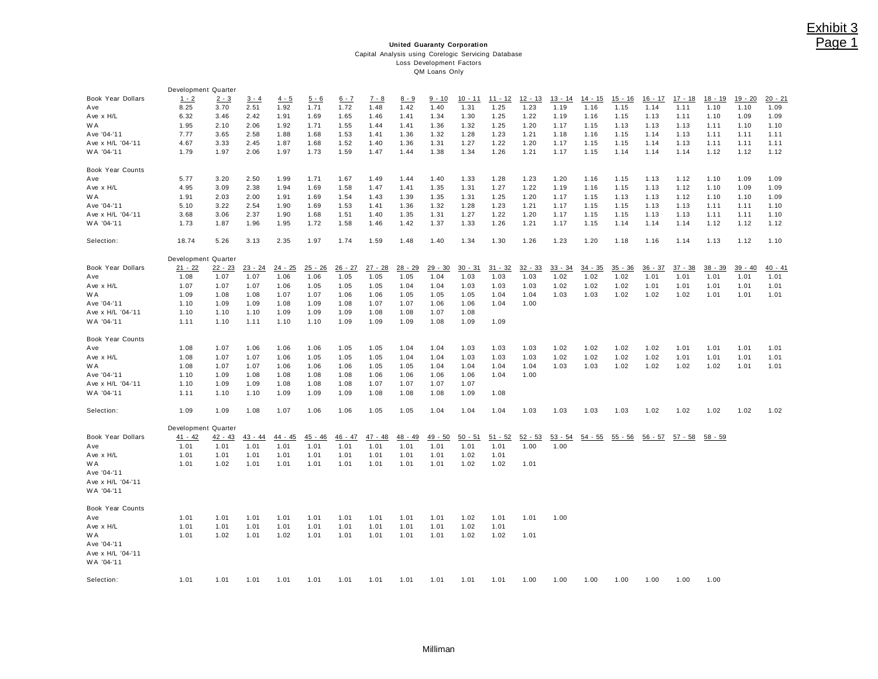## Exhibit 3 Page 1

#### **United Guaranty Corporation** Capital Analysis using Corelogic Servicing Database Loss Development Factors QM Loans Only

|                                 | Development Quarter |           |           |           |           |           |           |           |               |           |           |           |           |           |           |           |           |           |           |           |
|---------------------------------|---------------------|-----------|-----------|-----------|-----------|-----------|-----------|-----------|---------------|-----------|-----------|-----------|-----------|-----------|-----------|-----------|-----------|-----------|-----------|-----------|
| Book Year Dollars               | $1 - 2$             | $2 - 3$   | $3 - 4$   | $4 - 5$   | $5 - 6$   | $6 - 7$   | $7 - 8$   | $8 - 9$   | <u>9 - 10</u> | $10 - 11$ | $11 - 12$ | $12 - 13$ | $13 - 14$ | $14 - 15$ | $15 - 16$ | $16 - 17$ | $17 - 18$ | 18 - 19   | $19 - 20$ | $20 - 21$ |
| Ave                             | 8.25                | 3.70      | 2.51      | 1.92      | 1.71      | 1.72      | 1.48      | 1.42      | 1.40          | 1.31      | 1.25      | 1.23      | 1.19      | 1.16      | 1.15      | 1.14      | 1.11      | 1.10      | 1.10      | 1.09      |
| Ave x H/L                       | 6.32                | 3.46      | 2.42      | 1.91      | 1.69      | 1.65      | 1.46      | 1.41      | 1.34          | 1.30      | 1.25      | 1.22      | 1.19      | 1.16      | 1.15      | 1.13      | 1.11      | 1.10      | 1.09      | 1.09      |
| W A                             | 1.95                | 2.10      | 2.06      | 1.92      | 1.71      | 1.55      | 1.44      | 1.41      | 1.36          | 1.32      | 1.25      | 1.20      | 1.17      | 1.15      | 1.13      | 1.13      | 1.13      | 1.11      | 1.10      | 1.10      |
| Ave '04-'11                     | 7.77                | 3.65      | 2.58      | 1.88      | 1.68      | 1.53      | 1.41      | 1.36      | 1.32          | 1.28      | 1.23      | 1.21      | 1.18      | 1.16      | 1.15      | 1.14      | 1.13      | 1.11      | 1.11      | 1.11      |
| Ave x H/L '04-'11               | 4.67                | 3.33      | 2.45      | 1.87      | 1.68      | 1.52      | 1.40      | 1.36      | 1.31          | 1.27      | 1.22      | 1.20      | 1.17      | 1.15      | 1.15      | 1.14      | 1.13      | 1.11      | 1.11      | 1.11      |
| WA '04-'11                      | 1.79                | 1.97      | 2.06      | 1.97      | 1.73      | 1.59      | 1.47      | 1.44      | 1.38          | 1.34      | 1.26      | 1.21      | 1.17      | 1.15      | 1.14      | 1.14      | 1.14      | 1.12      | 1.12      | 1.12      |
|                                 |                     |           |           |           |           |           |           |           |               |           |           |           |           |           |           |           |           |           |           |           |
| Book Year Counts                |                     |           |           |           |           |           |           |           |               |           |           |           |           |           |           |           |           |           |           |           |
| Ave                             | 5.77                | 3.20      | 2.50      | 1.99      | 1.71      | 1.67      | 1.49      | 1.44      | 1.40          | 1.33      | 1.28      | 1.23      | 1.20      | 1.16      | 1.15      | 1.13      | 1.12      | 1.10      | 1.09      | 1.09      |
| Ave x H/L                       | 4.95                | 3.09      | 2.38      | 1.94      | 1.69      | 1.58      | 1.47      | 1.41      | 1.35          | 1.31      | 1.27      | 1.22      | 1.19      | 1.16      | 1.15      | 1.13      | 1.12      | 1.10      | 1.09      | 1.09      |
| W A                             | 1.91                | 2.03      | 2.00      | 1.91      | 1.69      | 1.54      | 1.43      | 1.39      | 1.35          | 1.31      | 1.25      | 1.20      | 1.17      | 1.15      | 1.13      | 1.13      | 1.12      | 1.10      | 1.10      | 1.09      |
| Ave '04-'11                     | 5.10                | 3.22      | 2.54      | 1.90      | 1.69      | 1.53      | 1.41      | 1.36      | 1.32          | 1.28      | 1.23      | 1.21      | 1.17      | 1.15      | 1.15      | 1.13      | 1.13      | 1.11      | 1.11      | 1.10      |
| Ave x H/L '04-'11               | 3.68                | 3.06      | 2.37      | 1.90      | 1.68      | 1.51      | 1.40      | 1.35      | 1.31          | 1.27      | 1.22      | 1.20      | 1.17      | 1.15      | 1.15      | 1.13      | 1.13      | 1.11      | 1.11      | 1.10      |
| WA '04-'11                      | 1.73                | 1.87      | 1.96      | 1.95      | 1.72      | 1.58      | 1.46      | 1.42      | 1.37          | 1.33      | 1.26      | 1.21      | 1.17      | 1.15      | 1.14      | 1.14      | 1.14      | 1.12      | 1.12      | 1.12      |
| Selection:                      | 18.74               | 5.26      | 3.13      | 2.35      | 1.97      | 1.74      | 1.59      | 1.48      | 1.40          | 1.34      | 1.30      | 1.26      | 1.23      | 1.20      | 1.18      | 1.16      | 1.14      | 1.13      | 1.12      | 1.10      |
|                                 | Development Quarter |           |           |           |           |           |           |           |               |           |           |           |           |           |           |           |           |           |           |           |
| Book Year Dollars               | $21 - 22$           | $22 - 23$ | $23 - 24$ | $24 - 25$ | $25 - 26$ | $26 - 27$ | $27 - 28$ | $28 - 29$ | $29 - 30$     | 30 - 31   | $31 - 32$ | $32 - 33$ | $33 - 34$ | $34 - 35$ | $35 - 36$ | $36 - 37$ | $37 - 38$ | $38 - 39$ | $39 - 40$ | $40 - 41$ |
| Ave                             | 1.08                | 1.07      | 1.07      | 1.06      | 1.06      | 1.05      | 1.05      | 1.05      | 1.04          | 1.03      | 1.03      | 1.03      | 1.02      | 1.02      | 1.02      | 1.01      | 1.01      | 1.01      | 1.01      | 1.01      |
| Ave x H/L                       | 1.07                | 1.07      | 1.07      | 1.06      | 1.05      | 1.05      | 1.05      | 1.04      | 1.04          | 1.03      | 1.03      | 1.03      | 1.02      | 1.02      | 1.02      | 1.01      | 1.01      | 1.01      | 1.01      | 1.01      |
| W A                             | 1.09                | 1.08      | 1.08      | 1.07      | 1.07      | 1.06      | 1.06      | 1.05      | 1.05          | 1.05      | 1.04      | 1.04      | 1.03      | 1.03      | 1.02      | 1.02      | 1.02      | 1.01      | 1.01      | 1.01      |
| Ave '04-'11                     | 1.10                | 1.09      | 1.09      | 1.08      | 1.09      | 1.08      | 1.07      | 1.07      | 1.06          | 1.06      | 1.04      | 1.00      |           |           |           |           |           |           |           |           |
| Ave x H/L '04-'11               | 1.10                | 1.10      | 1.10      | 1.09      | 1.09      | 1.09      | 1.08      | 1.08      | 1.07          | 1.08      |           |           |           |           |           |           |           |           |           |           |
| WA '04-'11                      | 1.11                | 1.10      | 1.11      | 1.10      | 1.10      | 1.09      | 1.09      | 1.09      | 1.08          | 1.09      | 1.09      |           |           |           |           |           |           |           |           |           |
|                                 |                     |           |           |           |           |           |           |           |               |           |           |           |           |           |           |           |           |           |           |           |
| Book Year Counts                |                     |           |           |           |           |           |           |           |               |           |           |           |           |           |           |           |           |           |           |           |
| Ave                             | 1.08                | 1.07      | 1.06      | 1.06      | 1.06      | 1.05      | 1.05      | 1.04      | 1.04          | 1.03      | 1.03      | 1.03      | 1.02      | 1.02      | 1.02      | 1.02      | 1.01      | 1.01      | 1.01      | 1.01      |
| Ave x H/L                       | 1.08                | 1.07      | 1.07      | 1.06      | 1.05      | 1.05      | 1.05      | 1.04      | 1.04          | 1.03      | 1.03      | 1.03      | 1.02      | 1.02      | 1.02      | 1.02      | 1.01      | 1.01      | 1.01      | 1.01      |
| W A                             | 1.08                | 1.07      | 1.07      | 1.06      | 1.06      | 1.06      | 1.05      | 1.05      | 1.04          | 1.04      | 1.04      | 1.04      | 1.03      | 1.03      | 1.02      | 1.02      | 1.02      | 1.02      | 1.01      | 1.01      |
| Ave '04-'11                     | 1.10                | 1.09      | 1.08      | 1.08      | 1.08      | 1.08      | 1.06      | 1.06      | 1.06          | 1.06      | 1.04      | 1.00      |           |           |           |           |           |           |           |           |
| Ave x H/L '04-'11               | 1.10                | 1.09      | 1.09      | 1.08      | 1.08      | 1.08      | 1.07      | 1.07      | 1.07          | 1.07      |           |           |           |           |           |           |           |           |           |           |
| WA '04-'11                      | 1.11                | 1.10      | 1.10      | 1.09      | 1.09      | 1.09      | 1.08      | 1.08      | 1.08          | 1.09      | 1.08      |           |           |           |           |           |           |           |           |           |
| Selection:                      | 1.09                | 1.09      | 1.08      | 1.07      | 1.06      | 1.06      | 1.05      | 1.05      | 1.04          | 1.04      | 1.04      | 1.03      | 1.03      | 1.03      | 1.03      | 1.02      | 1.02      | 1.02      | 1.02      | 1.02      |
|                                 | Development Quarter |           |           |           |           |           |           |           |               |           |           |           |           |           |           |           |           |           |           |           |
| Book Year Dollars               | 41 - 42             | $42 - 43$ | $43 - 44$ | $44 - 45$ | 45 - 46   | $46 - 47$ | 47 - 48   | 48 - 49   | 49 - 50       | $50 - 51$ | $51 - 52$ | $52 - 53$ | $53 - 54$ | $54 - 55$ | $55 - 56$ | $56 - 57$ | $57 - 58$ | $58 - 59$ |           |           |
| Ave                             | 1.01                | 1.01      | 1.01      | 1.01      | 1.01      | 1.01      | 1.01      | 1.01      | 1.01          | 1.01      | 1.01      | 1.00      | 1.00      |           |           |           |           |           |           |           |
| Ave x H/L                       | 1.01                | 1.01      | 1.01      | 1.01      | 1.01      | 1.01      | 1.01      | 1.01      | 1.01          | 1.02      | 1.01      |           |           |           |           |           |           |           |           |           |
| W A                             | 1.01                | 1.02      | 1.01      | 1.01      | 1.01      | 1.01      | 1.01      | 1.01      | 1.01          | 1.02      | 1.02      | 1.01      |           |           |           |           |           |           |           |           |
| Ave '04-'11                     |                     |           |           |           |           |           |           |           |               |           |           |           |           |           |           |           |           |           |           |           |
| Ave x H/L '04-'11               |                     |           |           |           |           |           |           |           |               |           |           |           |           |           |           |           |           |           |           |           |
| WA '04-'11                      |                     |           |           |           |           |           |           |           |               |           |           |           |           |           |           |           |           |           |           |           |
| Book Year Counts                |                     |           |           |           |           |           |           |           |               |           |           |           |           |           |           |           |           |           |           |           |
| Ave                             | 1.01                | 1.01      | 1.01      | 1.01      | 1.01      | 1.01      | 1.01      | 1.01      | 1.01          | 1.02      | 1.01      | 1.01      | 1.00      |           |           |           |           |           |           |           |
| Ave x H/L                       | 1.01                | 1.01      | 1.01      | 1.01      | 1.01      | 1.01      | 1.01      | 1.01      | 1.01          | 1.02      | 1.01      |           |           |           |           |           |           |           |           |           |
| W A                             | 1.01                | 1.02      | 1.01      | 1.02      | 1.01      | 1.01      | 1.01      | 1.01      | 1.01          | 1.02      | 1.02      | 1.01      |           |           |           |           |           |           |           |           |
| Ave '04-'11                     |                     |           |           |           |           |           |           |           |               |           |           |           |           |           |           |           |           |           |           |           |
| Ave x H/L '04-'11<br>WA '04-'11 |                     |           |           |           |           |           |           |           |               |           |           |           |           |           |           |           |           |           |           |           |
| Selection:                      | 1.01                | 1.01      | 1.01      | 1.01      | 1.01      | 1.01      | 1.01      | 1.01      | 1.01          | 1.01      | 1.01      | 1.00      | 1.00      | 1.00      | 1.00      | 1.00      | 1.00      | 1.00      |           |           |
|                                 |                     |           |           |           |           |           |           |           |               |           |           |           |           |           |           |           |           |           |           |           |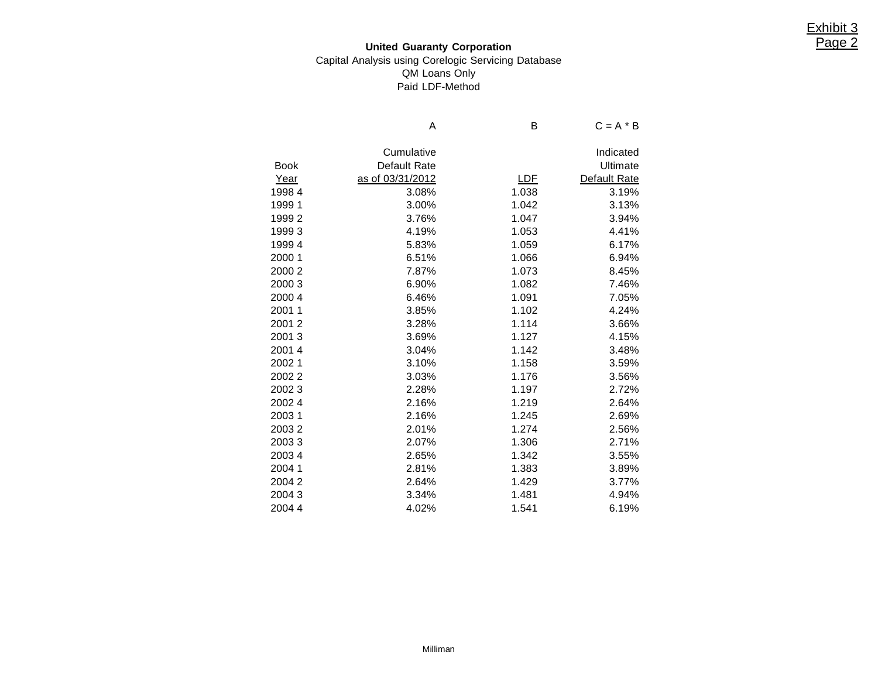## **United Guaranty Corporation** Capital Analysis using Corelogic Servicing Database QM Loans Only Paid LDF-Method

|             | Α                | в          | $C = A * B$  |
|-------------|------------------|------------|--------------|
|             |                  |            |              |
|             | Cumulative       |            | Indicated    |
| <b>Book</b> | Default Rate     |            | Ultimate     |
| Year        | as of 03/31/2012 | <u>LDF</u> | Default Rate |
| 19984       | 3.08%            | 1.038      | 3.19%        |
| 19991       | 3.00%            | 1.042      | 3.13%        |
| 19992       | 3.76%            | 1.047      | 3.94%        |
| 19993       | 4.19%            | 1.053      | 4.41%        |
| 19994       | 5.83%            | 1.059      | 6.17%        |
| 2000 1      | 6.51%            | 1.066      | 6.94%        |
| 2000 2      | 7.87%            | 1.073      | 8.45%        |
| 2000 3      | 6.90%            | 1.082      | 7.46%        |
| 2000 4      | 6.46%            | 1.091      | 7.05%        |
| 2001 1      | 3.85%            | 1.102      | 4.24%        |
| 20012       | 3.28%            | 1.114      | 3.66%        |
| 20013       | 3.69%            | 1.127      | 4.15%        |
| 20014       | 3.04%            | 1.142      | 3.48%        |
| 20021       | 3.10%            | 1.158      | 3.59%        |
| 20022       | 3.03%            | 1.176      | 3.56%        |
| 20023       | 2.28%            | 1.197      | 2.72%        |
| 20024       | 2.16%            | 1.219      | 2.64%        |
| 20031       | 2.16%            | 1.245      | 2.69%        |
| 20032       | 2.01%            | 1.274      | 2.56%        |
| 20033       | 2.07%            | 1.306      | 2.71%        |
| 20034       | 2.65%            | 1.342      | 3.55%        |
| 2004 1      | 2.81%            | 1.383      | 3.89%        |
| 20042       | 2.64%            | 1.429      | 3.77%        |
| 20043       | 3.34%            | 1.481      | 4.94%        |
| 2004 4      | 4.02%            | 1.541      | 6.19%        |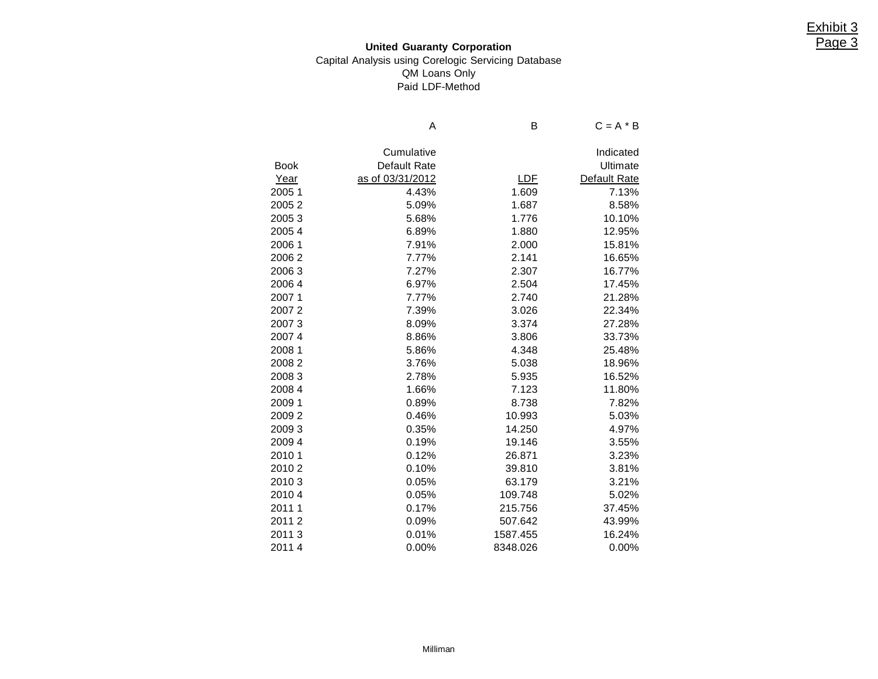## **United Guaranty Corporation** Capital Analysis using Corelogic Servicing Database QM Loans Only Paid LDF-Method

|             | Α                   | B          | $C = A * B$  |
|-------------|---------------------|------------|--------------|
|             | Cumulative          |            | Indicated    |
| <b>Book</b> | <b>Default Rate</b> |            | Ultimate     |
| Year        | as of 03/31/2012    | <u>LDF</u> | Default Rate |
| 2005 1      | 4.43%               | 1.609      | 7.13%        |
| 20052       | 5.09%               | 1.687      | 8.58%        |
| 20053       | 5.68%               | 1.776      | 10.10%       |
| 20054       | 6.89%               | 1.880      | 12.95%       |
| 2006 1      | 7.91%               | 2.000      | 15.81%       |
| 20062       | 7.77%               | 2.141      | 16.65%       |
| 20063       | 7.27%               | 2.307      | 16.77%       |
| 20064       | 6.97%               | 2.504      | 17.45%       |
| 20071       | 7.77%               | 2.740      | 21.28%       |
| 20072       | 7.39%               | 3.026      | 22.34%       |
| 20073       | 8.09%               | 3.374      | 27.28%       |
| 20074       | 8.86%               | 3.806      | 33.73%       |
| 2008 1      | 5.86%               | 4.348      | 25.48%       |
| 20082       | 3.76%               | 5.038      | 18.96%       |
| 20083       | 2.78%               | 5.935      | 16.52%       |
| 2008 4      | 1.66%               | 7.123      | 11.80%       |
| 2009 1      | 0.89%               | 8.738      | 7.82%        |
| 20092       | 0.46%               | 10.993     | 5.03%        |
| 20093       | 0.35%               | 14.250     | 4.97%        |
| 2009 4      | 0.19%               | 19.146     | 3.55%        |
| 2010 1      | 0.12%               | 26.871     | 3.23%        |
| 20102       | 0.10%               | 39.810     | 3.81%        |
| 20103       | 0.05%               | 63.179     | 3.21%        |
| 20104       | 0.05%               | 109.748    | 5.02%        |
| 2011 1      | 0.17%               | 215.756    | 37.45%       |
| 20112       | 0.09%               | 507.642    | 43.99%       |
| 20113       | 0.01%               | 1587.455   | 16.24%       |
| 20114       | 0.00%               | 8348.026   | 0.00%        |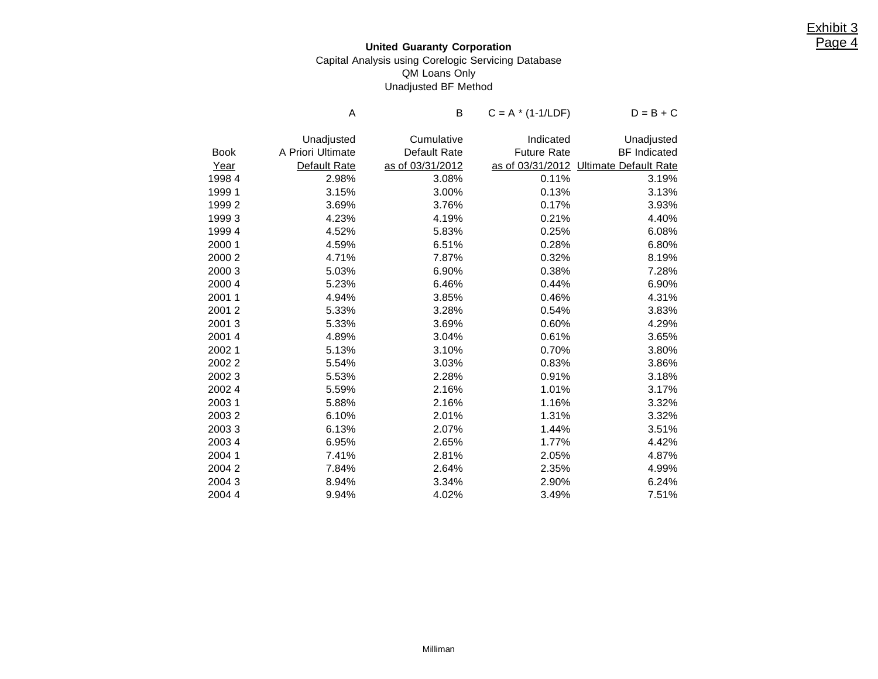## **United Guaranty Corporation** Capital Analysis using Corelogic Servicing Database QM Loans Only Unadjusted BF Method

|             | Α                 | B                | $C = A * (1-1/LDF)$ | $D = B + C$                            |
|-------------|-------------------|------------------|---------------------|----------------------------------------|
|             |                   |                  |                     |                                        |
|             | Unadjusted        | Cumulative       | Indicated           | Unadjusted                             |
| <b>Book</b> | A Priori Ultimate | Default Rate     | <b>Future Rate</b>  | <b>BF</b> Indicated                    |
| Year        | Default Rate      | as of 03/31/2012 |                     | as of 03/31/2012 Ultimate Default Rate |
| 19984       | 2.98%             | 3.08%            | 0.11%               | 3.19%                                  |
| 19991       | 3.15%             | 3.00%            | 0.13%               | 3.13%                                  |
| 19992       | 3.69%             | 3.76%            | 0.17%               | 3.93%                                  |
| 19993       | 4.23%             | 4.19%            | 0.21%               | 4.40%                                  |
| 19994       | 4.52%             | 5.83%            | 0.25%               | 6.08%                                  |
| 2000 1      | 4.59%             | 6.51%            | 0.28%               | 6.80%                                  |
| 2000 2      | 4.71%             | 7.87%            | 0.32%               | 8.19%                                  |
| 2000 3      | 5.03%             | 6.90%            | 0.38%               | 7.28%                                  |
| 2000 4      | 5.23%             | 6.46%            | 0.44%               | 6.90%                                  |
| 2001 1      | 4.94%             | 3.85%            | 0.46%               | 4.31%                                  |
| 20012       | 5.33%             | 3.28%            | 0.54%               | 3.83%                                  |
| 20013       | 5.33%             | 3.69%            | 0.60%               | 4.29%                                  |
| 2001 4      | 4.89%             | 3.04%            | 0.61%               | 3.65%                                  |
| 2002 1      | 5.13%             | 3.10%            | 0.70%               | 3.80%                                  |
| 20022       | 5.54%             | 3.03%            | 0.83%               | 3.86%                                  |
| 20023       | 5.53%             | 2.28%            | 0.91%               | 3.18%                                  |
| 2002 4      | 5.59%             | 2.16%            | 1.01%               | 3.17%                                  |
| 20031       | 5.88%             | 2.16%            | 1.16%               | 3.32%                                  |
| 20032       | 6.10%             | 2.01%            | 1.31%               | 3.32%                                  |
| 20033       | 6.13%             | 2.07%            | 1.44%               | 3.51%                                  |
| 2003 4      | 6.95%             | 2.65%            | 1.77%               | 4.42%                                  |
| 2004 1      | 7.41%             | 2.81%            | 2.05%               | 4.87%                                  |
| 20042       | 7.84%             | 2.64%            | 2.35%               | 4.99%                                  |
| 20043       | 8.94%             | 3.34%            | 2.90%               | 6.24%                                  |
| 2004 4      | 9.94%             | 4.02%            | 3.49%               | 7.51%                                  |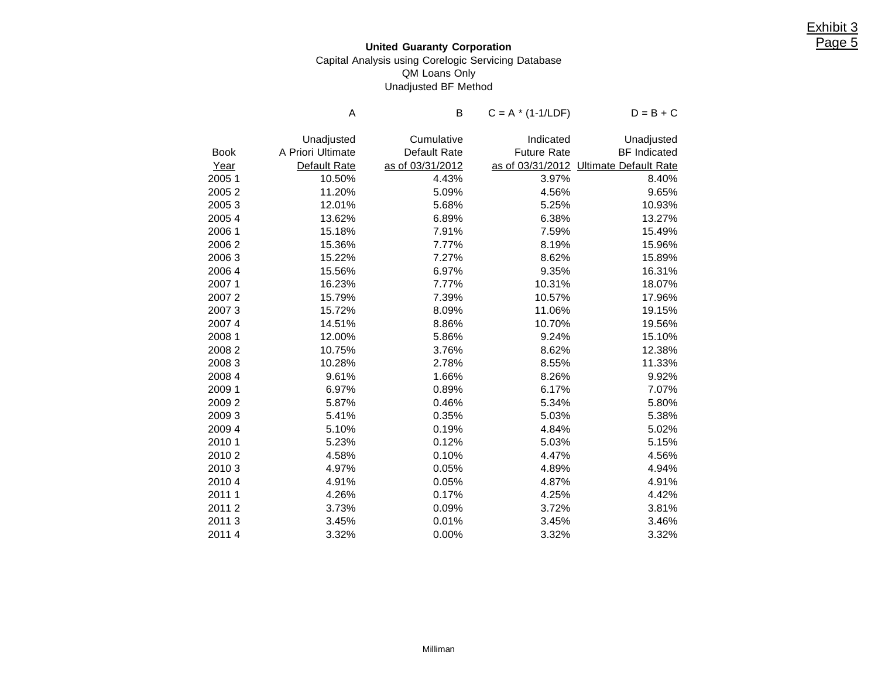## **United Guaranty Corporation** Capital Analysis using Corelogic Servicing Database QM Loans Only Unadjusted BF Method

|             | Α                 | В                | $C = A * (1-1/LDF)$ | $D = B + C$                  |
|-------------|-------------------|------------------|---------------------|------------------------------|
|             | Unadjusted        | Cumulative       | Indicated           | Unadjusted                   |
| <b>Book</b> | A Priori Ultimate | Default Rate     | <b>Future Rate</b>  | <b>BF</b> Indicated          |
| Year        | Default Rate      | as of 03/31/2012 | as of 03/31/2012    | <b>Ultimate Default Rate</b> |
| 20051       | 10.50%            | 4.43%            | 3.97%               | 8.40%                        |
| 20052       | 11.20%            | 5.09%            | 4.56%               | 9.65%                        |
| 20053       | 12.01%            | 5.68%            | 5.25%               | 10.93%                       |
| 20054       | 13.62%            | 6.89%            | 6.38%               | 13.27%                       |
| 2006 1      | 15.18%            | 7.91%            | 7.59%               | 15.49%                       |
| 20062       | 15.36%            | 7.77%            | 8.19%               | 15.96%                       |
| 20063       | 15.22%            | 7.27%            | 8.62%               | 15.89%                       |
| 20064       | 15.56%            | 6.97%            | 9.35%               | 16.31%                       |
| 20071       | 16.23%            | 7.77%            | 10.31%              | 18.07%                       |
| 20072       | 15.79%            | 7.39%            | 10.57%              | 17.96%                       |
| 20073       | 15.72%            | 8.09%            | 11.06%              | 19.15%                       |
| 20074       | 14.51%            | 8.86%            | 10.70%              | 19.56%                       |
| 2008 1      | 12.00%            | 5.86%            | 9.24%               | 15.10%                       |
| 20082       | 10.75%            | 3.76%            | 8.62%               | 12.38%                       |
| 20083       | 10.28%            | 2.78%            | 8.55%               | 11.33%                       |
| 2008 4      | 9.61%             | 1.66%            | 8.26%               | 9.92%                        |
| 2009 1      | 6.97%             | 0.89%            | 6.17%               | 7.07%                        |
| 20092       | 5.87%             | 0.46%            | 5.34%               | 5.80%                        |
| 20093       | 5.41%             | 0.35%            | 5.03%               | 5.38%                        |
| 20094       | 5.10%             | 0.19%            | 4.84%               | 5.02%                        |
| 2010 1      | 5.23%             | 0.12%            | 5.03%               | 5.15%                        |
| 20102       | 4.58%             | 0.10%            | 4.47%               | 4.56%                        |
| 20103       | 4.97%             | 0.05%            | 4.89%               | 4.94%                        |
| 20104       | 4.91%             | 0.05%            | 4.87%               | 4.91%                        |
| 20111       | 4.26%             | 0.17%            | 4.25%               | 4.42%                        |
| 20112       | 3.73%             | 0.09%            | 3.72%               | 3.81%                        |
| 20113       | 3.45%             | 0.01%            | 3.45%               | 3.46%                        |
| 20114       | 3.32%             | 0.00%            | 3.32%               | 3.32%                        |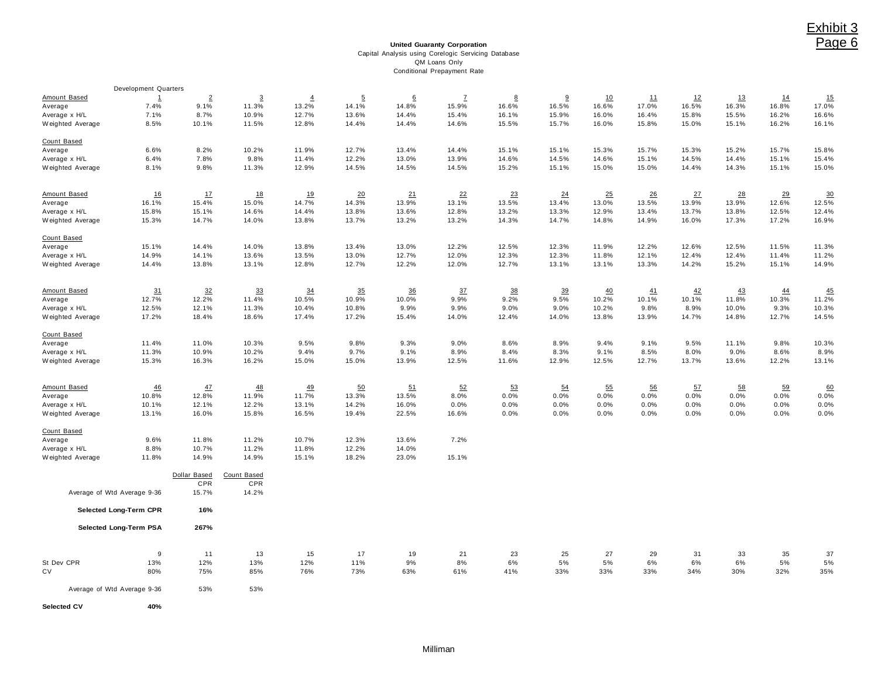#### **United Guaranty Corporation** Capital Analysis using Corelogic Servicing Database QM Loans Only Conditional Prepayment Rate

|                     | <b>Development Quarters</b> |                |                |                |                |       |              |       |                |       |       |       |           |       |                     |
|---------------------|-----------------------------|----------------|----------------|----------------|----------------|-------|--------------|-------|----------------|-------|-------|-------|-----------|-------|---------------------|
| <b>Amount Based</b> | $\mathbf{1}$                | $\overline{2}$ | $\overline{3}$ | $\overline{4}$ | $\overline{5}$ | 6     | $\mathbf{Z}$ | 8     | 9              | 10    | 11    | 12    | <u>13</u> | 14    | <u>15</u>           |
| Average             | 7.4%                        | 9.1%           | 11.3%          | 13.2%          | 14.1%          | 14.8% | 15.9%        | 16.6% | 16.5%          | 16.6% | 17.0% | 16.5% | 16.3%     | 16.8% | 17.0%               |
| Average x H/L       | 7.1%                        | 8.7%           | 10.9%          | 12.7%          | 13.6%          | 14.4% | 15.4%        | 16.1% | 15.9%          | 16.0% | 16.4% | 15.8% | 15.5%     | 16.2% | 16.6%               |
| Weighted Average    | 8.5%                        | 10.1%          | 11.5%          | 12.8%          | 14.4%          | 14.4% | 14.6%        | 15.5% | 15.7%          | 16.0% | 15.8% | 15.0% | 15.1%     | 16.2% | 16.1%               |
|                     |                             |                |                |                |                |       |              |       |                |       |       |       |           |       |                     |
| Count Based         |                             |                |                |                |                |       |              |       |                |       |       |       |           |       |                     |
| Average             | 6.6%                        | 8.2%           | 10.2%          | 11.9%          | 12.7%          | 13.4% | 14.4%        | 15.1% | 15.1%          | 15.3% | 15.7% | 15.3% | 15.2%     | 15.7% | 15.8%               |
| Average x H/L       | 6.4%                        | 7.8%           | 9.8%           | 11.4%          | 12.2%          | 13.0% | 13.9%        | 14.6% | 14.5%          | 14.6% | 15.1% | 14.5% | 14.4%     | 15.1% | 15.4%               |
| Weighted Average    | 8.1%                        | 9.8%           | 11.3%          | 12.9%          | 14.5%          | 14.5% | 14.5%        | 15.2% | 15.1%          | 15.0% | 15.0% | 14.4% | 14.3%     | 15.1% | 15.0%               |
|                     |                             |                |                |                |                |       |              |       |                |       |       |       |           |       |                     |
|                     |                             |                |                |                |                |       |              |       |                |       |       |       |           |       |                     |
| Amount Based        | 16                          | 17             | 18             | 19             | 20             | 21    | 22           | 23    | 24             | 25    | 26    | 27    | 28        | 29    | 30                  |
| Average             | 16.1%                       | 15.4%          | 15.0%          | 14.7%          | 14.3%          | 13.9% | 13.1%        | 13.5% | 13.4%          | 13.0% | 13.5% | 13.9% | 13.9%     | 12.6% | 12.5%               |
| Average x H/L       | 15.8%                       | 15.1%          | 14.6%          | 14.4%          | 13.8%          | 13.6% | 12.8%        | 13.2% | 13.3%          | 12.9% | 13.4% | 13.7% | 13.8%     | 12.5% | 12.4%               |
| Weighted Average    | 15.3%                       | 14.7%          | 14.0%          | 13.8%          | 13.7%          | 13.2% | 13.2%        | 14.3% | 14.7%          | 14.8% | 14.9% | 16.0% | 17.3%     | 17.2% | 16.9%               |
|                     |                             |                |                |                |                |       |              |       |                |       |       |       |           |       |                     |
| Count Based         |                             |                |                |                |                |       |              |       |                |       |       |       |           |       |                     |
| Average             | 15.1%                       | 14.4%          | 14.0%          | 13.8%          | 13.4%          | 13.0% | 12.2%        | 12.5% | 12.3%          | 11.9% | 12.2% | 12.6% | 12.5%     | 11.5% | 11.3%               |
| Average x H/L       | 14.9%                       | 14.1%          | 13.6%          | 13.5%          | 13.0%          | 12.7% | 12.0%        | 12.3% | 12.3%          | 11.8% | 12.1% | 12.4% | 12.4%     | 11.4% | 11.2%               |
| Weighted Average    | 14.4%                       | 13.8%          | 13.1%          | 12.8%          | 12.7%          | 12.2% | 12.0%        | 12.7% | 13.1%          | 13.1% | 13.3% | 14.2% | 15.2%     | 15.1% | 14.9%               |
|                     |                             |                |                |                |                |       |              |       |                |       |       |       |           |       |                     |
|                     |                             |                |                |                |                |       |              |       |                |       |       |       |           |       |                     |
| Amount Based        | 31                          | 32             | 33             | 34             | 35             | 36    | 37           | 38    | $\frac{39}{2}$ | 40    | 41    | 42    | 43        | 44    | $\frac{45}{11.2\%}$ |
| Average             | 12.7%                       | 12.2%          | 11.4%          | 10.5%          | 10.9%          | 10.0% | 9.9%         | 9.2%  | 9.5%           | 10.2% | 10.1% | 10.1% | 11.8%     | 10.3% |                     |
| Average x H/L       | 12.5%                       | 12.1%          | 11.3%          | 10.4%          | 10.8%          | 9.9%  | 9.9%         | 9.0%  | 9.0%           | 10.2% | 9.8%  | 8.9%  | 10.0%     | 9.3%  | 10.3%               |
| Weighted Average    | 17.2%                       | 18.4%          | 18.6%          | 17.4%          | 17.2%          | 15.4% | 14.0%        | 12.4% | 14.0%          | 13.8% | 13.9% | 14.7% | 14.8%     | 12.7% | 14.5%               |
| Count Based         |                             |                |                |                |                |       |              |       |                |       |       |       |           |       |                     |
|                     |                             | 11.0%          | 10.3%          | 9.5%           | 9.8%           | 9.3%  | 9.0%         | 8.6%  | 8.9%           | 9.4%  | 9.1%  | 9.5%  | 11.1%     | 9.8%  |                     |
| Average             | 11.4%                       |                |                |                |                |       |              |       |                |       |       |       |           |       | 10.3%               |
| Average x H/L       | 11.3%                       | 10.9%          | 10.2%          | 9.4%           | 9.7%           | 9.1%  | 8.9%         | 8.4%  | 8.3%           | 9.1%  | 8.5%  | 8.0%  | 9.0%      | 8.6%  | 8.9%                |
| Weighted Average    | 15.3%                       | 16.3%          | 16.2%          | 15.0%          | 15.0%          | 13.9% | 12.5%        | 11.6% | 12.9%          | 12.5% | 12.7% | 13.7% | 13.6%     | 12.2% | 13.1%               |
|                     |                             |                |                |                |                |       |              |       |                |       |       |       |           |       |                     |
| Amount Based        | 46                          | 47             | 48             | 49             | 50             | 51    | 52           | 53    | 54             | 55    | 56    | 57    | 58        | 59    | 60                  |
| Average             | 10.8%                       | 12.8%          | 11.9%          | 11.7%          | 13.3%          | 13.5% | 8.0%         | 0.0%  | 0.0%           | 0.0%  | 0.0%  | 0.0%  | 0.0%      | 0.0%  | 0.0%                |
| Average x H/L       | 10.1%                       | 12.1%          | 12.2%          | 13.1%          | 14.2%          | 16.0% | 0.0%         | 0.0%  | 0.0%           | 0.0%  | 0.0%  | 0.0%  | 0.0%      | 0.0%  | 0.0%                |
| Weighted Average    | 13.1%                       | 16.0%          | 15.8%          | 16.5%          | 19.4%          | 22.5% | 16.6%        | 0.0%  | 0.0%           | 0.0%  | 0.0%  | 0.0%  | 0.0%      | 0.0%  | 0.0%                |
| Count Based         |                             |                |                |                |                |       |              |       |                |       |       |       |           |       |                     |
| Average             | 9.6%                        | 11.8%          | 11.2%          | 10.7%          | 12.3%          | 13.6% | 7.2%         |       |                |       |       |       |           |       |                     |
| Average x H/L       | 8.8%                        | 10.7%          | 11.2%          | 11.8%          | 12.2%          | 14.0% |              |       |                |       |       |       |           |       |                     |
| Weighted Average    | 11.8%                       | 14.9%          | 14.9%          | 15.1%          | 18.2%          | 23.0% | 15.1%        |       |                |       |       |       |           |       |                     |
|                     |                             |                |                |                |                |       |              |       |                |       |       |       |           |       |                     |
|                     |                             | Dollar Based   | Count Based    |                |                |       |              |       |                |       |       |       |           |       |                     |
|                     |                             | CPR            | CPR            |                |                |       |              |       |                |       |       |       |           |       |                     |
|                     | Average of Wtd Average 9-36 | 15.7%          | 14.2%          |                |                |       |              |       |                |       |       |       |           |       |                     |
|                     |                             |                |                |                |                |       |              |       |                |       |       |       |           |       |                     |
|                     | Selected Long-Term CPR      | 16%            |                |                |                |       |              |       |                |       |       |       |           |       |                     |
|                     | Selected Long-Term PSA      | 267%           |                |                |                |       |              |       |                |       |       |       |           |       |                     |
|                     |                             |                |                |                |                |       |              |       |                |       |       |       |           |       |                     |
|                     | 9                           | 11             | 13             | 15             | 17             | 19    | 21           | 23    | 25             | 27    | 29    | 31    | 33        | 35    | 37                  |
| St Dev CPR          | 13%                         | 12%            | 13%            | 12%            | 11%            | 9%    | 8%           | 6%    | 5%             | 5%    | 6%    | 6%    | 6%        | 5%    | 5%                  |
| CV                  | 80%                         | 75%            | 85%            | 76%            | 73%            | 63%   | 61%          | 41%   | 33%            | 33%   | 33%   | 34%   | 30%       | 32%   | 35%                 |
|                     |                             |                |                |                |                |       |              |       |                |       |       |       |           |       |                     |
|                     | Average of Wtd Average 9-36 | 53%            | 53%            |                |                |       |              |       |                |       |       |       |           |       |                     |
| <b>Selected CV</b>  | 40%                         |                |                |                |                |       |              |       |                |       |       |       |           |       |                     |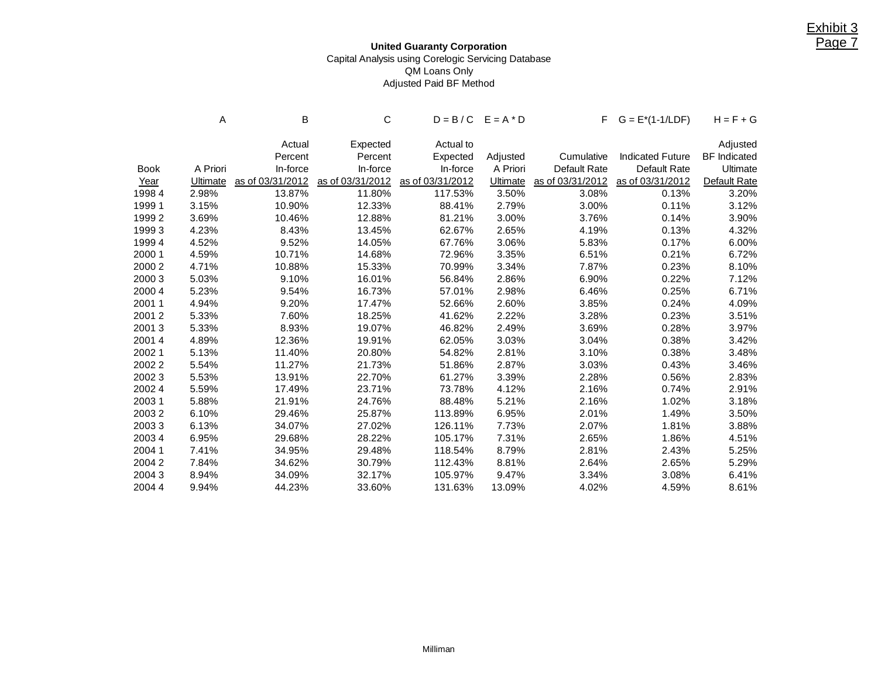## **United Guaranty Corporation** Capital Analysis using Corelogic Servicing Database QM Loans Only Adjusted Paid BF Method

|             | Α               | в<br>С           |                  | $D = B/C$ $E = A * D$ |                 |                  | $F$ $G = E^*(1-1/LDF)$  | $H = F + G$         |
|-------------|-----------------|------------------|------------------|-----------------------|-----------------|------------------|-------------------------|---------------------|
|             |                 | Actual           | Expected         | Actual to             |                 |                  |                         | Adjusted            |
|             |                 | Percent          | Percent          | Expected              | Adjusted        | Cumulative       | <b>Indicated Future</b> | <b>BF</b> Indicated |
| <b>Book</b> | A Priori        | In-force         | In-force         | In-force              | A Priori        | Default Rate     | Default Rate            | Ultimate            |
| Year        | <b>Ultimate</b> | as of 03/31/2012 | as of 03/31/2012 | as of 03/31/2012      | <b>Ultimate</b> | as of 03/31/2012 | as of 03/31/2012        | Default Rate        |
| 19984       | 2.98%           | 13.87%           | 11.80%           | 117.53%               | 3.50%           | 3.08%            | 0.13%                   | 3.20%               |
| 1999 1      | 3.15%           | 10.90%           | 12.33%           | 88.41%                | 2.79%           | 3.00%            | 0.11%                   | 3.12%               |
| 19992       | 3.69%           | 10.46%           | 12.88%           | 81.21%                | 3.00%           | 3.76%            | 0.14%                   | 3.90%               |
| 19993       | 4.23%           | 8.43%            | 13.45%           | 62.67%                | 2.65%           | 4.19%            | 0.13%                   | 4.32%               |
| 1999 4      | 4.52%           | 9.52%            | 14.05%           | 67.76%                | 3.06%           | 5.83%            | 0.17%                   | 6.00%               |
| 2000 1      | 4.59%           | 10.71%           | 14.68%           | 72.96%                | 3.35%           | 6.51%            | 0.21%                   | 6.72%               |
| 2000 2      | 4.71%           | 10.88%           | 15.33%           | 70.99%                | 3.34%           | 7.87%            | 0.23%                   | 8.10%               |
| 2000 3      | 5.03%           | 9.10%            | 16.01%           | 56.84%                | 2.86%           | 6.90%            | 0.22%                   | 7.12%               |
| 2000 4      | 5.23%           | 9.54%            | 16.73%           | 57.01%                | 2.98%           | 6.46%            | 0.25%                   | 6.71%               |
| 20011       | 4.94%           | 9.20%            | 17.47%           | 52.66%                | 2.60%           | 3.85%            | 0.24%                   | 4.09%               |
| 20012       | 5.33%           | 7.60%            | 18.25%           | 41.62%                | 2.22%           | 3.28%            | 0.23%                   | 3.51%               |
| 20013       | 5.33%           | 8.93%            | 19.07%           | 46.82%                | 2.49%           | 3.69%            | 0.28%                   | 3.97%               |
| 20014       | 4.89%           | 12.36%           | 19.91%           | 62.05%                | 3.03%           | 3.04%            | 0.38%                   | 3.42%               |
| 20021       | 5.13%           | 11.40%           | 20.80%           | 54.82%                | 2.81%           | 3.10%            | 0.38%                   | 3.48%               |
| 20022       | 5.54%           | 11.27%           | 21.73%           | 51.86%                | 2.87%           | 3.03%            | 0.43%                   | 3.46%               |
| 20023       | 5.53%           | 13.91%           | 22.70%           | 61.27%                | 3.39%           | 2.28%            | 0.56%                   | 2.83%               |
| 20024       | 5.59%           | 17.49%           | 23.71%           | 73.78%                | 4.12%           | 2.16%            | 0.74%                   | 2.91%               |
| 20031       | 5.88%           | 21.91%           | 24.76%           | 88.48%                | 5.21%           | 2.16%            | 1.02%                   | 3.18%               |
| 20032       | 6.10%           | 29.46%           | 25.87%           | 113.89%               | 6.95%           | 2.01%            | 1.49%                   | 3.50%               |
| 20033       | 6.13%           | 34.07%           | 27.02%           | 126.11%               | 7.73%           | 2.07%            | 1.81%                   | 3.88%               |
| 20034       | 6.95%           | 29.68%           | 28.22%           | 105.17%               | 7.31%           | 2.65%            | 1.86%                   | 4.51%               |
| 2004 1      | 7.41%           | 34.95%           | 29.48%           | 118.54%               | 8.79%           | 2.81%            | 2.43%                   | 5.25%               |
| 20042       | 7.84%           | 34.62%           | 30.79%           | 112.43%               | 8.81%           | 2.64%            | 2.65%                   | 5.29%               |
| 20043       | 8.94%           | 34.09%           | 32.17%           | 105.97%               | 9.47%           | 3.34%            | 3.08%                   | 6.41%               |
| 2004 4      | 9.94%           | 44.23%           | 33.60%           | 131.63%               | 13.09%          | 4.02%            | 4.59%                   | 8.61%               |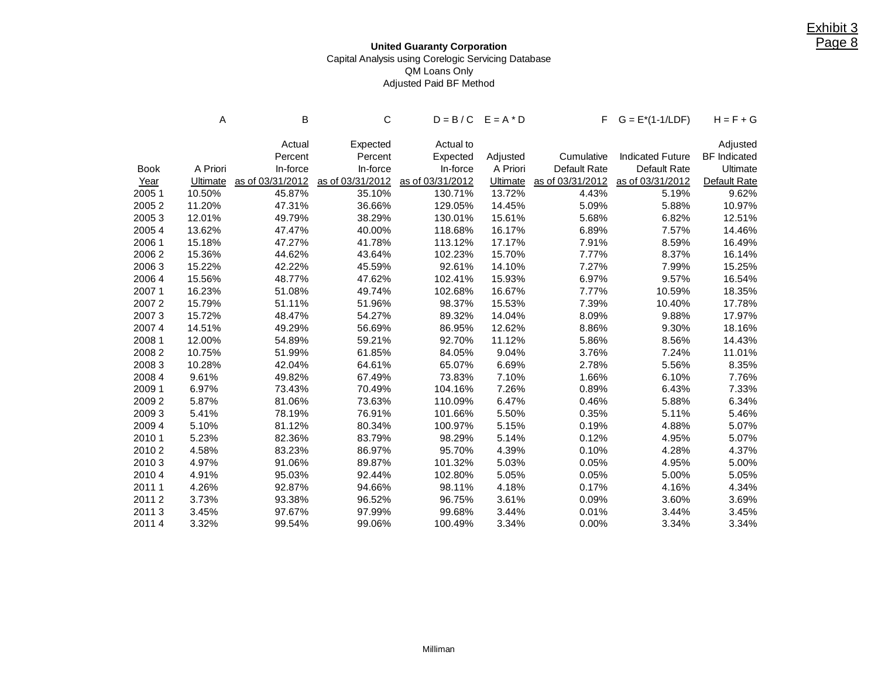### **United Guaranty Corporation** Capital Analysis using Corelogic Servicing Database QM Loans Only Adjusted Paid BF Method

|             | Α        | В<br>С           |                  | $D = B/C$ $E = A * D$ |                 |              | $F$ $G = E^*(1-1/LDF)$            | $H = F + G$         |
|-------------|----------|------------------|------------------|-----------------------|-----------------|--------------|-----------------------------------|---------------------|
|             |          | Actual           | Expected         | Actual to             |                 |              |                                   | Adjusted            |
|             |          | Percent          | Percent          | Expected              | Adjusted        | Cumulative   | <b>Indicated Future</b>           | <b>BF</b> Indicated |
| <b>Book</b> | A Priori | In-force         | In-force         | In-force              | A Priori        | Default Rate | Default Rate                      | Ultimate            |
| Year        | Ultimate | as of 03/31/2012 | as of 03/31/2012 | as of 03/31/2012      | <b>Ultimate</b> |              | as of 03/31/2012 as of 03/31/2012 | Default Rate        |
| 2005 1      | 10.50%   | 45.87%           | 35.10%           | 130.71%               | 13.72%          | 4.43%        | 5.19%                             | 9.62%               |
| 20052       | 11.20%   | 47.31%           | 36.66%           | 129.05%               | 14.45%          | 5.09%        | 5.88%                             | 10.97%              |
| 20053       | 12.01%   | 49.79%           | 38.29%           | 130.01%               | 15.61%          | 5.68%        | 6.82%                             | 12.51%              |
| 2005 4      | 13.62%   | 47.47%           | 40.00%           | 118.68%               | 16.17%          | 6.89%        | 7.57%                             | 14.46%              |
| 2006 1      | 15.18%   | 47.27%           | 41.78%           | 113.12%               | 17.17%          | 7.91%        | 8.59%                             | 16.49%              |
| 20062       | 15.36%   | 44.62%           | 43.64%           | 102.23%               | 15.70%          | 7.77%        | 8.37%                             | 16.14%              |
| 20063       | 15.22%   | 42.22%           | 45.59%           | 92.61%                | 14.10%          | 7.27%        | 7.99%                             | 15.25%              |
| 2006 4      | 15.56%   | 48.77%           | 47.62%           | 102.41%               | 15.93%          | 6.97%        | 9.57%                             | 16.54%              |
| 20071       | 16.23%   | 51.08%           | 49.74%           | 102.68%               | 16.67%          | 7.77%        | 10.59%                            | 18.35%              |
| 20072       | 15.79%   | 51.11%           | 51.96%           | 98.37%                | 15.53%          | 7.39%        | 10.40%                            | 17.78%              |
| 20073       | 15.72%   | 48.47%           | 54.27%           | 89.32%                | 14.04%          | 8.09%        | 9.88%                             | 17.97%              |
| 20074       | 14.51%   | 49.29%           | 56.69%           | 86.95%                | 12.62%          | 8.86%        | 9.30%                             | 18.16%              |
| 2008 1      | 12.00%   | 54.89%           | 59.21%           | 92.70%                | 11.12%          | 5.86%        | 8.56%                             | 14.43%              |
| 20082       | 10.75%   | 51.99%           | 61.85%           | 84.05%                | 9.04%           | 3.76%        | 7.24%                             | 11.01%              |
| 20083       | 10.28%   | 42.04%           | 64.61%           | 65.07%                | 6.69%           | 2.78%        | 5.56%                             | 8.35%               |
| 2008 4      | 9.61%    | 49.82%           | 67.49%           | 73.83%                | 7.10%           | 1.66%        | 6.10%                             | 7.76%               |
| 2009 1      | 6.97%    | 73.43%           | 70.49%           | 104.16%               | 7.26%           | 0.89%        | 6.43%                             | 7.33%               |
| 20092       | 5.87%    | 81.06%           | 73.63%           | 110.09%               | 6.47%           | 0.46%        | 5.88%                             | 6.34%               |
| 20093       | 5.41%    | 78.19%           | 76.91%           | 101.66%               | 5.50%           | 0.35%        | 5.11%                             | 5.46%               |
| 2009 4      | 5.10%    | 81.12%           | 80.34%           | 100.97%               | 5.15%           | 0.19%        | 4.88%                             | 5.07%               |
| 2010 1      | 5.23%    | 82.36%           | 83.79%           | 98.29%                | 5.14%           | 0.12%        | 4.95%                             | 5.07%               |
| 20102       | 4.58%    | 83.23%           | 86.97%           | 95.70%                | 4.39%           | 0.10%        | 4.28%                             | 4.37%               |
| 20103       | 4.97%    | 91.06%           | 89.87%           | 101.32%               | 5.03%           | 0.05%        | 4.95%                             | 5.00%               |
| 2010 4      | 4.91%    | 95.03%           | 92.44%           | 102.80%               | 5.05%           | 0.05%        | 5.00%                             | 5.05%               |
| 2011 1      | 4.26%    | 92.87%           | 94.66%           | 98.11%                | 4.18%           | 0.17%        | 4.16%                             | 4.34%               |
| 20112       | 3.73%    | 93.38%           | 96.52%           | 96.75%                | 3.61%           | 0.09%        | 3.60%                             | 3.69%               |
| 20113       | 3.45%    | 97.67%           | 97.99%           | 99.68%                | 3.44%           | 0.01%        | 3.44%                             | 3.45%               |
| 20114       | 3.32%    | 99.54%           | 99.06%           | 100.49%               | 3.34%           | 0.00%        | 3.34%                             | 3.34%               |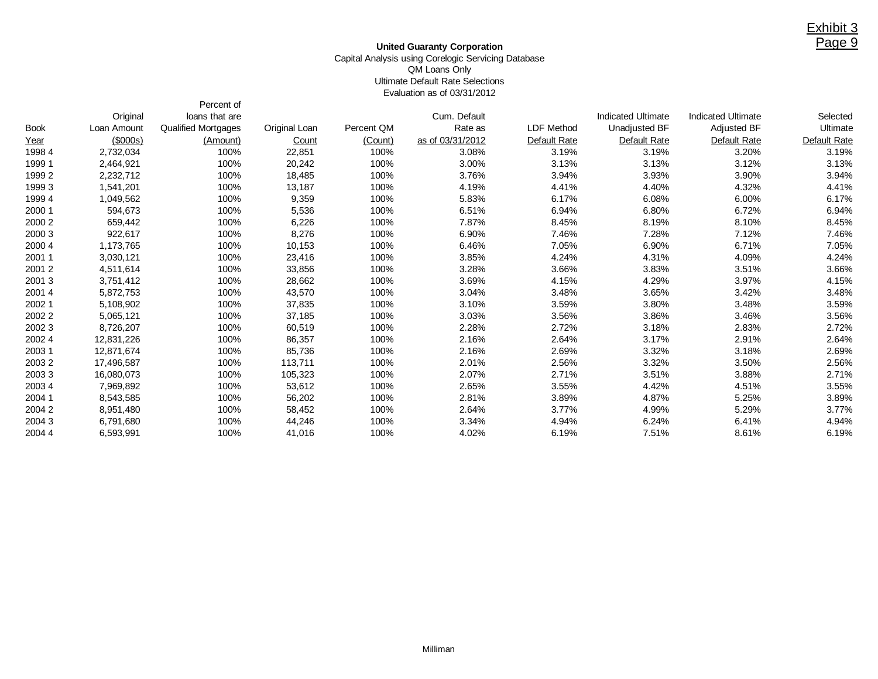#### **United Guaranty Corporation** Capital Analysis using Corelogic Servicing Database QM Loans Only Ultimate Default Rate Selections Evaluation as of 03/31/2012

Percent of

|             | Original    | loans that are             |               |            | Cum. Default     |              | Indicated Ultimate | <b>Indicated Ultimate</b> | Selected     |
|-------------|-------------|----------------------------|---------------|------------|------------------|--------------|--------------------|---------------------------|--------------|
| <b>Book</b> | Loan Amount | <b>Qualified Mortgages</b> | Original Loan | Percent QM | Rate as          | LDF Method   | Unadjusted BF      | Adjusted BF               | Ultimate     |
| Year        | (\$000s)    | (Amount)                   | Count         | (Count)    | as of 03/31/2012 | Default Rate | Default Rate       | Default Rate              | Default Rate |
| 1998 4      | 2,732,034   | 100%                       | 22,851        | 100%       | 3.08%            | 3.19%        | 3.19%              | 3.20%                     | 3.19%        |
| 1999 1      | 2,464,921   | 100%                       | 20,242        | 100%       | 3.00%            | 3.13%        | 3.13%              | 3.12%                     | 3.13%        |
| 1999 2      | 2,232,712   | 100%                       | 18,485        | 100%       | 3.76%            | 3.94%        | 3.93%              | 3.90%                     | 3.94%        |
| 1999 3      | 1,541,201   | 100%                       | 13,187        | 100%       | 4.19%            | 4.41%        | 4.40%              | 4.32%                     | 4.41%        |
| 1999 4      | 1,049,562   | 100%                       | 9,359         | 100%       | 5.83%            | 6.17%        | 6.08%              | 6.00%                     | 6.17%        |
| 2000 1      | 594,673     | 100%                       | 5,536         | 100%       | 6.51%            | 6.94%        | 6.80%              | 6.72%                     | 6.94%        |
| 2000 2      | 659,442     | 100%                       | 6,226         | 100%       | 7.87%            | 8.45%        | 8.19%              | 8.10%                     | 8.45%        |
| 2000 3      | 922,617     | 100%                       | 8,276         | 100%       | 6.90%            | 7.46%        | 7.28%              | 7.12%                     | 7.46%        |
| 2000 4      | 1,173,765   | 100%                       | 10,153        | 100%       | 6.46%            | 7.05%        | 6.90%              | 6.71%                     | 7.05%        |
| 2001 1      | 3,030,121   | 100%                       | 23,416        | 100%       | 3.85%            | 4.24%        | 4.31%              | 4.09%                     | 4.24%        |
| 20012       | 4,511,614   | 100%                       | 33,856        | 100%       | 3.28%            | 3.66%        | 3.83%              | 3.51%                     | 3.66%        |
| 20013       | 3,751,412   | 100%                       | 28,662        | 100%       | 3.69%            | 4.15%        | 4.29%              | 3.97%                     | 4.15%        |
| 2001 4      | 5,872,753   | 100%                       | 43,570        | 100%       | 3.04%            | 3.48%        | 3.65%              | 3.42%                     | 3.48%        |
| 2002 1      | 5,108,902   | 100%                       | 37,835        | 100%       | 3.10%            | 3.59%        | 3.80%              | 3.48%                     | 3.59%        |
| 2002 2      | 5,065,121   | 100%                       | 37,185        | 100%       | 3.03%            | 3.56%        | 3.86%              | 3.46%                     | 3.56%        |
| 2002 3      | 8,726,207   | 100%                       | 60,519        | 100%       | 2.28%            | 2.72%        | 3.18%              | 2.83%                     | 2.72%        |
| 2002 4      | 12,831,226  | 100%                       | 86,357        | 100%       | 2.16%            | 2.64%        | 3.17%              | 2.91%                     | 2.64%        |
| 2003 1      | 12,871,674  | 100%                       | 85,736        | 100%       | 2.16%            | 2.69%        | 3.32%              | 3.18%                     | 2.69%        |
| 20032       | 17,496,587  | 100%                       | 113,711       | 100%       | 2.01%            | 2.56%        | 3.32%              | 3.50%                     | 2.56%        |
| 20033       | 16,080,073  | 100%                       | 105,323       | 100%       | 2.07%            | 2.71%        | 3.51%              | 3.88%                     | 2.71%        |
| 2003 4      | 7,969,892   | 100%                       | 53,612        | 100%       | 2.65%            | 3.55%        | 4.42%              | 4.51%                     | 3.55%        |
| 2004 1      | 8,543,585   | 100%                       | 56,202        | 100%       | 2.81%            | 3.89%        | 4.87%              | 5.25%                     | 3.89%        |
| 20042       | 8,951,480   | 100%                       | 58,452        | 100%       | 2.64%            | 3.77%        | 4.99%              | 5.29%                     | 3.77%        |
| 2004 3      | 6,791,680   | 100%                       | 44,246        | 100%       | 3.34%            | 4.94%        | 6.24%              | 6.41%                     | 4.94%        |
| 2004 4      | 6.593.991   | 100%                       | 41.016        | 100%       | 4.02%            | 6.19%        | 7.51%              | 8.61%                     | 6.19%        |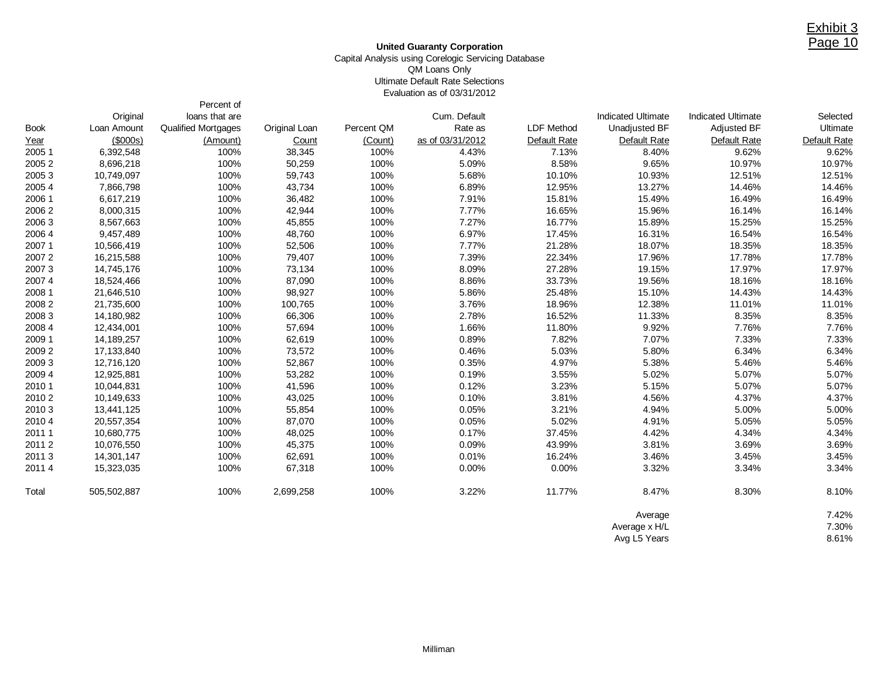#### **United Guaranty Corporation** Capital Analysis using Corelogic Servicing Database QM Loans Only Ultimate Default Rate Selections Evaluation as of 03/31/2012

Percent of

|             | Original    | loans that are      |               |            | Cum. Default     |                   | <b>Indicated Ultimate</b> | <b>Indicated Ultimate</b> | Selected     |
|-------------|-------------|---------------------|---------------|------------|------------------|-------------------|---------------------------|---------------------------|--------------|
| <b>Book</b> | Loan Amount | Qualified Mortgages | Original Loan | Percent QM | Rate as          | <b>LDF Method</b> | Unadjusted BF             | Adjusted BF               | Ultimate     |
| Year        | $($ \$000s) | (Amount)            | Count         | (Count)    | as of 03/31/2012 | Default Rate      | Default Rate              | Default Rate              | Default Rate |
| 2005 1      | 6,392,548   | 100%                | 38,345        | 100%       | 4.43%            | 7.13%             | 8.40%                     | 9.62%                     | 9.62%        |
| 20052       | 8,696,218   | 100%                | 50,259        | 100%       | 5.09%            | 8.58%             | 9.65%                     | 10.97%                    | 10.97%       |
| 20053       | 10,749,097  | 100%                | 59,743        | 100%       | 5.68%            | 10.10%            | 10.93%                    | 12.51%                    | 12.51%       |
| 2005 4      | 7,866,798   | 100%                | 43,734        | 100%       | 6.89%            | 12.95%            | 13.27%                    | 14.46%                    | 14.46%       |
| 2006 1      | 6,617,219   | 100%                | 36,482        | 100%       | 7.91%            | 15.81%            | 15.49%                    | 16.49%                    | 16.49%       |
| 20062       | 8,000,315   | 100%                | 42,944        | 100%       | 7.77%            | 16.65%            | 15.96%                    | 16.14%                    | 16.14%       |
| 2006 3      | 8,567,663   | 100%                | 45,855        | 100%       | 7.27%            | 16.77%            | 15.89%                    | 15.25%                    | 15.25%       |
| 2006 4      | 9,457,489   | 100%                | 48,760        | 100%       | 6.97%            | 17.45%            | 16.31%                    | 16.54%                    | 16.54%       |
| 2007 1      | 10,566,419  | 100%                | 52,506        | 100%       | 7.77%            | 21.28%            | 18.07%                    | 18.35%                    | 18.35%       |
| 20072       | 16,215,588  | 100%                | 79,407        | 100%       | 7.39%            | 22.34%            | 17.96%                    | 17.78%                    | 17.78%       |
| 20073       | 14,745,176  | 100%                | 73,134        | 100%       | 8.09%            | 27.28%            | 19.15%                    | 17.97%                    | 17.97%       |
| 2007 4      | 18,524,466  | 100%                | 87,090        | 100%       | 8.86%            | 33.73%            | 19.56%                    | 18.16%                    | 18.16%       |
| 2008 1      | 21,646,510  | 100%                | 98,927        | 100%       | 5.86%            | 25.48%            | 15.10%                    | 14.43%                    | 14.43%       |
| 20082       | 21,735,600  | 100%                | 100,765       | 100%       | 3.76%            | 18.96%            | 12.38%                    | 11.01%                    | 11.01%       |
| 2008 3      | 14,180,982  | 100%                | 66,306        | 100%       | 2.78%            | 16.52%            | 11.33%                    | 8.35%                     | 8.35%        |
| 2008 4      | 12,434,001  | 100%                | 57,694        | 100%       | 1.66%            | 11.80%            | 9.92%                     | 7.76%                     | 7.76%        |
| 2009 1      | 14,189,257  | 100%                | 62,619        | 100%       | 0.89%            | 7.82%             | 7.07%                     | 7.33%                     | 7.33%        |
| 2009 2      | 17,133,840  | 100%                | 73,572        | 100%       | 0.46%            | 5.03%             | 5.80%                     | 6.34%                     | 6.34%        |
| 2009 3      | 12,716,120  | 100%                | 52,867        | 100%       | 0.35%            | 4.97%             | 5.38%                     | 5.46%                     | 5.46%        |
| 2009 4      | 12,925,881  | 100%                | 53,282        | 100%       | 0.19%            | 3.55%             | 5.02%                     | 5.07%                     | 5.07%        |
| 2010 1      | 10,044,831  | 100%                | 41,596        | 100%       | 0.12%            | 3.23%             | 5.15%                     | 5.07%                     | 5.07%        |
| 2010 2      | 10,149,633  | 100%                | 43,025        | 100%       | 0.10%            | 3.81%             | 4.56%                     | 4.37%                     | 4.37%        |
| 2010 3      | 13,441,125  | 100%                | 55,854        | 100%       | 0.05%            | 3.21%             | 4.94%                     | 5.00%                     | 5.00%        |
| 2010 4      | 20,557,354  | 100%                | 87,070        | 100%       | 0.05%            | 5.02%             | 4.91%                     | 5.05%                     | 5.05%        |
| 2011 1      | 10,680,775  | 100%                | 48,025        | 100%       | 0.17%            | 37.45%            | 4.42%                     | 4.34%                     | 4.34%        |
| 20112       | 10,076,550  | 100%                | 45,375        | 100%       | 0.09%            | 43.99%            | 3.81%                     | 3.69%                     | 3.69%        |
| 20113       | 14,301,147  | 100%                | 62,691        | 100%       | 0.01%            | 16.24%            | 3.46%                     | 3.45%                     | 3.45%        |
| 2011 4      | 15,323,035  | 100%                | 67,318        | 100%       | 0.00%            | 0.00%             | 3.32%                     | 3.34%                     | 3.34%        |
| Total       | 505,502,887 | 100%                | 2,699,258     | 100%       | 3.22%            | 11.77%            | 8.47%                     | 8.30%                     | 8.10%        |
|             |             |                     |               |            |                  |                   | Average                   |                           | 7.42%        |
|             |             |                     |               |            |                  |                   | Average x H/L             |                           | 7.30%        |
|             |             |                     |               |            |                  |                   | Avg L5 Years              |                           | 8.61%        |

Avg L5 Years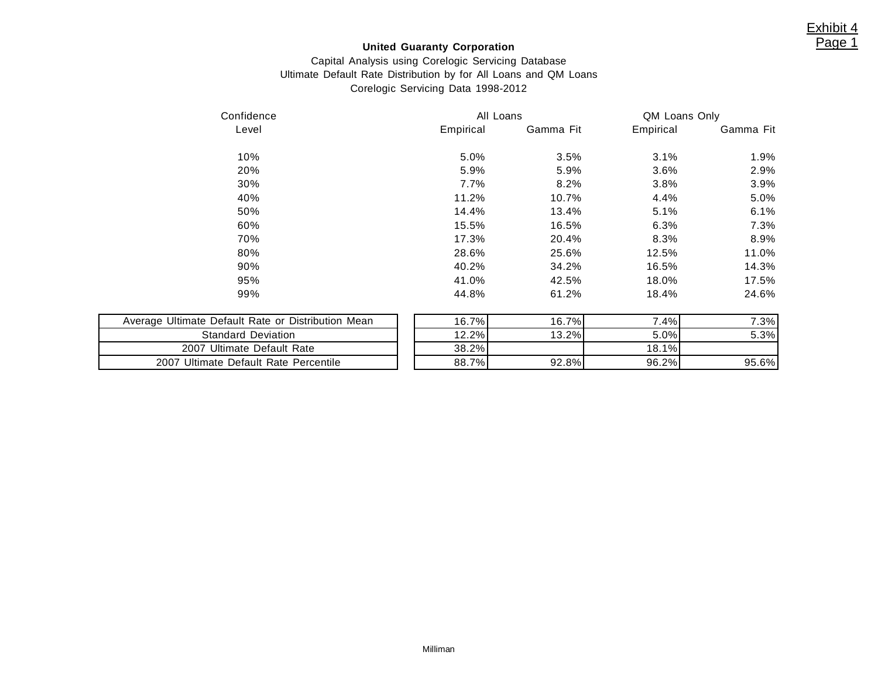## **United Guaranty Corporation**

## Capital Analysis using Corelogic Servicing Database Ultimate Default Rate Distribution by for All Loans and QM Loans Corelogic Servicing Data 1998-2012

| Confidence                         | All Loans |           | QM Loans Only |           |  |
|------------------------------------|-----------|-----------|---------------|-----------|--|
| Level                              | Empirical | Gamma Fit | Empirical     | Gamma Fit |  |
| 10%                                | 5.0%      | 3.5%      | 3.1%          | 1.9%      |  |
| 20%                                | 5.9%      | 5.9%      | 3.6%          | 2.9%      |  |
| 30%                                | 7.7%      | 8.2%      | 3.8%          | 3.9%      |  |
| 40%                                | 11.2%     | 10.7%     | 4.4%          | 5.0%      |  |
| 50%                                | 14.4%     | 13.4%     | 5.1%          | 6.1%      |  |
| 60%                                | 15.5%     | 16.5%     | 6.3%          | 7.3%      |  |
| 70%                                | 17.3%     | 20.4%     | 8.3%          | 8.9%      |  |
| 80%                                | 28.6%     | 25.6%     | 12.5%         | 11.0%     |  |
| 90%                                | 40.2%     | 34.2%     | 16.5%         | 14.3%     |  |
| 95%                                | 41.0%     | 42.5%     | 18.0%         | 17.5%     |  |
| 99%                                | 44.8%     | 61.2%     | 18.4%         | 24.6%     |  |
| Nafault Rata or Nietribution Maan. | 16, 70/   | 16.70/    | $7.40\%$      | 7.30/     |  |

| Average Ultimate Default Rate or Distribution Mean |  |  |  |  |  |  |  |  |
|----------------------------------------------------|--|--|--|--|--|--|--|--|
| <b>Standard Deviation</b>                          |  |  |  |  |  |  |  |  |
| 2007 Ultimate Default Rate                         |  |  |  |  |  |  |  |  |
| 2007 Ultimate Default Rate Percentile              |  |  |  |  |  |  |  |  |

| 99%                                                | 44.8%    | 61.2%    | 18.4%   | 24.6% |
|----------------------------------------------------|----------|----------|---------|-------|
| Average Ultimate Default Rate or Distribution Mean | 16.7%l   | 16.7%    | $7.4\%$ | 7.3%  |
| <b>Standard Deviation</b>                          | 12.2%    | $13.2\%$ | $5.0\%$ | 5.3%  |
| 2007 Ultimate Default Rate                         | $38.2\%$ |          | 18.1%   |       |
| 2007 Ultimate Default Rate Percentile              | 88.7%    | 92.8%    | 96.2%   | 95.6% |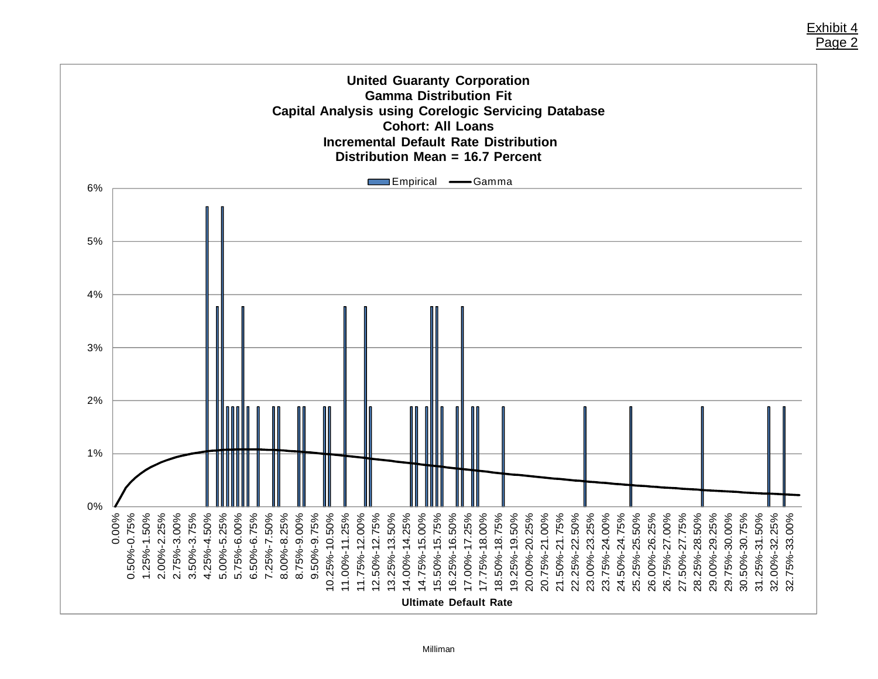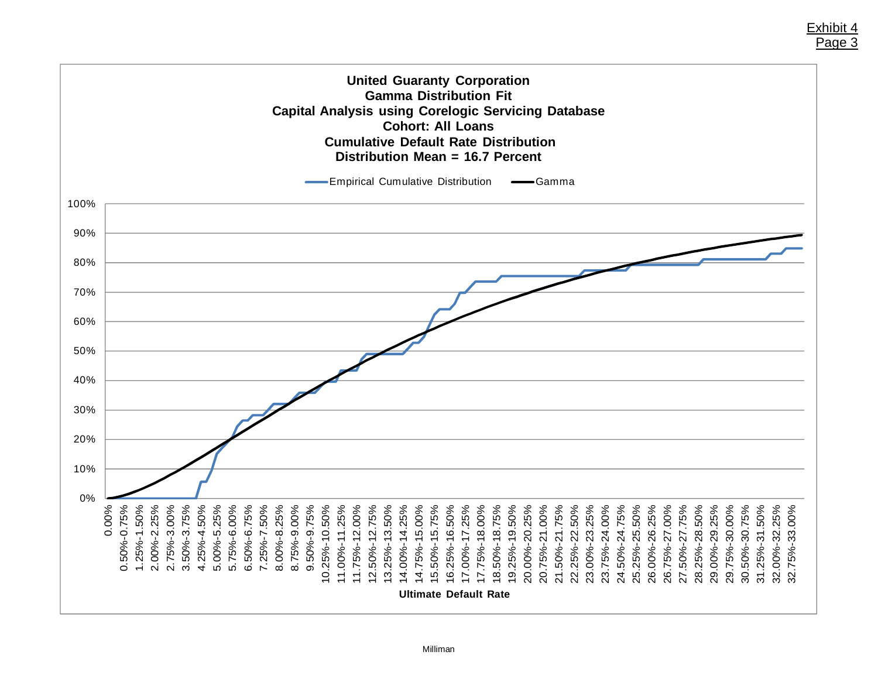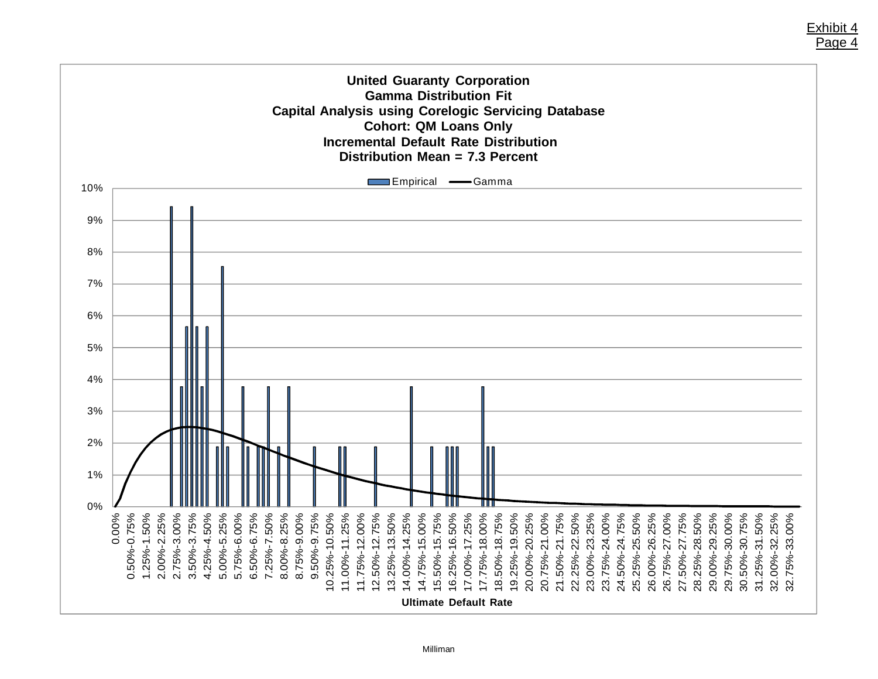

Exhibit 4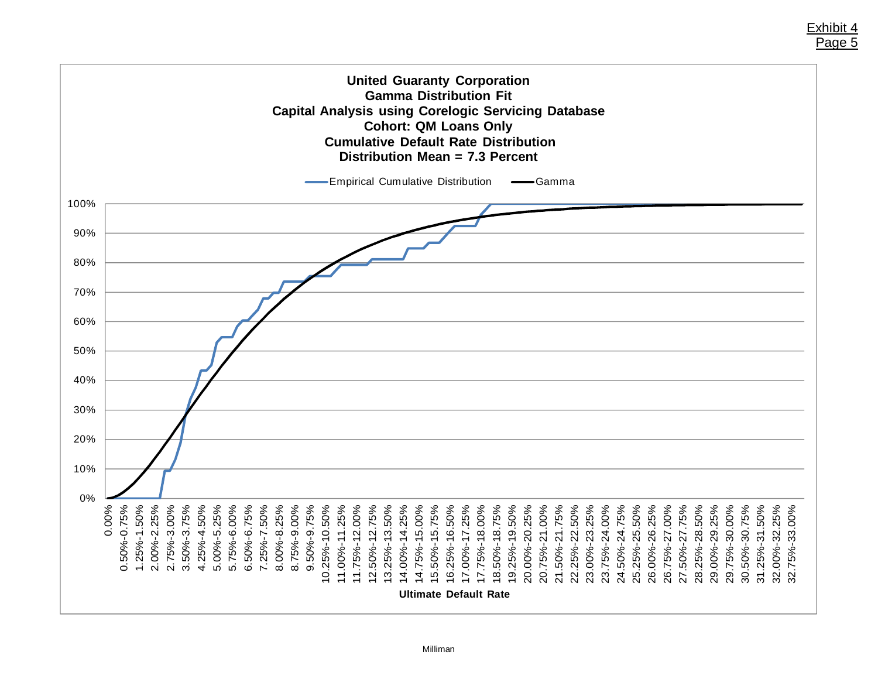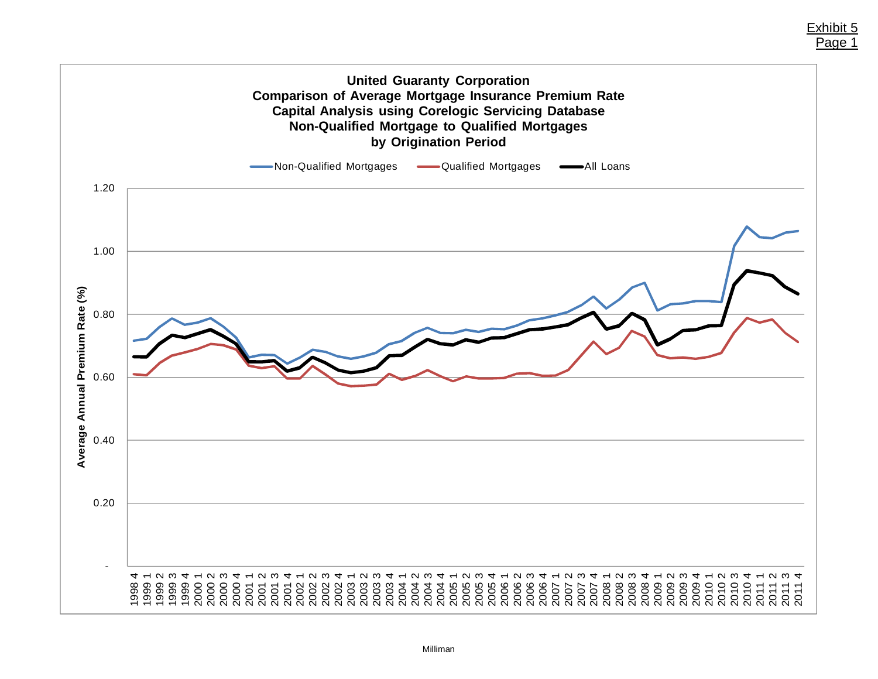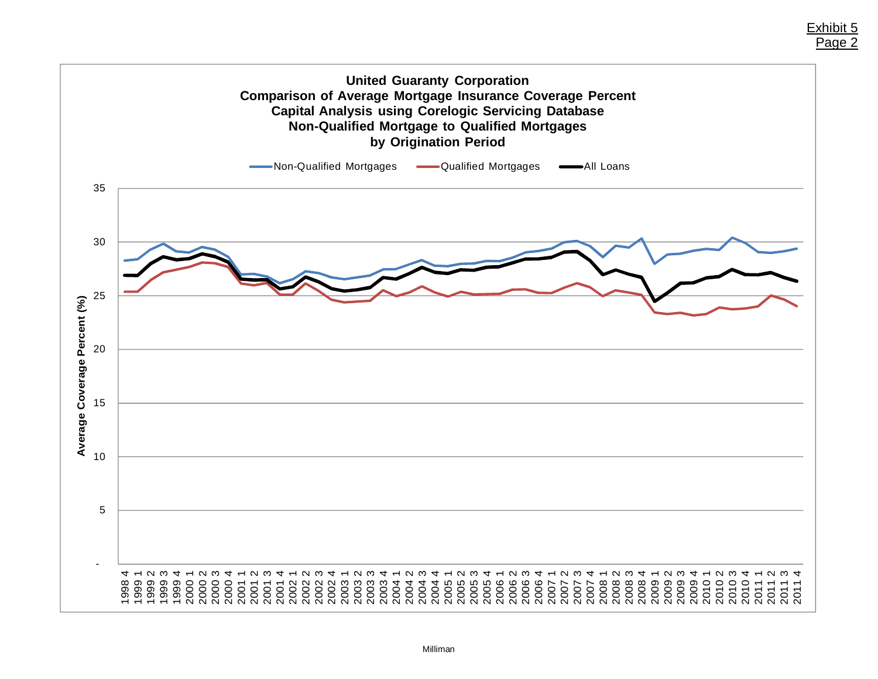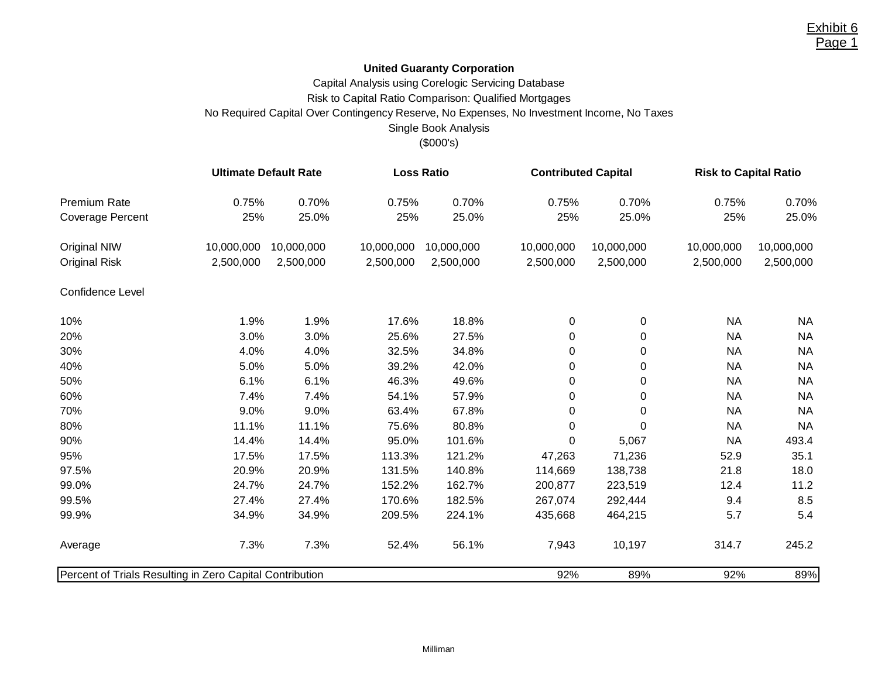## **United Guaranty Corporation**

Capital Analysis using Corelogic Servicing Database

Risk to Capital Ratio Comparison: Qualified Mortgages

No Required Capital Over Contingency Reserve, No Expenses, No Investment Income, No Taxes

## Single Book Analysis

## (\$000's)

|                                                          |            | <b>Ultimate Default Rate</b> |            | <b>Loss Ratio</b> | <b>Contributed Capital</b> |            | <b>Risk to Capital Ratio</b> |            |  |
|----------------------------------------------------------|------------|------------------------------|------------|-------------------|----------------------------|------------|------------------------------|------------|--|
| Premium Rate                                             | 0.75%      | 0.70%                        | 0.75%      | 0.70%             | 0.75%                      | 0.70%      | 0.75%                        | 0.70%      |  |
| <b>Coverage Percent</b>                                  | 25%        | 25.0%                        | 25%        | 25.0%             | 25%                        | 25.0%      | 25%                          | 25.0%      |  |
| Original NIW                                             | 10,000,000 | 10,000,000                   | 10,000,000 | 10,000,000        | 10,000,000                 | 10,000,000 | 10,000,000                   | 10,000,000 |  |
| <b>Original Risk</b>                                     | 2,500,000  | 2,500,000                    | 2,500,000  | 2,500,000         | 2,500,000                  | 2,500,000  | 2,500,000                    | 2,500,000  |  |
| Confidence Level                                         |            |                              |            |                   |                            |            |                              |            |  |
| 10%                                                      | 1.9%       | 1.9%                         | 17.6%      | 18.8%             | $\pmb{0}$                  | 0          | <b>NA</b>                    | <b>NA</b>  |  |
| 20%                                                      | 3.0%       | 3.0%                         | 25.6%      | 27.5%             | 0                          | 0          | <b>NA</b>                    | <b>NA</b>  |  |
| 30%                                                      | 4.0%       | 4.0%                         | 32.5%      | 34.8%             | 0                          | 0          | <b>NA</b>                    | <b>NA</b>  |  |
| 40%                                                      | 5.0%       | 5.0%                         | 39.2%      | 42.0%             | $\pmb{0}$                  | 0          | <b>NA</b>                    | <b>NA</b>  |  |
| 50%                                                      | 6.1%       | 6.1%                         | 46.3%      | 49.6%             | 0                          | 0          | <b>NA</b>                    | <b>NA</b>  |  |
| 60%                                                      | 7.4%       | 7.4%                         | 54.1%      | 57.9%             | 0                          | 0          | <b>NA</b>                    | <b>NA</b>  |  |
| 70%                                                      | 9.0%       | 9.0%                         | 63.4%      | 67.8%             | $\pmb{0}$                  | $\Omega$   | <b>NA</b>                    | <b>NA</b>  |  |
| 80%                                                      | 11.1%      | 11.1%                        | 75.6%      | 80.8%             | 0                          | 0          | <b>NA</b>                    | <b>NA</b>  |  |
| 90%                                                      | 14.4%      | 14.4%                        | 95.0%      | 101.6%            | 0                          | 5,067      | <b>NA</b>                    | 493.4      |  |
| 95%                                                      | 17.5%      | 17.5%                        | 113.3%     | 121.2%            | 47,263                     | 71,236     | 52.9                         | 35.1       |  |
| 97.5%                                                    | 20.9%      | 20.9%                        | 131.5%     | 140.8%            | 114,669                    | 138,738    | 21.8                         | 18.0       |  |
| 99.0%                                                    | 24.7%      | 24.7%                        | 152.2%     | 162.7%            | 200,877                    | 223,519    | 12.4                         | 11.2       |  |
| 99.5%                                                    | 27.4%      | 27.4%                        | 170.6%     | 182.5%            | 267,074                    | 292,444    | 9.4                          | 8.5        |  |
| 99.9%                                                    | 34.9%      | 34.9%                        | 209.5%     | 224.1%            | 435,668                    | 464,215    | 5.7                          | 5.4        |  |
| Average                                                  | 7.3%       | 7.3%                         | 52.4%      | 56.1%             | 7,943                      | 10,197     | 314.7                        | 245.2      |  |
| Percent of Trials Resulting in Zero Capital Contribution |            |                              |            |                   | 92%                        | 89%        | 92%                          | 89%        |  |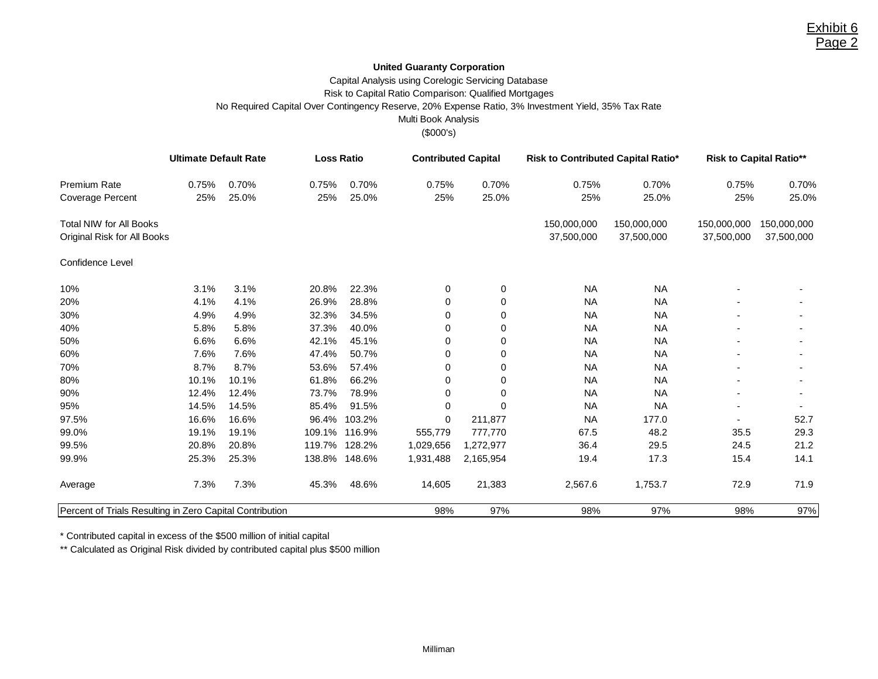### **United Guaranty Corporation**

## Capital Analysis using Corelogic Servicing Database Risk to Capital Ratio Comparison: Qualified Mortgages No Required Capital Over Contingency Reserve, 20% Expense Ratio, 3% Investment Yield, 35% Tax Rate Multi Book Analysis

(\$000's)

|                                                          | <b>Ultimate Default Rate</b> |       |        | <b>Loss Ratio</b> |             | <b>Contributed Capital</b> | Risk to Contributed Capital Ratio* |             | <b>Risk to Capital Ratio**</b> |             |  |
|----------------------------------------------------------|------------------------------|-------|--------|-------------------|-------------|----------------------------|------------------------------------|-------------|--------------------------------|-------------|--|
| <b>Premium Rate</b>                                      | 0.75%                        | 0.70% | 0.75%  | 0.70%             | 0.75%       | 0.70%                      | 0.75%                              | 0.70%       | 0.75%                          | 0.70%       |  |
| Coverage Percent                                         | 25%                          | 25.0% | 25%    | 25.0%             | 25%         | 25.0%                      | 25%                                | 25.0%       | 25%                            | 25.0%       |  |
| <b>Total NIW for All Books</b>                           |                              |       |        |                   |             |                            | 150,000,000                        | 150,000,000 | 150,000,000                    | 150,000,000 |  |
| Original Risk for All Books                              |                              |       |        |                   |             |                            | 37,500,000                         | 37,500,000  | 37,500,000                     | 37,500,000  |  |
| Confidence Level                                         |                              |       |        |                   |             |                            |                                    |             |                                |             |  |
| 10%                                                      | 3.1%                         | 3.1%  | 20.8%  | 22.3%             | 0           | 0                          | <b>NA</b>                          | <b>NA</b>   |                                |             |  |
| 20%                                                      | 4.1%                         | 4.1%  | 26.9%  | 28.8%             | 0           | 0                          | <b>NA</b>                          | <b>NA</b>   |                                |             |  |
| 30%                                                      | 4.9%                         | 4.9%  | 32.3%  | 34.5%             | $\mathbf 0$ | 0                          | <b>NA</b>                          | <b>NA</b>   |                                |             |  |
| 40%                                                      | 5.8%                         | 5.8%  | 37.3%  | 40.0%             | 0           | 0                          | <b>NA</b>                          | <b>NA</b>   |                                |             |  |
| 50%                                                      | 6.6%                         | 6.6%  | 42.1%  | 45.1%             | 0           | $\Omega$                   | <b>NA</b>                          | <b>NA</b>   |                                |             |  |
| 60%                                                      | 7.6%                         | 7.6%  | 47.4%  | 50.7%             | $\mathbf 0$ | 0                          | <b>NA</b>                          | <b>NA</b>   |                                |             |  |
| 70%                                                      | 8.7%                         | 8.7%  | 53.6%  | 57.4%             | 0           | 0                          | <b>NA</b>                          | <b>NA</b>   |                                |             |  |
| 80%                                                      | 10.1%                        | 10.1% | 61.8%  | 66.2%             | $\mathbf 0$ | $\Omega$                   | <b>NA</b>                          | <b>NA</b>   |                                |             |  |
| 90%                                                      | 12.4%                        | 12.4% | 73.7%  | 78.9%             | 0           | $\Omega$                   | <b>NA</b>                          | <b>NA</b>   |                                |             |  |
| 95%                                                      | 14.5%                        | 14.5% | 85.4%  | 91.5%             | $\mathbf 0$ | $\Omega$                   | <b>NA</b>                          | <b>NA</b>   |                                |             |  |
| 97.5%                                                    | 16.6%                        | 16.6% | 96.4%  | 103.2%            | $\mathbf 0$ | 211,877                    | <b>NA</b>                          | 177.0       |                                | 52.7        |  |
| 99.0%                                                    | 19.1%                        | 19.1% |        | 109.1% 116.9%     | 555,779     | 777,770                    | 67.5                               | 48.2        | 35.5                           | 29.3        |  |
| 99.5%                                                    | 20.8%                        | 20.8% | 119.7% | 128.2%            | 1,029,656   | 1,272,977                  | 36.4                               | 29.5        | 24.5                           | 21.2        |  |
| 99.9%                                                    | 25.3%                        | 25.3% |        | 138.8% 148.6%     | 1,931,488   | 2,165,954                  | 19.4                               | 17.3        | 15.4                           | 14.1        |  |
| Average                                                  | 7.3%                         | 7.3%  | 45.3%  | 48.6%             | 14,605      | 21,383                     | 2,567.6                            | 1,753.7     | 72.9                           | 71.9        |  |
| Percent of Trials Resulting in Zero Capital Contribution |                              |       |        | 98%               | 97%         | 98%                        | 97%                                | 98%         | 97%                            |             |  |

\* Contributed capital in excess of the \$500 million of initial capital

\*\* Calculated as Original Risk divided by contributed capital plus \$500 million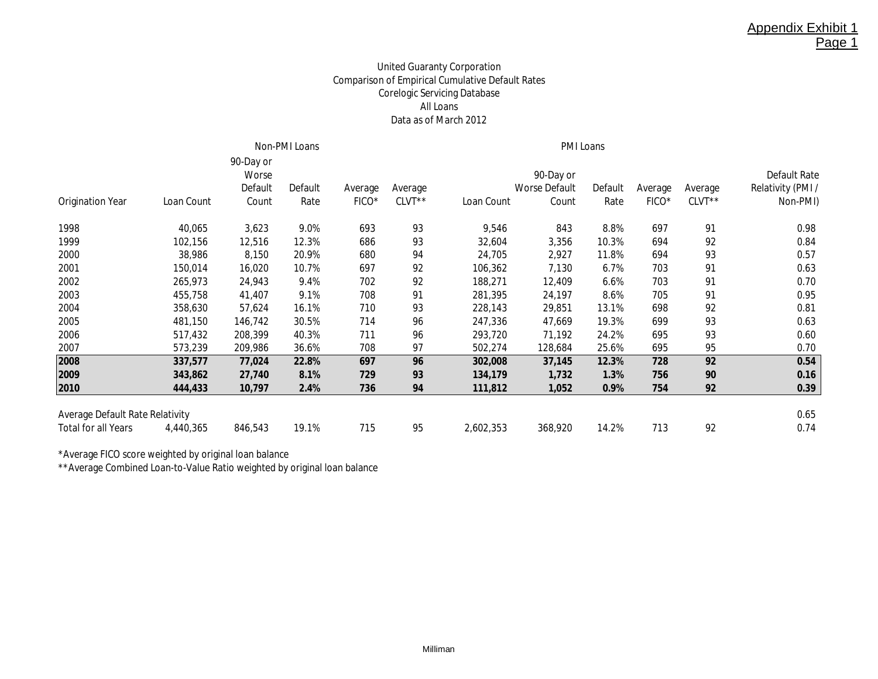## United Guaranty Corporation Comparison of Empirical Cumulative Default Rates Corelogic Servicing Database All Loans Data as of March 2012

|                                        |            |                                        | Non-PMI Loans   |                  |                     |            |                                            |                 |                  |                   |                                                      |
|----------------------------------------|------------|----------------------------------------|-----------------|------------------|---------------------|------------|--------------------------------------------|-----------------|------------------|-------------------|------------------------------------------------------|
| <b>Origination Year</b>                | Loan Count | 90-Day or<br>Worse<br>Default<br>Count | Default<br>Rate | Average<br>FICO* | Average<br>$CLVT**$ | Loan Count | 90-Day or<br><b>Worse Default</b><br>Count | Default<br>Rate | Average<br>FICO* | Average<br>CLVT** | <b>Default Rate</b><br>Relativity (PMI /<br>Non-PMI) |
| 1998                                   | 40,065     | 3,623                                  | 9.0%            | 693              | 93                  | 9,546      | 843                                        | 8.8%            | 697              | 91                | 0.98                                                 |
| 1999                                   | 102,156    | 12,516                                 | 12.3%           | 686              | 93                  | 32,604     | 3,356                                      | 10.3%           | 694              | 92                | 0.84                                                 |
| 2000                                   | 38,986     | 8,150                                  | 20.9%           | 680              | 94                  | 24,705     | 2,927                                      | 11.8%           | 694              | 93                | 0.57                                                 |
| 2001                                   | 150,014    | 16,020                                 | 10.7%           | 697              | 92                  | 106,362    | 7,130                                      | 6.7%            | 703              | 91                | 0.63                                                 |
| 2002                                   | 265,973    | 24,943                                 | 9.4%            | 702              | 92                  | 188,271    | 12,409                                     | 6.6%            | 703              | 91                | 0.70                                                 |
| 2003                                   | 455,758    | 41,407                                 | 9.1%            | 708              | 91                  | 281,395    | 24,197                                     | 8.6%            | 705              | 91                | 0.95                                                 |
| 2004                                   | 358,630    | 57,624                                 | 16.1%           | 710              | 93                  | 228,143    | 29,851                                     | 13.1%           | 698              | 92                | 0.81                                                 |
| 2005                                   | 481,150    | 146,742                                | 30.5%           | 714              | 96                  | 247,336    | 47,669                                     | 19.3%           | 699              | 93                | 0.63                                                 |
| 2006                                   | 517,432    | 208,399                                | 40.3%           | 711              | 96                  | 293,720    | 71,192                                     | 24.2%           | 695              | 93                | 0.60                                                 |
| 2007                                   | 573,239    | 209,986                                | 36.6%           | 708              | 97                  | 502,274    | 128,684                                    | 25.6%           | 695              | 95                | 0.70                                                 |
| 2008                                   | 337,577    | 77,024                                 | 22.8%           | 697              | 96                  | 302,008    | 37,145                                     | 12.3%           | 728              | 92                | 0.54                                                 |
| 2009                                   | 343,862    | 27,740                                 | 8.1%            | 729              | 93                  | 134,179    | 1,732                                      | 1.3%            | 756              | 90                | 0.16                                                 |
| 2010                                   | 444,433    | 10,797                                 | 2.4%            | 736              | 94                  | 111,812    | 1,052                                      | 0.9%            | 754              | 92                | 0.39                                                 |
| <b>Average Default Rate Relativity</b> |            |                                        |                 |                  |                     |            |                                            |                 |                  |                   | 0.65                                                 |
| <b>Total for all Years</b>             | 4,440,365  | 846,543                                | 19.1%           | 715              | 95                  | 2,602,353  | 368,920                                    | 14.2%           | 713              | 92                | 0.74                                                 |
|                                        |            |                                        |                 |                  |                     |            |                                            |                 |                  |                   |                                                      |

\*Average FICO score weighted by original loan balance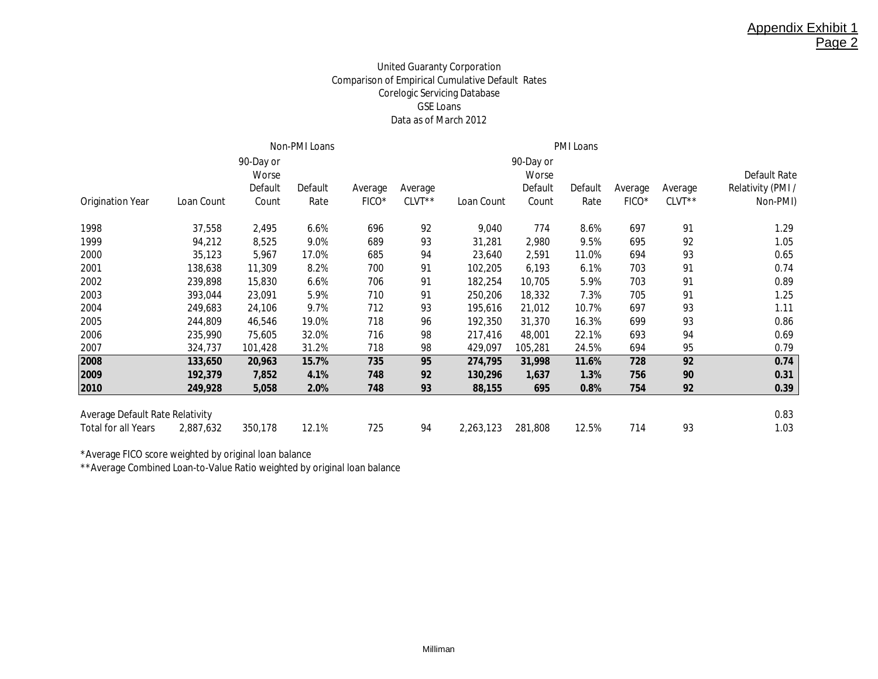## United Guaranty Corporation Comparison of Empirical Cumulative Default Rates Corelogic Servicing Database GSE Loans Data as of March 2012

|                                        |            |                    | Non-PMI Loans |         |          |            |                    |         |         |         |                   |
|----------------------------------------|------------|--------------------|---------------|---------|----------|------------|--------------------|---------|---------|---------|-------------------|
|                                        |            | 90-Day or<br>Worse |               |         |          |            | 90-Day or<br>Worse |         |         |         | Default Rate      |
|                                        |            | Default            | Default       | Average | Average  |            | Default            | Default | Average | Average | Relativity (PMI / |
| <b>Origination Year</b>                | Loan Count | Count              | Rate          | FICO*   | $CLVT**$ | Loan Count | Count              | Rate    | FICO*   | CLVT**  | Non-PMI)          |
| 1998                                   | 37,558     | 2,495              | 6.6%          | 696     | 92       | 9,040      | 774                | 8.6%    | 697     | 91      | 1.29              |
| 1999                                   | 94,212     | 8,525              | 9.0%          | 689     | 93       | 31,281     | 2,980              | 9.5%    | 695     | 92      | 1.05              |
| 2000                                   | 35,123     | 5,967              | 17.0%         | 685     | 94       | 23,640     | 2,591              | 11.0%   | 694     | 93      | 0.65              |
| 2001                                   | 138,638    | 11,309             | 8.2%          | 700     | 91       | 102,205    | 6,193              | 6.1%    | 703     | 91      | 0.74              |
| 2002                                   | 239,898    | 15,830             | 6.6%          | 706     | 91       | 182,254    | 10,705             | 5.9%    | 703     | 91      | 0.89              |
| 2003                                   | 393,044    | 23,091             | 5.9%          | 710     | 91       | 250,206    | 18,332             | 7.3%    | 705     | 91      | 1.25              |
| 2004                                   | 249,683    | 24,106             | 9.7%          | 712     | 93       | 195,616    | 21,012             | 10.7%   | 697     | 93      | 1.11              |
| 2005                                   | 244,809    | 46,546             | 19.0%         | 718     | 96       | 192,350    | 31,370             | 16.3%   | 699     | 93      | 0.86              |
| 2006                                   | 235,990    | 75,605             | 32.0%         | 716     | 98       | 217,416    | 48,001             | 22.1%   | 693     | 94      | 0.69              |
| 2007                                   | 324,737    | 101,428            | 31.2%         | 718     | 98       | 429,097    | 105,281            | 24.5%   | 694     | 95      | 0.79              |
| 2008                                   | 133,650    | 20,963             | 15.7%         | 735     | 95       | 274,795    | 31,998             | 11.6%   | 728     | 92      | 0.74              |
| 2009                                   | 192,379    | 7,852              | 4.1%          | 748     | 92       | 130,296    | 1,637              | 1.3%    | 756     | 90      | 0.31              |
| 2010                                   | 249,928    | 5,058              | 2.0%          | 748     | 93       | 88,155     | 695                | 0.8%    | 754     | 92      | 0.39              |
| <b>Average Default Rate Relativity</b> |            |                    |               |         |          |            |                    |         |         |         | 0.83              |
| <b>Total for all Years</b>             | 2,887,632  | 350,178            | 12.1%         | 725     | 94       | 2,263,123  | 281,808            | 12.5%   | 714     | 93      | 1.03              |

\*Average FICO score weighted by original loan balance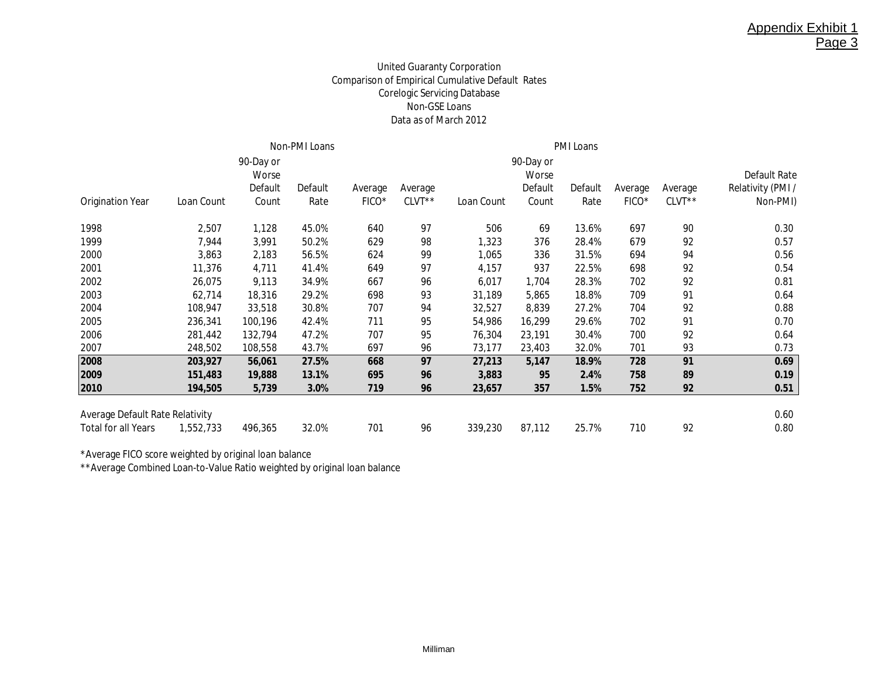## United Guaranty Corporation Comparison of Empirical Cumulative Default Rates Corelogic Servicing Database Non-GSE Loans Data as of March 2012

|                                        |            |                    | Non-PMI Loans |                   |         |            |                    |         |         |         |                   |
|----------------------------------------|------------|--------------------|---------------|-------------------|---------|------------|--------------------|---------|---------|---------|-------------------|
|                                        |            | 90-Day or<br>Worse |               |                   |         |            | 90-Day or<br>Worse |         |         |         | Default Rate      |
|                                        |            | Default            | Default       | Average           | Average |            | Default            | Default | Average | Average | Relativity (PMI / |
| <b>Origination Year</b>                | Loan Count | Count              | Rate          | FICO <sup>*</sup> | CLVT**  | Loan Count | Count              | Rate    | FICO*   | CLVT**  | Non-PMI)          |
| 1998                                   | 2,507      | 1,128              | 45.0%         | 640               | 97      | 506        | 69                 | 13.6%   | 697     | 90      | 0.30              |
| 1999                                   | 7,944      | 3,991              | 50.2%         | 629               | 98      | 1,323      | 376                | 28.4%   | 679     | 92      | 0.57              |
| 2000                                   | 3,863      | 2,183              | 56.5%         | 624               | 99      | 1,065      | 336                | 31.5%   | 694     | 94      | 0.56              |
| 2001                                   | 11,376     | 4,711              | 41.4%         | 649               | 97      | 4,157      | 937                | 22.5%   | 698     | 92      | 0.54              |
| 2002                                   | 26,075     | 9,113              | 34.9%         | 667               | 96      | 6,017      | 1,704              | 28.3%   | 702     | 92      | 0.81              |
| 2003                                   | 62,714     | 18,316             | 29.2%         | 698               | 93      | 31,189     | 5,865              | 18.8%   | 709     | 91      | 0.64              |
| 2004                                   | 108,947    | 33,518             | 30.8%         | 707               | 94      | 32,527     | 8,839              | 27.2%   | 704     | 92      | 0.88              |
| 2005                                   | 236,341    | 100,196            | 42.4%         | 711               | 95      | 54,986     | 16,299             | 29.6%   | 702     | 91      | 0.70              |
| 2006                                   | 281,442    | 132,794            | 47.2%         | 707               | 95      | 76,304     | 23,191             | 30.4%   | 700     | 92      | 0.64              |
| 2007                                   | 248,502    | 108,558            | 43.7%         | 697               | 96      | 73,177     | 23,403             | 32.0%   | 701     | 93      | 0.73              |
| 2008                                   | 203,927    | 56,061             | 27.5%         | 668               | 97      | 27,213     | 5,147              | 18.9%   | 728     | 91      | 0.69              |
| 2009                                   | 151,483    | 19,888             | 13.1%         | 695               | 96      | 3,883      | 95                 | 2.4%    | 758     | 89      | 0.19              |
| 2010                                   | 194,505    | 5,739              | 3.0%          | 719               | 96      | 23,657     | 357                | 1.5%    | 752     | 92      | 0.51              |
| <b>Average Default Rate Relativity</b> |            |                    |               |                   |         |            |                    |         |         |         | 0.60              |
| <b>Total for all Years</b>             | 1,552,733  | 496,365            | 32.0%         | 701               | 96      | 339,230    | 87,112             | 25.7%   | 710     | 92      | 0.80              |

\*Average FICO score weighted by original loan balance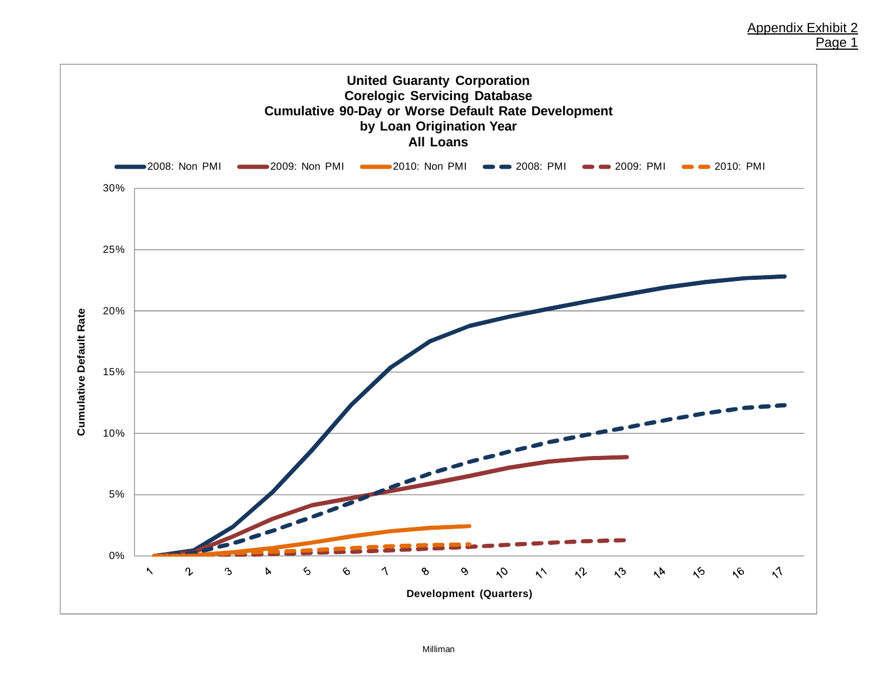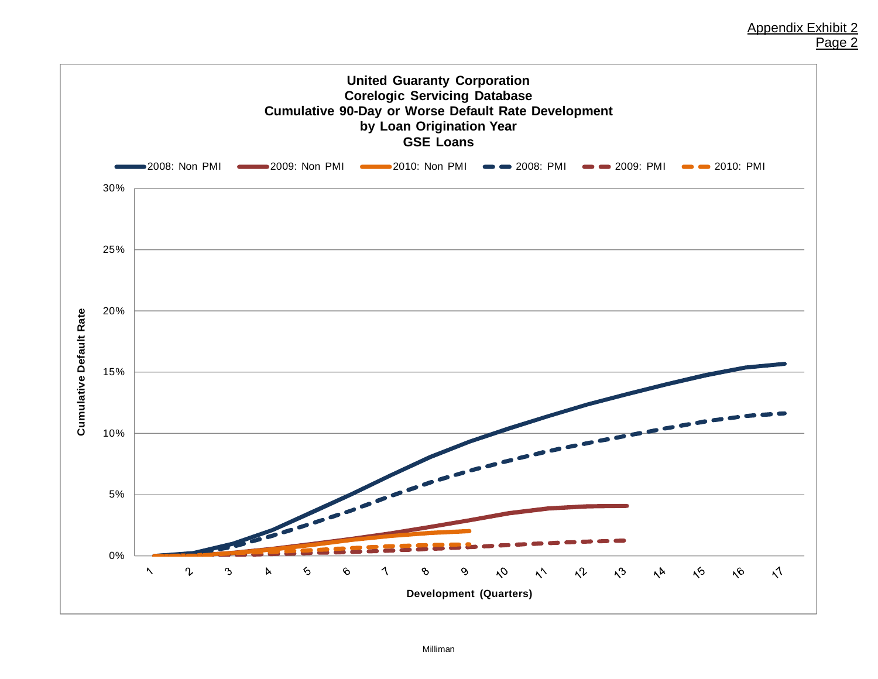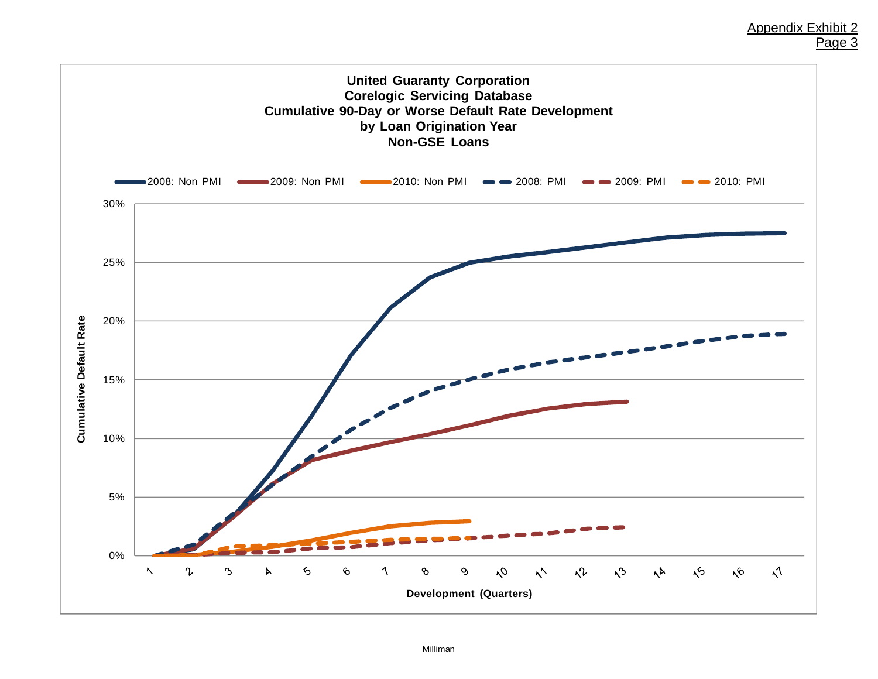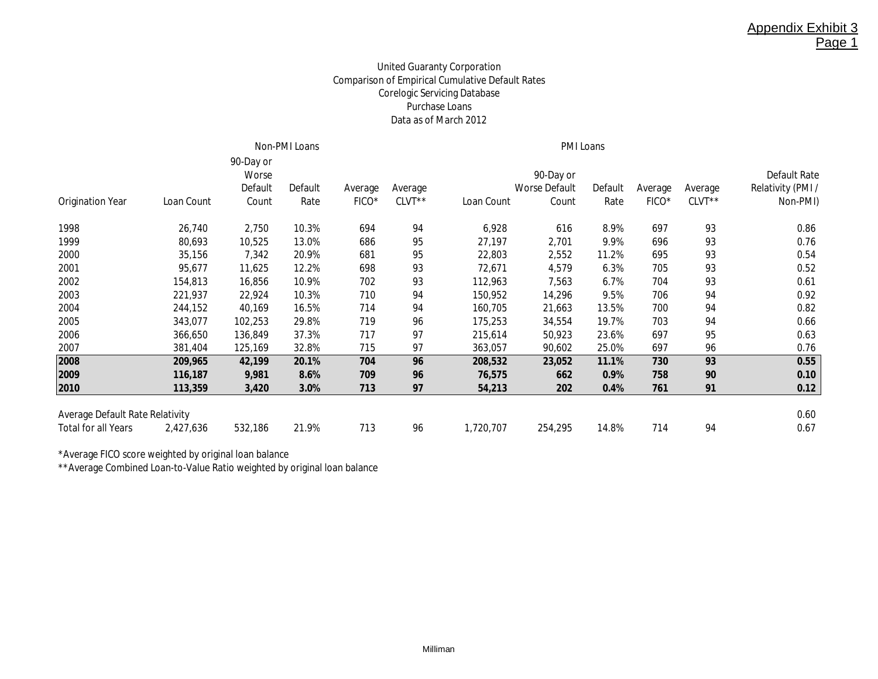## United Guaranty Corporation Comparison of Empirical Cumulative Default Rates Corelogic Servicing Database Purchase Loans Data as of March 2012

|                                        | Non-PMI Loans |                                        |                 |                  |                   |            | <b>PMI Loans</b>                           |                 |                  |                   |                                                      |  |  |
|----------------------------------------|---------------|----------------------------------------|-----------------|------------------|-------------------|------------|--------------------------------------------|-----------------|------------------|-------------------|------------------------------------------------------|--|--|
| <b>Origination Year</b>                | Loan Count    | 90-Day or<br>Worse<br>Default<br>Count | Default<br>Rate | Average<br>FICO* | Average<br>CLVT** | Loan Count | 90-Day or<br><b>Worse Default</b><br>Count | Default<br>Rate | Average<br>FICO* | Average<br>CLVT** | <b>Default Rate</b><br>Relativity (PMI /<br>Non-PMI) |  |  |
|                                        |               |                                        |                 |                  |                   |            |                                            |                 |                  |                   |                                                      |  |  |
| 1998                                   | 26,740        | 2,750                                  | 10.3%           | 694              | 94                | 6,928      | 616                                        | 8.9%            | 697              | 93                | 0.86                                                 |  |  |
| 1999                                   | 80,693        | 10,525                                 | 13.0%           | 686              | 95                | 27,197     | 2,701                                      | 9.9%            | 696              | 93                | 0.76                                                 |  |  |
| 2000                                   | 35,156        | 7,342                                  | 20.9%           | 681              | 95                | 22,803     | 2,552                                      | 11.2%           | 695              | 93                | 0.54                                                 |  |  |
| 2001                                   | 95,677        | 11,625                                 | 12.2%           | 698              | 93                | 72,671     | 4,579                                      | 6.3%            | 705              | 93                | 0.52                                                 |  |  |
| 2002                                   | 154,813       | 16,856                                 | 10.9%           | 702              | 93                | 112,963    | 7,563                                      | 6.7%            | 704              | 93                | 0.61                                                 |  |  |
| 2003                                   | 221,937       | 22,924                                 | 10.3%           | 710              | 94                | 150,952    | 14,296                                     | 9.5%            | 706              | 94                | 0.92                                                 |  |  |
| 2004                                   | 244,152       | 40,169                                 | 16.5%           | 714              | 94                | 160,705    | 21,663                                     | 13.5%           | 700              | 94                | 0.82                                                 |  |  |
| 2005                                   | 343,077       | 102,253                                | 29.8%           | 719              | 96                | 175,253    | 34,554                                     | 19.7%           | 703              | 94                | 0.66                                                 |  |  |
| 2006                                   | 366,650       | 136,849                                | 37.3%           | 717              | 97                | 215,614    | 50,923                                     | 23.6%           | 697              | 95                | 0.63                                                 |  |  |
| 2007                                   | 381,404       | 125,169                                | 32.8%           | 715              | 97                | 363,057    | 90,602                                     | 25.0%           | 697              | 96                | 0.76                                                 |  |  |
| 2008                                   | 209,965       | 42,199                                 | 20.1%           | 704              | 96                | 208,532    | 23,052                                     | 11.1%           | 730              | 93                | 0.55                                                 |  |  |
| 2009                                   | 116,187       | 9,981                                  | 8.6%            | 709              | 96                | 76,575     | 662                                        | 0.9%            | 758              | 90                | 0.10                                                 |  |  |
| 2010                                   | 113,359       | 3,420                                  | 3.0%            | 713              | 97                | 54,213     | 202                                        | 0.4%            | 761              | 91                | 0.12                                                 |  |  |
|                                        |               |                                        |                 |                  |                   |            |                                            |                 |                  |                   |                                                      |  |  |
| <b>Average Default Rate Relativity</b> |               |                                        |                 |                  |                   |            |                                            |                 |                  |                   | 0.60                                                 |  |  |
| <b>Total for all Years</b>             | 2,427,636     | 532,186                                | 21.9%           | 713              | 96                | 1,720,707  | 254,295                                    | 14.8%           | 714              | 94                | 0.67                                                 |  |  |

\*Average FICO score weighted by original loan balance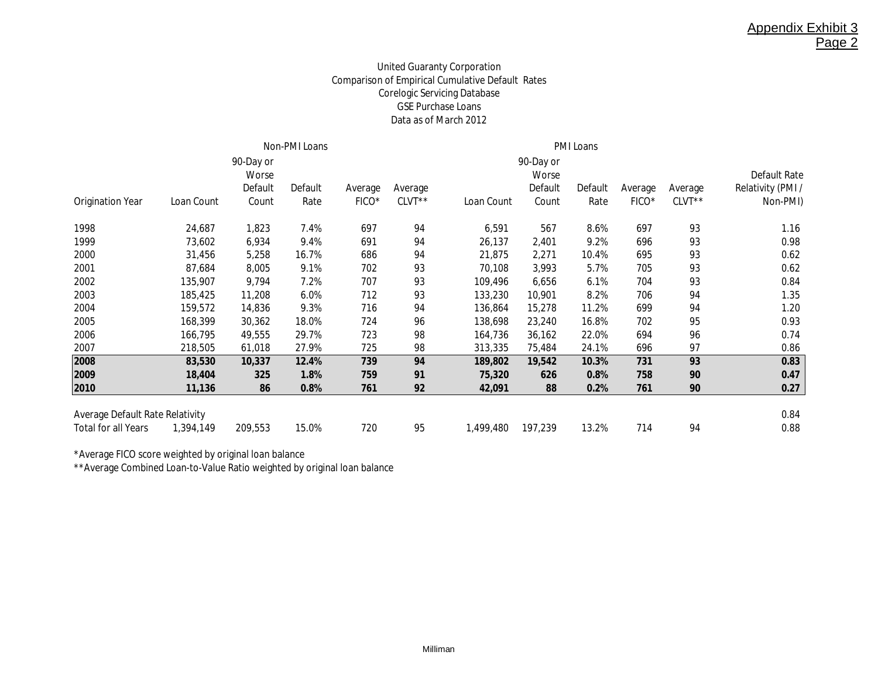## United Guaranty Corporation Comparison of Empirical Cumulative Default Rates Corelogic Servicing Database GSE Purchase Loans Data as of March 2012

|                                        |            | 90-Day or |         |         |          |            | 90-Day or |         |         |         | Default Rate      |
|----------------------------------------|------------|-----------|---------|---------|----------|------------|-----------|---------|---------|---------|-------------------|
|                                        |            | Worse     |         |         |          |            | Worse     |         |         |         |                   |
|                                        |            | Default   | Default | Average | Average  |            | Default   | Default | Average | Average | Relativity (PMI / |
| <b>Origination Year</b>                | Loan Count | Count     | Rate    | FICO*   | $CLVT**$ | Loan Count | Count     | Rate    | FICO*   | CLVT**  | Non-PMI)          |
| 1998                                   | 24,687     | 1,823     | 7.4%    | 697     | 94       | 6,591      | 567       | 8.6%    | 697     | 93      | 1.16              |
| 1999                                   | 73,602     | 6,934     | 9.4%    | 691     | 94       | 26,137     | 2,401     | 9.2%    | 696     | 93      | 0.98              |
| 2000                                   | 31,456     | 5,258     | 16.7%   | 686     | 94       | 21,875     | 2,271     | 10.4%   | 695     | 93      | 0.62              |
| 2001                                   | 87,684     | 8,005     | 9.1%    | 702     | 93       | 70,108     | 3,993     | 5.7%    | 705     | 93      | 0.62              |
| 2002                                   | 135,907    | 9,794     | 7.2%    | 707     | 93       | 109,496    | 6,656     | 6.1%    | 704     | 93      | 0.84              |
| 2003                                   | 185,425    | 11,208    | 6.0%    | 712     | 93       | 133,230    | 10,901    | 8.2%    | 706     | 94      | 1.35              |
| 2004                                   | 159,572    | 14,836    | 9.3%    | 716     | 94       | 136,864    | 15,278    | 11.2%   | 699     | 94      | 1.20              |
| 2005                                   | 168,399    | 30,362    | 18.0%   | 724     | 96       | 138,698    | 23,240    | 16.8%   | 702     | 95      | 0.93              |
| 2006                                   | 166,795    | 49,555    | 29.7%   | 723     | 98       | 164,736    | 36,162    | 22.0%   | 694     | 96      | 0.74              |
| 2007                                   | 218,505    | 61,018    | 27.9%   | 725     | 98       | 313,335    | 75,484    | 24.1%   | 696     | 97      | 0.86              |
| 2008                                   | 83,530     | 10,337    | 12.4%   | 739     | 94       | 189,802    | 19,542    | 10.3%   | 731     | 93      | 0.83              |
| 2009                                   | 18,404     | 325       | 1.8%    | 759     | 91       | 75,320     | 626       | 0.8%    | 758     | 90      | 0.47              |
| 2010                                   | 11,136     | 86        | 0.8%    | 761     | 92       | 42,091     | 88        | 0.2%    | 761     | 90      | 0.27              |
| <b>Average Default Rate Relativity</b> |            |           |         |         |          |            |           |         |         |         | 0.84              |
| <b>Total for all Years</b>             | 1,394,149  | 209,553   | 15.0%   | 720     | 95       | 1,499,480  | 197,239   | 13.2%   | 714     | 94      | 0.88              |

\*Average FICO score weighted by original loan balance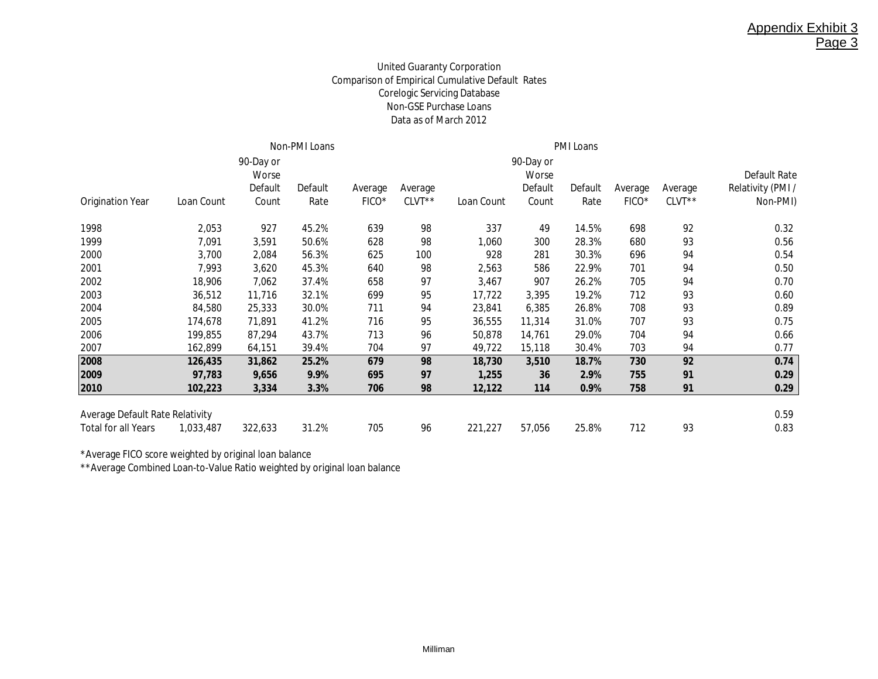## United Guaranty Corporation Comparison of Empirical Cumulative Default Rates Corelogic Servicing Database Non-GSE Purchase Loans Data as of March 2012

|                                 |            |                    | Non-PMI Loans |                   |          |            |                    |         |                   |         |                   |
|---------------------------------|------------|--------------------|---------------|-------------------|----------|------------|--------------------|---------|-------------------|---------|-------------------|
|                                 |            | 90-Day or<br>Worse |               |                   |          |            | 90-Day or<br>Worse |         |                   |         | Default Rate      |
|                                 |            | Default            | Default       | Average           | Average  |            | Default            | Default | Average           | Average | Relativity (PMI / |
| <b>Origination Year</b>         | Loan Count | Count              | Rate          | FICO <sup>*</sup> | $CLVT**$ | Loan Count | Count              | Rate    | FICO <sup>*</sup> | CLVT**  | Non-PMI)          |
| 1998                            | 2,053      | 927                | 45.2%         | 639               | 98       | 337        | 49                 | 14.5%   | 698               | 92      | 0.32              |
| 1999                            | 7,091      | 3,591              | 50.6%         | 628               | 98       | 1,060      | 300                | 28.3%   | 680               | 93      | 0.56              |
| 2000                            | 3,700      | 2,084              | 56.3%         | 625               | 100      | 928        | 281                | 30.3%   | 696               | 94      | 0.54              |
| 2001                            | 7,993      | 3,620              | 45.3%         | 640               | 98       | 2,563      | 586                | 22.9%   | 701               | 94      | 0.50              |
| 2002                            | 18,906     | 7,062              | 37.4%         | 658               | 97       | 3,467      | 907                | 26.2%   | 705               | 94      | 0.70              |
| 2003                            | 36,512     | 11,716             | 32.1%         | 699               | 95       | 17,722     | 3,395              | 19.2%   | 712               | 93      | 0.60              |
| 2004                            | 84,580     | 25,333             | 30.0%         | 711               | 94       | 23,841     | 6,385              | 26.8%   | 708               | 93      | 0.89              |
| 2005                            | 174,678    | 71,891             | 41.2%         | 716               | 95       | 36,555     | 11,314             | 31.0%   | 707               | 93      | 0.75              |
| 2006                            | 199,855    | 87,294             | 43.7%         | 713               | 96       | 50,878     | 14,761             | 29.0%   | 704               | 94      | 0.66              |
| 2007                            | 162,899    | 64,151             | 39.4%         | 704               | 97       | 49,722     | 15,118             | 30.4%   | 703               | 94      | 0.77              |
| 2008                            | 126,435    | 31,862             | 25.2%         | 679               | 98       | 18,730     | 3,510              | 18.7%   | 730               | 92      | 0.74              |
| 2009                            | 97,783     | 9,656              | 9.9%          | 695               | 97       | 1,255      | 36                 | 2.9%    | 755               | 91      | 0.29              |
| 2010                            | 102,223    | 3,334              | 3.3%          | 706               | 98       | 12,122     | 114                | 0.9%    | 758               | 91      | 0.29              |
| Average Default Rate Relativity |            |                    |               |                   |          |            |                    |         |                   |         | 0.59              |
| <b>Total for all Years</b>      | 1,033,487  | 322,633            | 31.2%         | 705               | 96       | 221,227    | 57,056             | 25.8%   | 712               | 93      | 0.83              |

\*Average FICO score weighted by original loan balance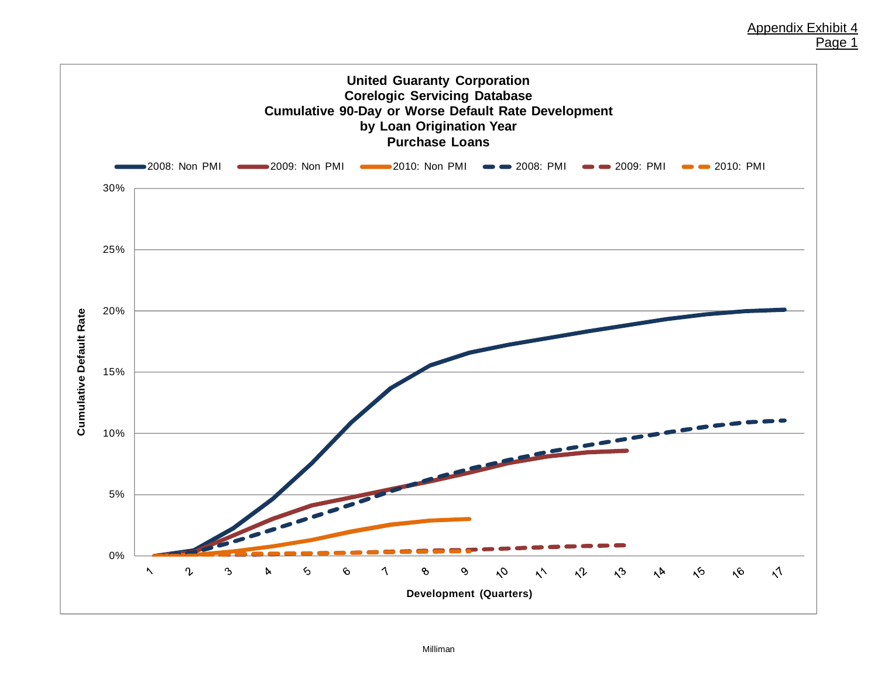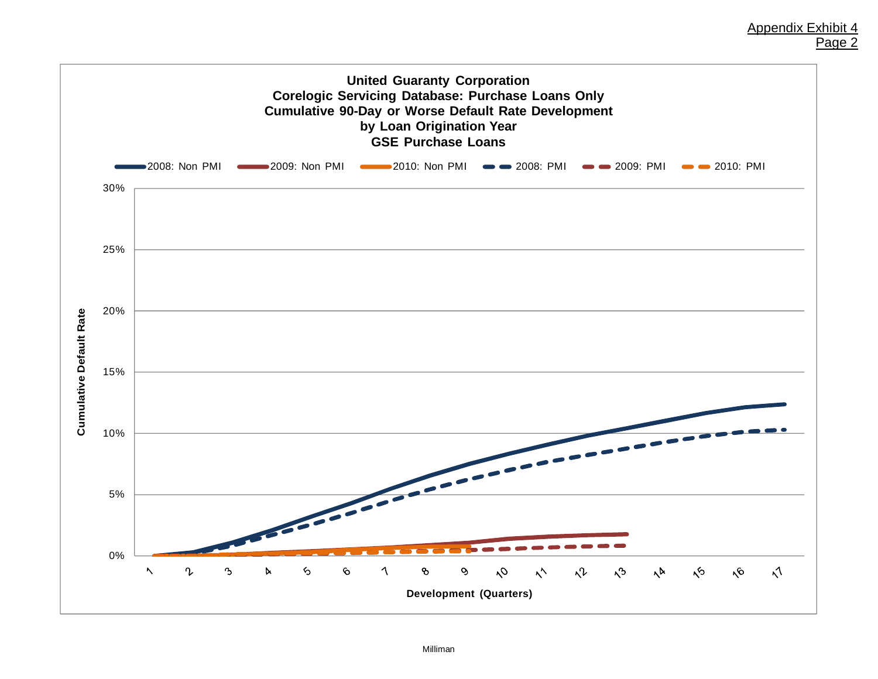